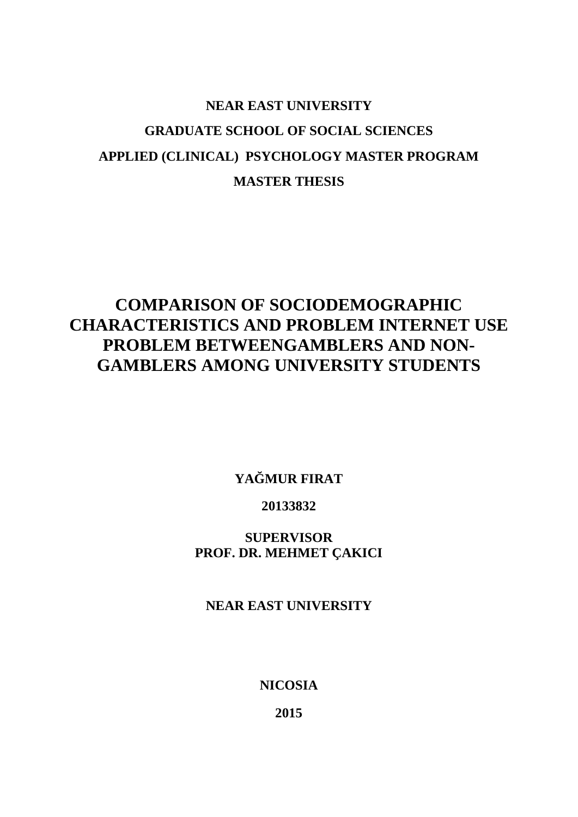# **NEAR EAST UNIVERSITY GRADUATE SCHOOL OF SOCIAL SCIENCES APPLIED (CLINICAL) PSYCHOLOGY MASTER PROGRAM MASTER THESIS**

## **COMPARISON OF SOCIODEMOGRAPHIC CHARACTERISTICS AND PROBLEM INTERNET USE PROBLEM BETWEENGAMBLERS AND NON- GAMBLERS AMONG UNIVERSITY STUDENTS**

YA MUR FIRAT

## **20133832**

## **SUPERVISOR PROF. DR. MEHMET ÇAKICI**

## **NEAR EAST UNIVERSITY**

## **NICOSIA**

**2015**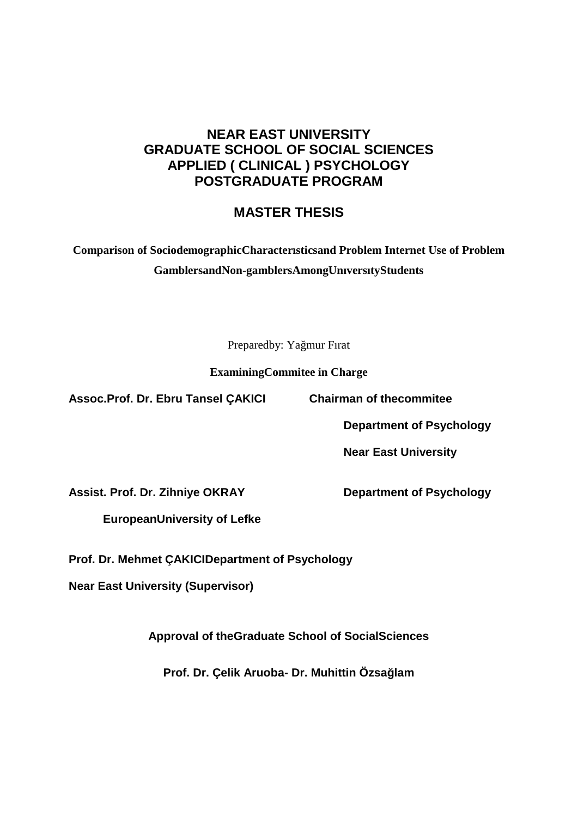## **NEAR EAST UNIVERSITY GRADUATE SCHOOL OF SOCIAL SCIENCES APPLIED ( CLINICAL ) PSYCHOLOGY POSTGRADUATE PROGRAM**

## **MASTER THESIS**

## **Comparison of SociodemographicCharacterısticsand Problem Internet Use of Problem GamblersandNon-gamblersAmongUnıversıtyStudents**

Preparedby: Ya mur Fırat

**ExaminingCommitee in Charge**

**Assoc.Prof. Dr. Ebru Tansel ÇAKICI Chairman of thecommitee**

**Department of Psychology**

**Near East University**

**Assist. Prof. Dr. Zihniye OKRAY Department of Psychology**

**EuropeanUniversity of Lefke**

**Prof. Dr. Mehmet ÇAKICIDepartment of Psychology**

**Near East University (Supervisor)**

**Approval of theGraduate School of SocialSciences**

**Prof. Dr. Çelik Aruoba- Dr. Muhittin Özsağlam**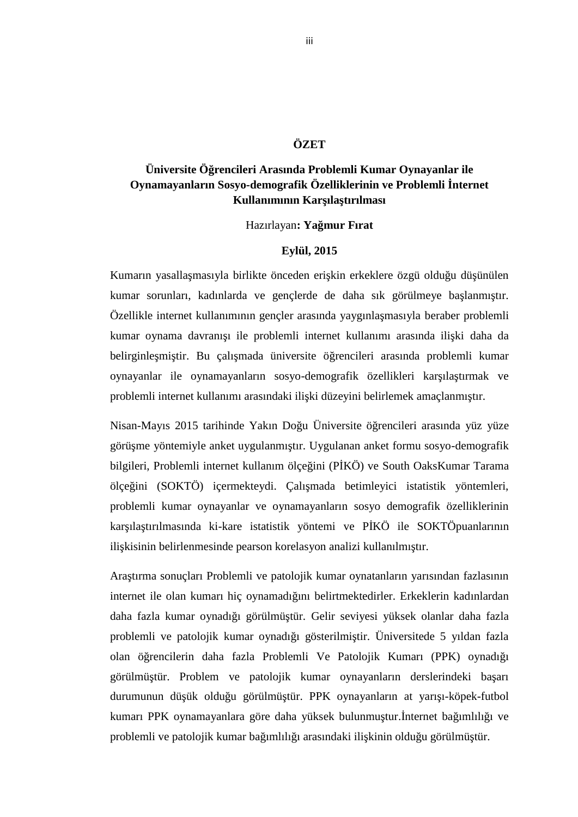### **ÖZET**

## **Üniversite Öğrencileri Arasında Problemli Kumar Oynayanlar ile Oynamayanların Sosyo-demografik Özelliklerinin ve Problemli İnternet** Kullanımının Kar ıla tırılması

#### Hazırlayan**: Yağmur Fırat**

#### **Eylül, 2015**

Kumarın yasalla masıyla birlikte önceden eri kin erkeklere özgü oldu u dü ünülen kumar sorunları, kadınlarda ve gençlerde de daha sık görülmeye ba lanmı tır. Özellikle internet kullanımının gençler arasında yaygınla masıyla beraber problemli kumar oynama davranı ı ile problemli internet kullanımı arasında ili ki daha da belirginle mi tir. Bu çalı mada üniversite ö rencileri arasında problemli kumar oynayanlar ile oynamayanların sosyo-demografik özellikleri kar ıla tırmak ve problemli internet kullanımı arasındaki ili ki düzeyini belirlemek amaçlanmı tır.

Nisan-Mayıs 2015 tarihinde Yakın Do u Üniversite ö rencileri arasında yüz yüze görü me yöntemiyle anket uygulanmı tır. Uygulanan anket formu sosyo-demografik bilgileri, Problemli internet kullanım ölçe ini (P KÖ) ve South OaksKumar Tarama ölçeğini (SOKTÖ) içermekteydi. Çalışmada betimleyici istatistik yöntemleri, problemli kumar oynayanlar ve oynamayanların sosyo demografik özelliklerinin kar ıla tırılmasında ki-kare istatistik yöntemi ve PKÖ ile SOKTÖpuanlarının ili kisinin belirlenmesinde pearson korelasyon analizi kullanılmı tır.

Ara tırma sonuçları Problemli ve patolojik kumar oynatanların yarısından fazlasının internet ile olan kumarı hiç oynamadığını belirtmektedirler. Erkeklerin kadınlardan daha fazla kumar oynadı ı görülmü tür. Gelir seviyesi yüksek olanlar daha fazla problemli ve patolojik kumar oynadı 1 gösterilmi tir. Üniversitede 5 yıldan fazla olan ö rencilerin daha fazla Problemli Ve Patolojik Kumarı (PPK) oynadı ı görülmü tür. Problem ve patolojik kumar oynayanların derslerindeki ba arı durumunun dü ük oldu u görülmü tür. PPK oynayanların at yarı 1-köpek-futbol kumarı PPK oynamayanlara göre daha yüksek bulunmu tur. nternet ba imlili 1 ve problemli ve patolojik kumar bağımlılı 1 arasındaki ili kinin olduğu görülmü tür.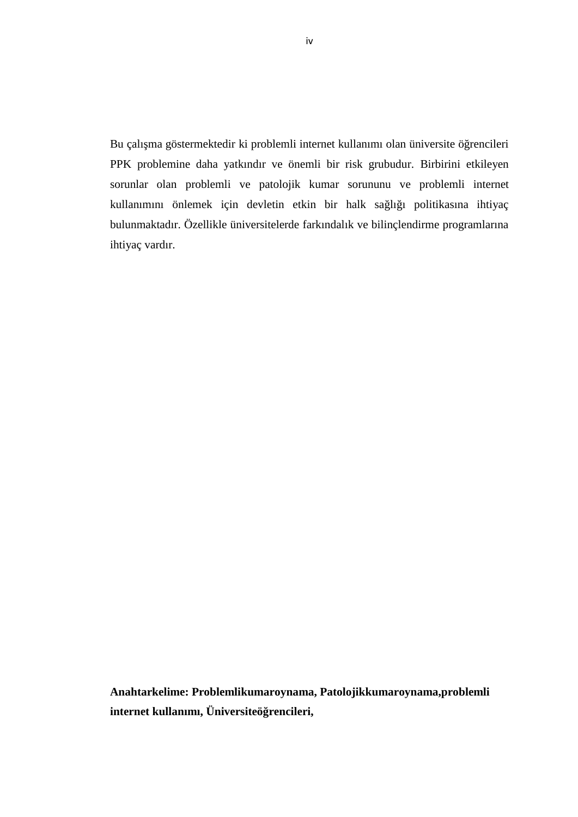Bu çalı ma göstermektedir ki problemli internet kullanımı olan üniversite ö rencileri PPK problemine daha yatkındır ve önemli bir risk grubudur. Birbirini etkileyen sorunlar olan problemli ve patolojik kumar sorununu ve problemli internet kullanımını önlemek için devletin etkin bir halk sa lı ı politikasına ihtiyaç bulunmaktadır. Özellikle üniversitelerde farkındalık ve bilinçlendirme programlarına ihtiyaç vardır.

**Anahtarkelime: Problemlikumaroynama, Patolojikkumaroynama,problemli** internet kullanımı, Üniversiteö rencileri,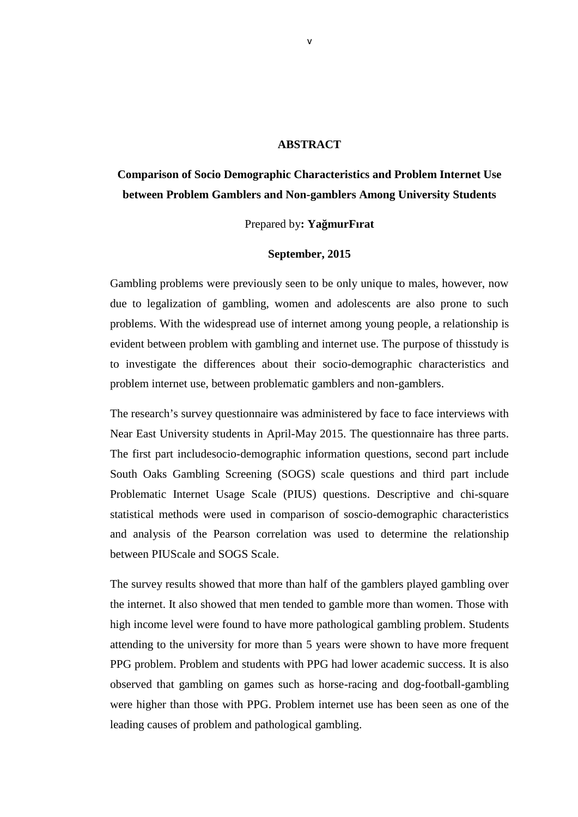#### **ABSTRACT**

## **Comparison of Socio Demographic Characteristics and Problem Internet Use between Problem Gamblers and Non-gamblers Among University Students**

#### Prepared by**: YağmurFırat**

#### **September, 2015**

Gambling problems were previously seen to be only unique to males, however, now due to legalization of gambling, women and adolescents are also prone to such problems. With the widespread use of internet among young people, a relationship is evident between problem with gambling and internet use. The purpose of thisstudy is to investigate the differences about their socio-demographic characteristics and problem internet use, between problematic gamblers and non-gamblers.

The research's survey questionnaire was administered by face to face interviews with Near East University students in April-May 2015. The questionnaire has three parts. The first part includesocio-demographic information questions, second part include South Oaks Gambling Screening (SOGS) scale questions and third part include Problematic Internet Usage Scale (PIUS) questions. Descriptive and chi-square statistical methods were used in comparison of soscio-demographic characteristics and analysis of the Pearson correlation was used to determine the relationship between PIUScale and SOGS Scale.

The survey results showed that more than half of the gamblers played gambling over the internet. It also showed that men tended to gamble more than women. Those with high income level were found to have more pathological gambling problem. Students attending to the university for more than 5 years were shown to have more frequent PPG problem. Problem and students with PPG had lower academic success. It is also observed that gambling on games such as horse-racing and dog-football-gambling were higher than those with PPG. Problem internet use has been seen as one of the leading causes of problem and pathological gambling.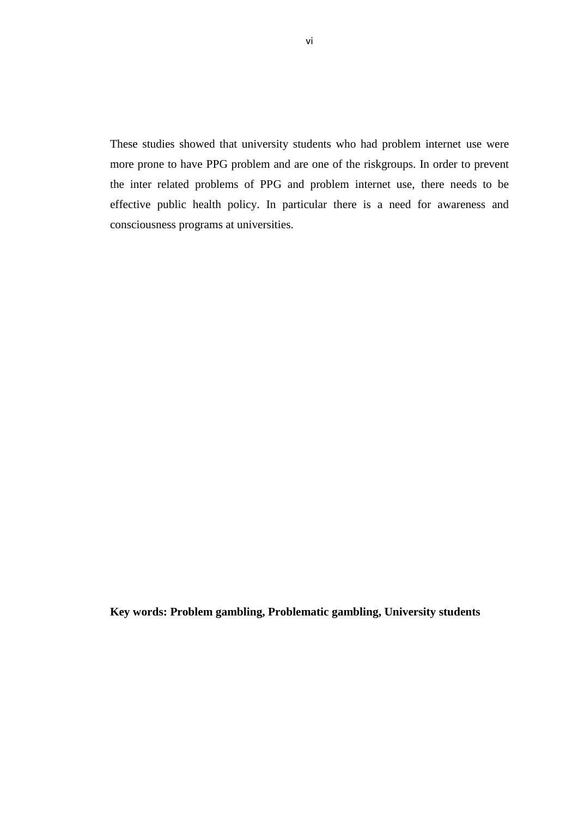These studies showed that university students who had problem internet use were more prone to have PPG problem and are one of the riskgroups. In order to prevent the inter related problems of PPG and problem internet use, there needs to be effective public health policy. In particular there is a need for awareness and consciousness programs at universities.

**Key words: Problem gambling, Problematic gambling, University students**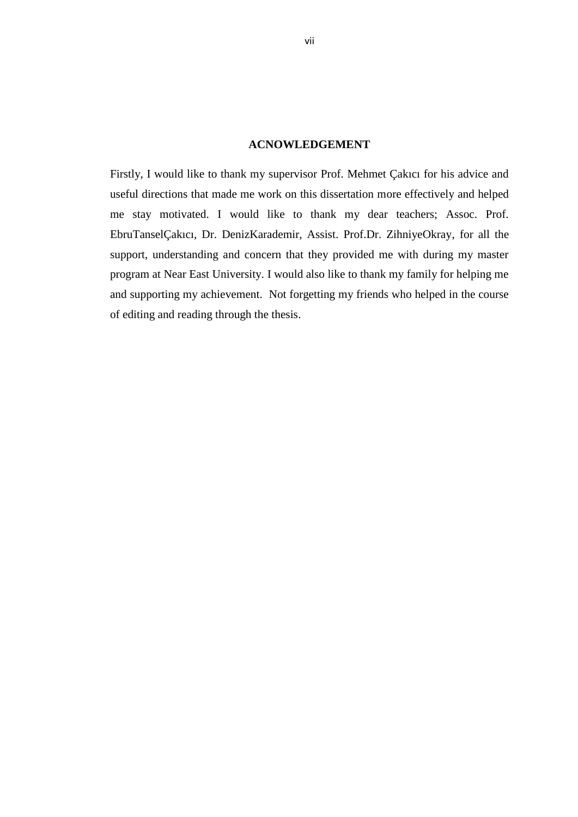#### **ACNOWLEDGEMENT**

Firstly, I would like to thank my supervisor Prof. Mehmet Çakıcı for his advice and useful directions that made me work on this dissertation more effectively and helped me stay motivated. I would like to thank my dear teachers; Assoc. Prof. EbruTanselÇakıcı, Dr. DenizKarademir, Assist. Prof.Dr. ZihniyeOkray, for all the support, understanding and concern that they provided me with during my master program at Near East University. I would also like to thank my family for helping me and supporting my achievement. Not forgetting my friends who helped in the course of editing and reading through the thesis.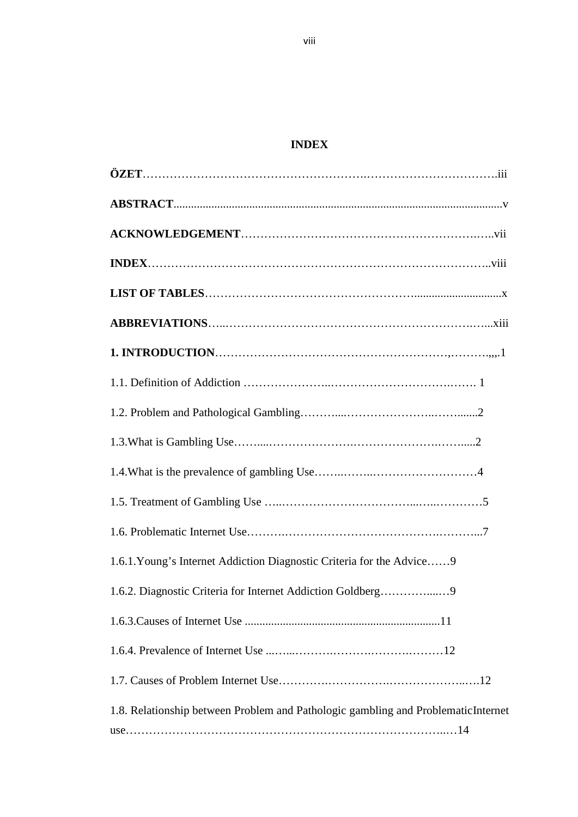## **INDEX**

| 1.6.1. Young's Internet Addiction Diagnostic Criteria for the Advice 9            |
|-----------------------------------------------------------------------------------|
| 1.6.2. Diagnostic Criteria for Internet Addiction Goldberg9                       |
|                                                                                   |
|                                                                                   |
|                                                                                   |
| 1.8. Relationship between Problem and Pathologic gambling and ProblematicInternet |
|                                                                                   |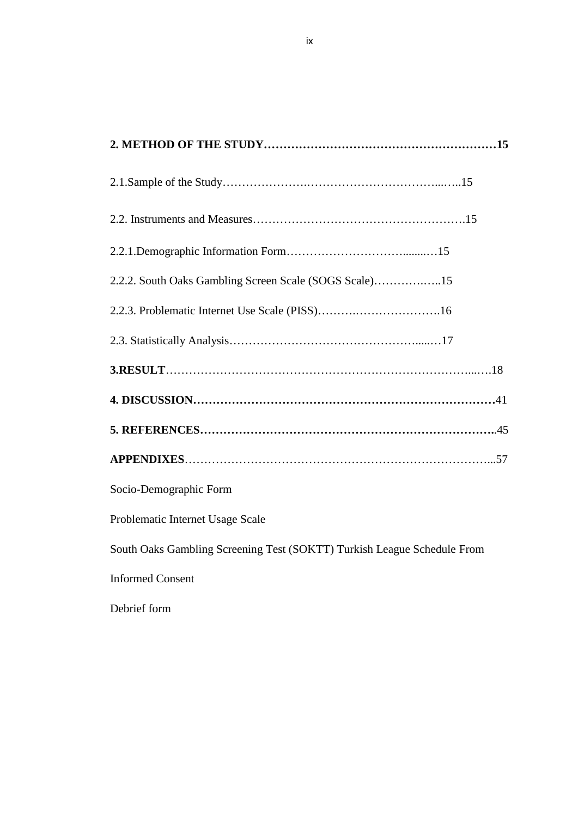| 2.2.2. South Oaks Gambling Screen Scale (SOGS Scale)15                  |  |
|-------------------------------------------------------------------------|--|
|                                                                         |  |
|                                                                         |  |
|                                                                         |  |
|                                                                         |  |
|                                                                         |  |
|                                                                         |  |
| Socio-Demographic Form                                                  |  |
| Problematic Internet Usage Scale                                        |  |
| South Oaks Gambling Screening Test (SOKTT) Turkish League Schedule From |  |
| <b>Informed Consent</b>                                                 |  |
| Debrief form                                                            |  |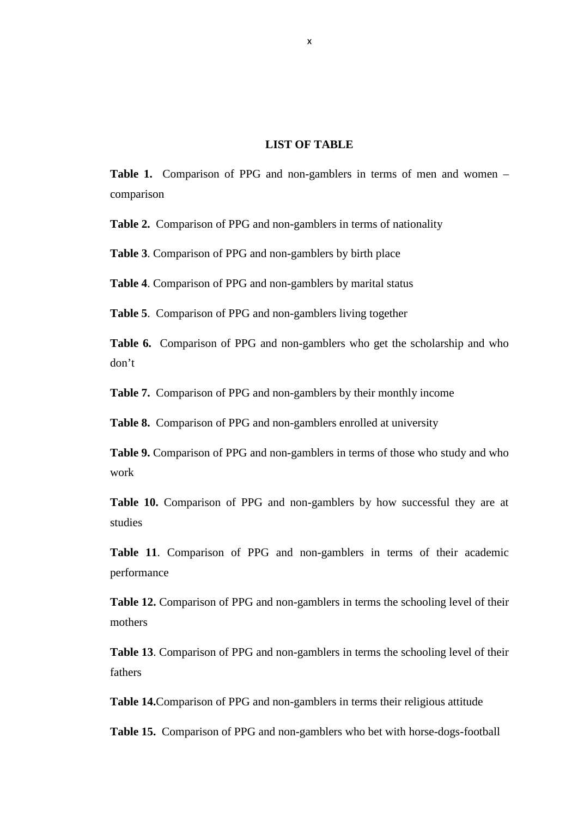#### **LIST OF TABLE**

**Table 1.** Comparison of PPG and non-gamblers in terms of men and women – comparison

**Table 2.** Comparison of PPG and non-gamblers in terms of nationality

**Table 3**. Comparison of PPG and non-gamblers by birth place

**Table 4**. Comparison of PPG and non-gamblers by marital status

**Table 5**. Comparison of PPG and non-gamblers living together

**Table 6.** Comparison of PPG and non-gamblers who get the scholarship and who don't

**Table 7.** Comparison of PPG and non-gamblers by their monthly income

**Table 8.** Comparison of PPG and non-gamblers enrolled at university

**Table 9.** Comparison of PPG and non-gamblers in terms of those who study and who work

**Table 10.** Comparison of PPG and non-gamblers by how successful they are at studies

**Table 11**. Comparison of PPG and non-gamblers in terms of their academic performance

**Table 12.** Comparison of PPG and non-gamblers in terms the schooling level of their mothers

**Table 13**. Comparison of PPG and non-gamblers in terms the schooling level of their fathers

**Table 14.**Comparison of PPG and non-gamblers in terms their religious attitude

**Table 15.** Comparison of PPG and non-gamblers who bet with horse-dogs-football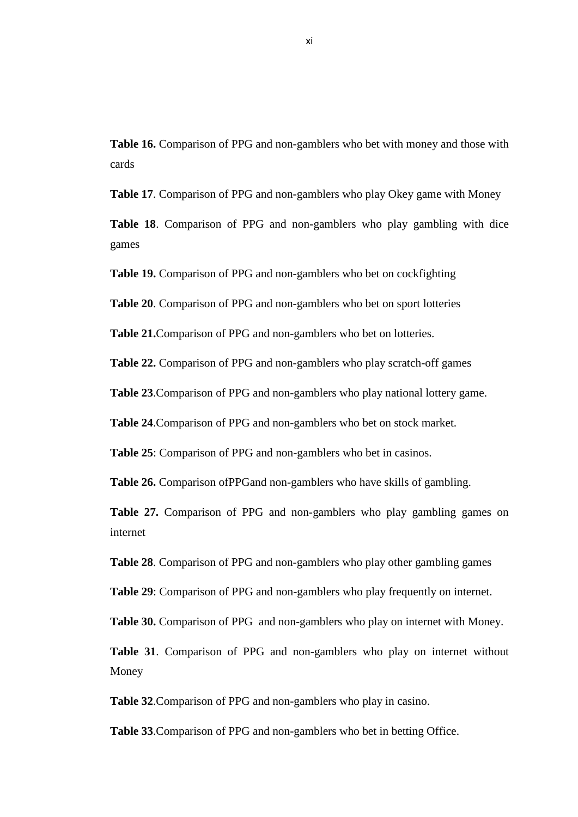**Table 16.** Comparison of PPG and non-gamblers who bet with money and those with cards

**Table 17**. Comparison of PPG and non-gamblers who play Okey game with Money

**Table 18**. Comparison of PPG and non-gamblers who play gambling with dice games

**Table 19.** Comparison of PPG and non-gamblers who bet on cockfighting

**Table 20**. Comparison of PPG and non-gamblers who bet on sport lotteries

**Table 21.**Comparison of PPG and non-gamblers who bet on lotteries.

**Table 22.** Comparison of PPG and non-gamblers who play scratch-off games

**Table 23**.Comparison of PPG and non-gamblers who play national lottery game.

**Table 24**.Comparison of PPG and non-gamblers who bet on stock market.

**Table 25**: Comparison of PPG and non-gamblers who bet in casinos.

**Table 26.** Comparison ofPPGand non-gamblers who have skills of gambling.

**Table 27.** Comparison of PPG and non-gamblers who play gambling games on internet

**Table 28**. Comparison of PPG and non-gamblers who play other gambling games

**Table 29**: Comparison of PPG and non-gamblers who play frequently on internet.

**Table 30.** Comparison of PPG and non-gamblers who play on internet with Money.

**Table 31**. Comparison of PPG and non-gamblers who play on internet without Money

**Table 32**.Comparison of PPG and non-gamblers who play in casino.

**Table 33**.Comparison of PPG and non-gamblers who bet in betting Office.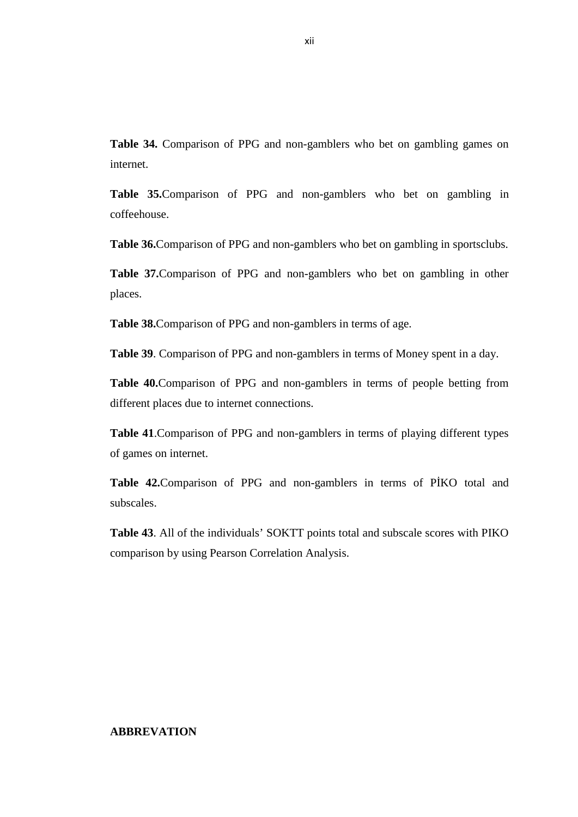**Table 34.** Comparison of PPG and non-gamblers who bet on gambling games on internet.

**Table 35.**Comparison of PPG and non-gamblers who bet on gambling in coffeehouse.

**Table 36.**Comparison of PPG and non-gamblers who bet on gambling in sportsclubs.

**Table 37.**Comparison of PPG and non-gamblers who bet on gambling in other places.

**Table 38.**Comparison of PPG and non-gamblers in terms of age.

**Table 39**. Comparison of PPG and non-gamblers in terms of Money spent in a day.

**Table 40.**Comparison of PPG and non-gamblers in terms of people betting from different places due to internet connections.

**Table 41**.Comparison of PPG and non-gamblers in terms of playing different types of games on internet.

Table 42. Comparison of PPG and non-gamblers in terms of P<sub>KO</sub> total and subscales.

**Table 43**. All of the individuals' SOKTT points total and subscale scores with PIKO comparison by using Pearson Correlation Analysis.

#### **ABBREVATION**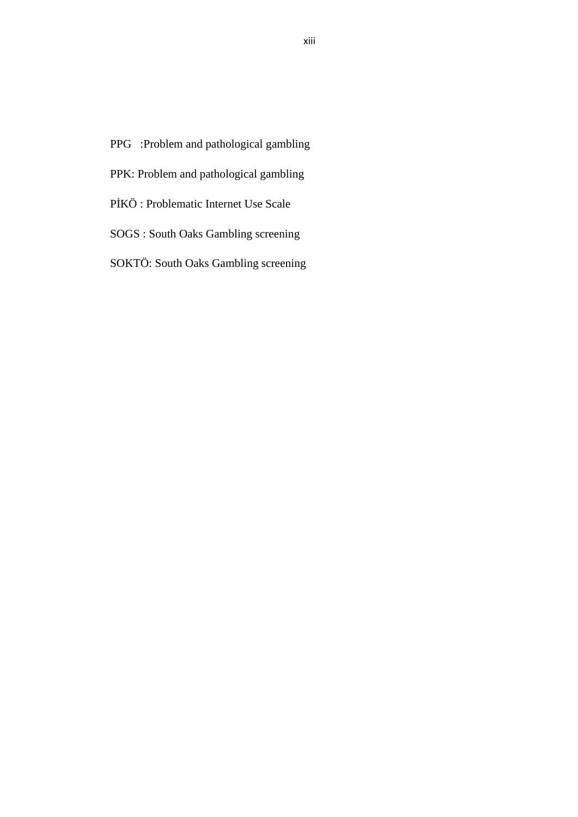- PPG :Problem and pathological gambling
- PPK: Problem and pathological gambling
- PKÖ : Problematic Internet Use Scale
- SOGS : South Oaks Gambling screening
- SOKTÖ: South Oaks Gambling screening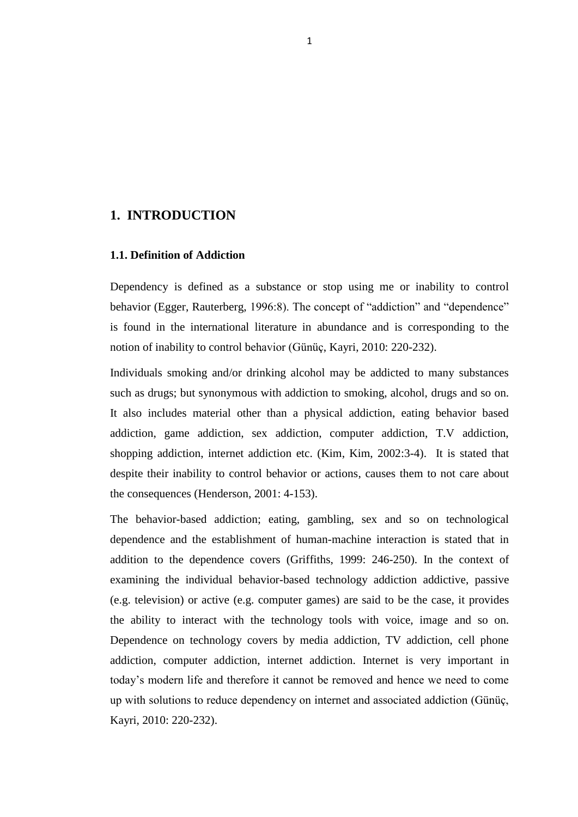#### **1. INTRODUCTION**

#### **1.1. Definition of Addiction**

Dependency is defined as a substance or stop using me or inability to control behavior (Egger, Rauterberg, 1996:8). The concept of "addiction" and "dependence" is found in the international literature in abundance and is corresponding to the notion of inability to control behavior (Günüç, Kayri, 2010: 220-232).

Individuals smoking and/or drinking alcohol may be addicted to many substances such as drugs; but synonymous with addiction to smoking, alcohol, drugs and so on. It also includes material other than a physical addiction, eating behavior based addiction, game addiction, sex addiction, computer addiction, T.V addiction, shopping addiction, internet addiction etc. (Kim, Kim, 2002:3-4). It is stated that despite their inability to control behavior or actions, causes them to not care about the consequences (Henderson, 2001: 4-153).

The behavior-based addiction; eating, gambling, sex and so on technological dependence and the establishment of human-machine interaction is stated that in addition to the dependence covers (Griffiths, 1999: 246-250). In the context of examining the individual behavior-based technology addiction addictive, passive (e.g. television) or active (e.g. computer games) are said to be the case, it provides the ability to interact with the technology tools with voice, image and so on. Dependence on technology covers by media addiction, TV addiction, cell phone addiction, computer addiction, internet addiction. Internet is very important in today"s modern life and therefore it cannot be removed and hence we need to come up with solutions to reduce dependency on internet and associated addiction (Günüç, Kayri, 2010: 220-232).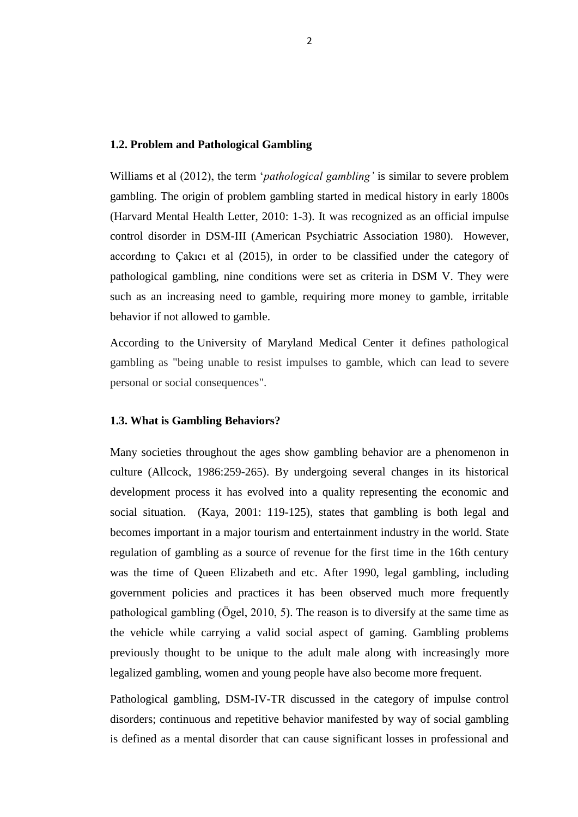#### **1.2. Problem and Pathological Gambling**

Williams et al (2012), the term "*pathological gambling'* is similar to severe problem gambling. The origin of problem gambling started in medical history in early 1800s (Harvard Mental Health Letter, 2010: 1-3). It was recognized as an official impulse control disorder in DSM-III (American Psychiatric Association 1980). However, accordıng to Çakıcı et al (2015), in order to be classified under the category of pathological gambling, nine conditions were set as criteria in DSM V. They were such as an increasing need to gamble, requiring more money to gamble, irritable behavior if not allowed to gamble.

According to the University of Maryland Medical Center it defines pathological gambling as "being unable to resist impulses to gamble, which can lead to severe personal or social consequences".

#### **1.3. What is Gambling Behaviors?**

Many societies throughout the ages show gambling behavior are a phenomenon in culture (Allcock, 1986:259-265). By undergoing several changes in its historical development process it has evolved into a quality representing the economic and social situation. (Kaya, 2001: 119-125), states that gambling is both legal and becomes important in a major tourism and entertainment industry in the world. State regulation of gambling as a source of revenue for the first time in the 16th century was the time of Queen Elizabeth and etc. After 1990, legal gambling, including government policies and practices it has been observed much more frequently pathological gambling (Ögel, 2010, 5). The reason is to diversify at the same time as the vehicle while carrying a valid social aspect of gaming. Gambling problems previously thought to be unique to the adult male along with increasingly more legalized gambling, women and young people have also become more frequent.

Pathological gambling, DSM-IV-TR discussed in the category of impulse control disorders; continuous and repetitive behavior manifested by way of social gambling is defined as a mental disorder that can cause significant losses in professional and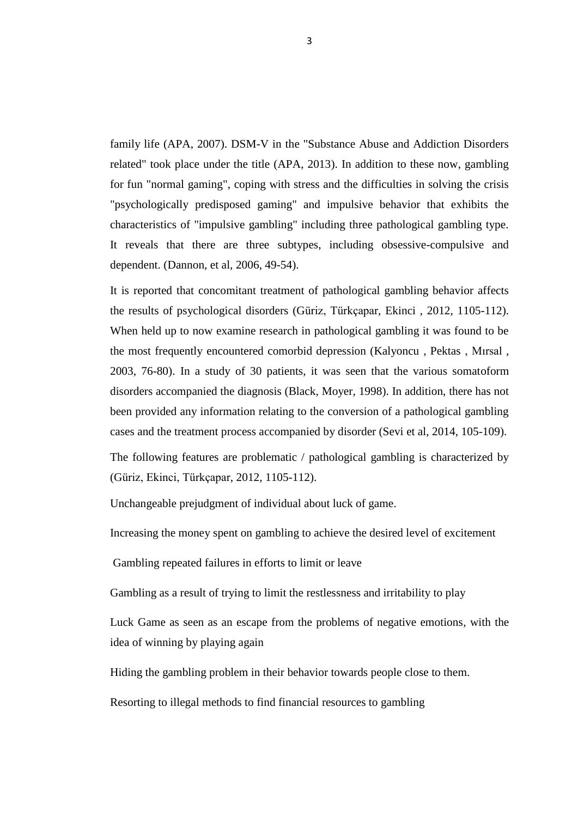family life (APA, 2007). DSM-V in the "Substance Abuse and Addiction Disorders related" took place under the title (APA, 2013). In addition to these now, gambling for fun "normal gaming", coping with stress and the difficulties in solving the crisis "psychologically predisposed gaming" and impulsive behavior that exhibits the characteristics of "impulsive gambling" including three pathological gambling type. It reveals that there are three subtypes, including obsessive-compulsive and dependent. (Dannon, et al, 2006, 49-54).

It is reported that concomitant treatment of pathological gambling behavior affects the results of psychological disorders (Güriz, Türkçapar, Ekinci , 2012, 1105-112). When held up to now examine research in pathological gambling it was found to be the most frequently encountered comorbid depression (Kalyoncu , Pektas , Mırsal , 2003, 76-80). In a study of 30 patients, it was seen that the various somatoform disorders accompanied the diagnosis (Black, Moyer, 1998). In addition, there has not been provided any information relating to the conversion of a pathological gambling cases and the treatment process accompanied by disorder (Sevi et al, 2014, 105-109).

The following features are problematic / pathological gambling is characterized by (Güriz, Ekinci, Türkçapar, 2012, 1105-112).

Unchangeable prejudgment of individual about luck of game.

Increasing the money spent on gambling to achieve the desired level of excitement

Gambling repeated failures in efforts to limit or leave

Gambling as a result of trying to limit the restlessness and irritability to play

Luck Game as seen as an escape from the problems of negative emotions, with the idea of winning by playing again

Hiding the gambling problem in their behavior towards people close to them.

Resorting to illegal methods to find financial resources to gambling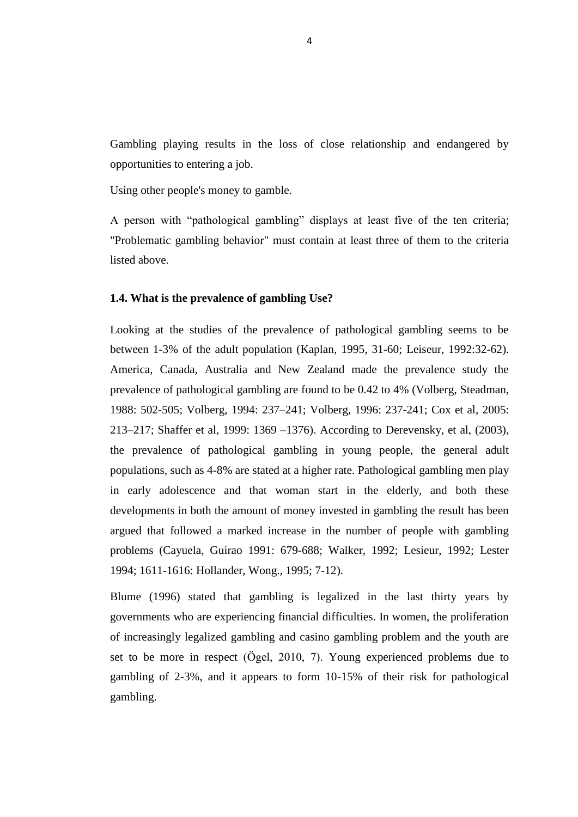Gambling playing results in the loss of close relationship and endangered by opportunities to entering a job.

Using other people's money to gamble.

A person with "pathological gambling" displays at least five of the ten criteria; "Problematic gambling behavior" must contain at least three of them to the criteria listed above.

#### **1.4. What is the prevalence of gambling Use?**

Looking at the studies of the prevalence of pathological gambling seems to be between 1-3% of the adult population (Kaplan, 1995, 31-60; Leiseur, 1992:32-62). America, Canada, Australia and New Zealand made the prevalence study the prevalence of pathological gambling are found to be 0.42 to 4% (Volberg, Steadman, 1988: 502-505; Volberg, 1994: 237–241; Volberg, 1996: 237-241; Cox et al, 2005: 213–217; Shaffer et al, 1999: 1369 –1376). According to Derevensky, et al, (2003), the prevalence of pathological gambling in young people, the general adult populations, such as 4-8% are stated at a higher rate. Pathological gambling men play in early adolescence and that woman start in the elderly, and both these developments in both the amount of money invested in gambling the result has been argued that followed a marked increase in the number of people with gambling problems (Cayuela, Guirao 1991: 679-688; Walker, 1992; Lesieur, 1992; Lester 1994; 1611-1616: Hollander, Wong., 1995; 7-12).

Blume (1996) stated that gambling is legalized in the last thirty years by governments who are experiencing financial difficulties. In women, the proliferation of increasingly legalized gambling and casino gambling problem and the youth are set to be more in respect (Ögel, 2010, 7). Young experienced problems due to gambling of 2-3%, and it appears to form 10-15% of their risk for pathological gambling.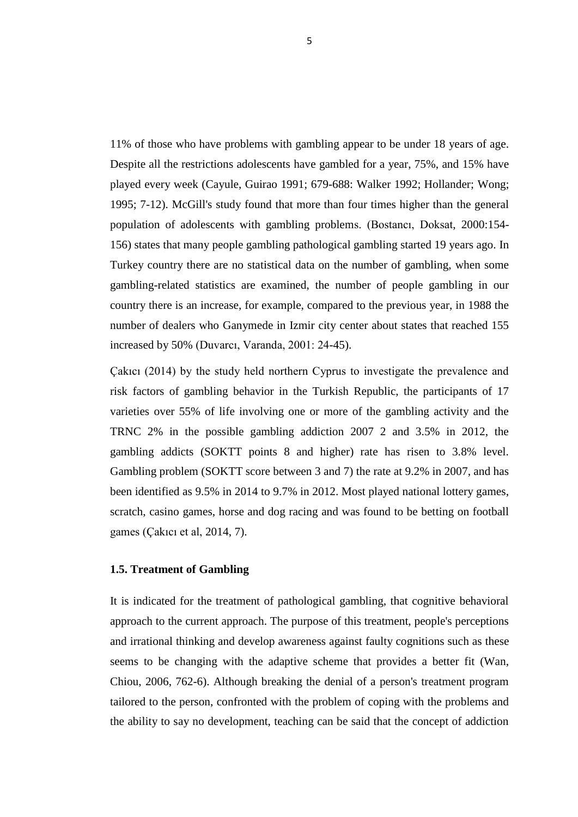11% of those who have problems with gambling appear to be under 18 years of age. Despite all the restrictions adolescents have gambled for a year, 75%, and 15% have played every week (Cayule, Guirao 1991; 679-688: Walker 1992; Hollander; Wong; 1995; 7-12). McGill's study found that more than four times higher than the general population of adolescents with gambling problems. (Bostancı, Doksat, 2000:154- 156) states that many people gambling pathological gambling started 19 years ago. In Turkey country there are no statistical data on the number of gambling, when some gambling-related statistics are examined, the number of people gambling in our country there is an increase, for example, compared to the previous year, in 1988 the number of dealers who Ganymede in Izmir city center about states that reached 155 increased by 50% (Duvarcı, Varanda, 2001: 24-45).

Çakıcı (2014) by the study held northern Cyprus to investigate the prevalence and risk factors of gambling behavior in the Turkish Republic, the participants of 17 varieties over 55% of life involving one or more of the gambling activity and the TRNC 2% in the possible gambling addiction 2007 2 and 3.5% in 2012, the gambling addicts (SOKTT points 8 and higher) rate has risen to 3.8% level. Gambling problem (SOKTT score between 3 and 7) the rate at 9.2% in 2007, and has been identified as 9.5% in 2014 to 9.7% in 2012. Most played national lottery games, scratch, casino games, horse and dog racing and was found to be betting on football games (Çakıcı et al, 2014, 7).

#### **1.5. Treatment of Gambling**

It is indicated for the treatment of pathological gambling, that cognitive behavioral approach to the current approach. The purpose of this treatment, people's perceptions and irrational thinking and develop awareness against faulty cognitions such as these seems to be changing with the adaptive scheme that provides a better fit (Wan, Chiou, 2006, 762-6). Although breaking the denial of a person's treatment program tailored to the person, confronted with the problem of coping with the problems and the ability to say no development, teaching can be said that the concept of addiction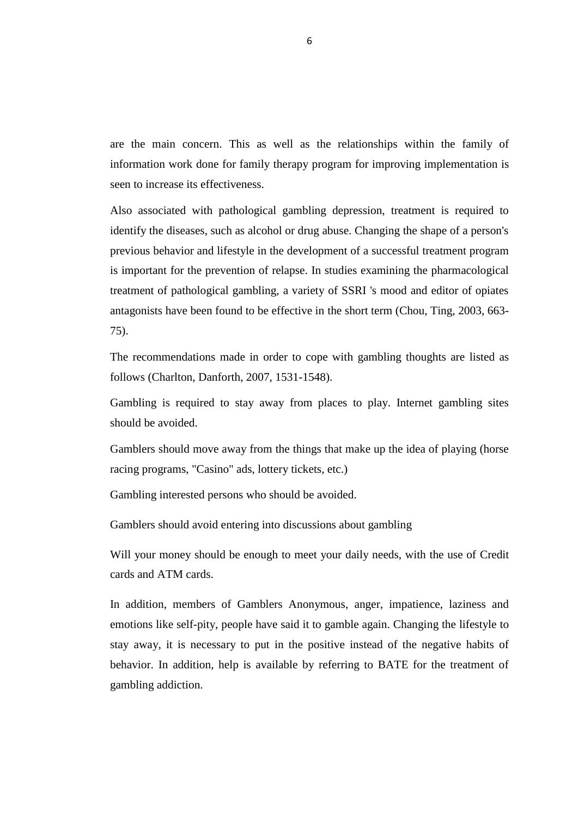are the main concern. This as well as the relationships within the family of information work done for family therapy program for improving implementation is seen to increase its effectiveness.

Also associated with pathological gambling depression, treatment is required to identify the diseases, such as alcohol or drug abuse. Changing the shape of a person's previous behavior and lifestyle in the development of a successful treatment program is important for the prevention of relapse. In studies examining the pharmacological treatment of pathological gambling, a variety of SSRI 's mood and editor of opiates antagonists have been found to be effective in the short term (Chou, Ting, 2003, 663- 75).

The recommendations made in order to cope with gambling thoughts are listed as follows (Charlton, Danforth, 2007, 1531-1548).

Gambling is required to stay away from places to play. Internet gambling sites should be avoided.

Gamblers should move away from the things that make up the idea of playing (horse racing programs, "Casino" ads, lottery tickets, etc.)

Gambling interested persons who should be avoided.

Gamblers should avoid entering into discussions about gambling

Will your money should be enough to meet your daily needs, with the use of Credit cards and ATM cards.

In addition, members of Gamblers Anonymous, anger, impatience, laziness and emotions like self-pity, people have said it to gamble again. Changing the lifestyle to stay away, it is necessary to put in the positive instead of the negative habits of behavior. In addition, help is available by referring to BATE for the treatment of gambling addiction.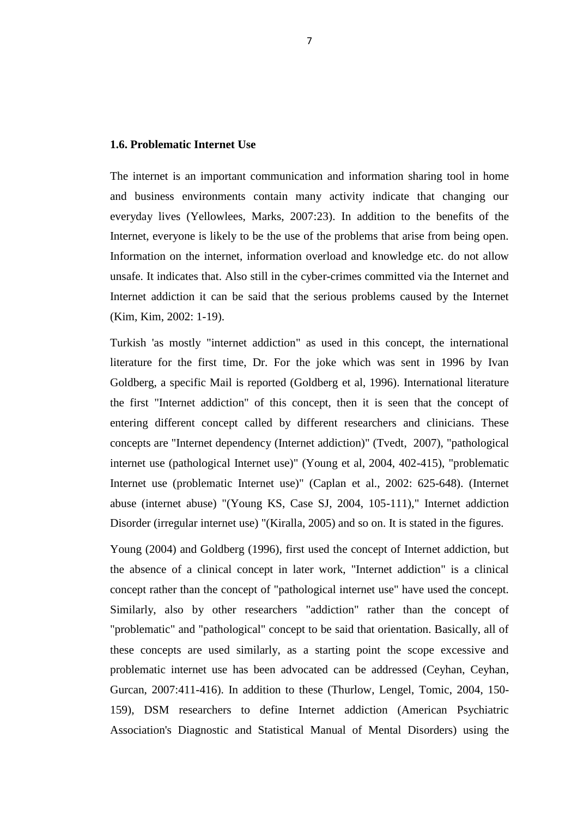#### **1.6. Problematic Internet Use**

The internet is an important communication and information sharing tool in home and business environments contain many activity indicate that changing our everyday lives (Yellowlees, Marks, 2007:23). In addition to the benefits of the Internet, everyone is likely to be the use of the problems that arise from being open. Information on the internet, information overload and knowledge etc. do not allow unsafe. It indicates that. Also still in the cyber-crimes committed via the Internet and Internet addiction it can be said that the serious problems caused by the Internet (Kim, Kim, 2002: 1-19).

Turkish 'as mostly "internet addiction" as used in this concept, the international literature for the first time, Dr. For the joke which was sent in 1996 by Ivan Goldberg, a specific Mail is reported (Goldberg et al, 1996). International literature the first "Internet addiction" of this concept, then it is seen that the concept of entering different concept called by different researchers and clinicians. These concepts are "Internet dependency (Internet addiction)" (Tvedt, 2007), "pathological internet use (pathological Internet use)" (Young et al, 2004, 402-415), "problematic Internet use (problematic Internet use)" (Caplan et al., 2002: 625-648). (Internet abuse (internet abuse) "(Young KS, Case SJ, 2004, 105-111)," Internet addiction Disorder (irregular internet use) "(Kiralla, 2005) and so on. It is stated in the figures.

Young (2004) and Goldberg (1996), first used the concept of Internet addiction, but the absence of a clinical concept in later work, "Internet addiction" is a clinical concept rather than the concept of "pathological internet use" have used the concept. Similarly, also by other researchers "addiction" rather than the concept of "problematic" and "pathological" concept to be said that orientation. Basically, all of these concepts are used similarly, as a starting point the scope excessive and problematic internet use has been advocated can be addressed (Ceyhan, Ceyhan, Gurcan, 2007:411-416). In addition to these (Thurlow, Lengel, Tomic, 2004, 150- 159), DSM researchers to define Internet addiction (American Psychiatric Association's Diagnostic and Statistical Manual of Mental Disorders) using the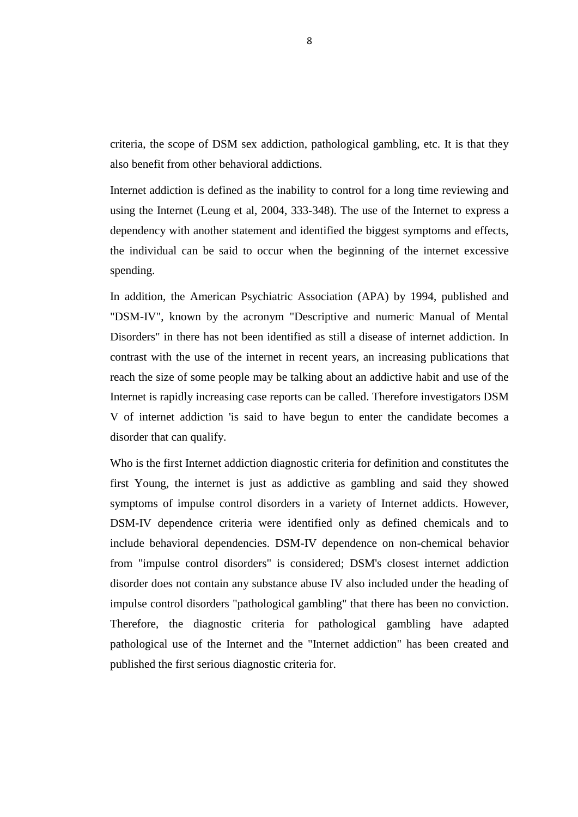criteria, the scope of DSM sex addiction, pathological gambling, etc. It is that they also benefit from other behavioral addictions.

Internet addiction is defined as the inability to control for a long time reviewing and using the Internet (Leung et al, 2004, 333-348). The use of the Internet to express a dependency with another statement and identified the biggest symptoms and effects, the individual can be said to occur when the beginning of the internet excessive spending.

In addition, the American Psychiatric Association (APA) by 1994, published and "DSM-IV", known by the acronym "Descriptive and numeric Manual of Mental Disorders" in there has not been identified as still a disease of internet addiction. In contrast with the use of the internet in recent years, an increasing publications that reach the size of some people may be talking about an addictive habit and use of the Internet is rapidly increasing case reports can be called. Therefore investigators DSM V of internet addiction 'is said to have begun to enter the candidate becomes a disorder that can qualify.

Who is the first Internet addiction diagnostic criteria for definition and constitutes the first Young, the internet is just as addictive as gambling and said they showed symptoms of impulse control disorders in a variety of Internet addicts. However, DSM-IV dependence criteria were identified only as defined chemicals and to include behavioral dependencies. DSM-IV dependence on non-chemical behavior from "impulse control disorders" is considered; DSM's closest internet addiction disorder does not contain any substance abuse IV also included under the heading of impulse control disorders "pathological gambling" that there has been no conviction. Therefore, the diagnostic criteria for pathological gambling have adapted pathological use of the Internet and the "Internet addiction" has been created and published the first serious diagnostic criteria for.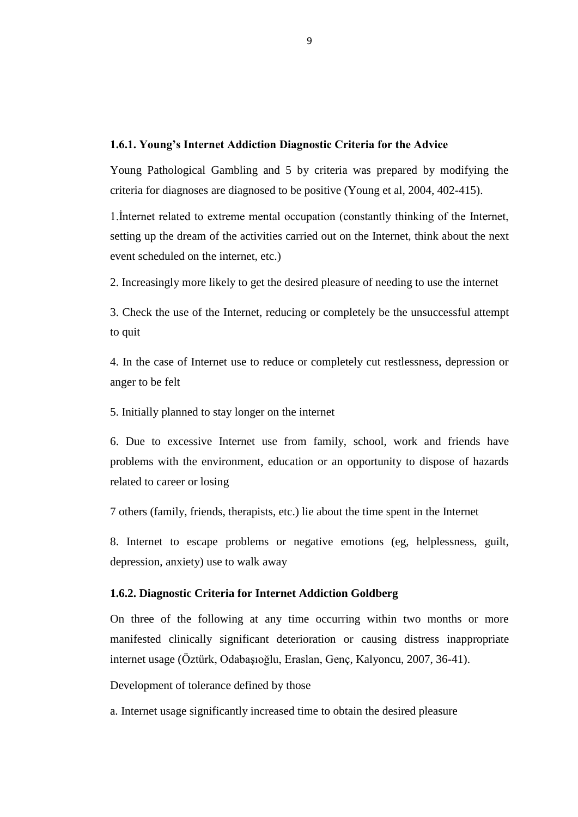#### **1.6.1. Young's Internet Addiction Diagnostic Criteria for the Advice**

Young Pathological Gambling and 5 by criteria was prepared by modifying the criteria for diagnoses are diagnosed to be positive (Young et al, 2004, 402-415).

1.İnternet related to extreme mental occupation (constantly thinking of the Internet, setting up the dream of the activities carried out on the Internet, think about the next event scheduled on the internet, etc.)

2. Increasingly more likely to get the desired pleasure of needing to use the internet

3. Check the use of the Internet, reducing or completely be the unsuccessful attempt to quit

4. In the case of Internet use to reduce or completely cut restlessness, depression or anger to be felt

5. Initially planned to stay longer on the internet

6. Due to excessive Internet use from family, school, work and friends have problems with the environment, education or an opportunity to dispose of hazards related to career or losing

7 others (family, friends, therapists, etc.) lie about the time spent in the Internet

8. Internet to escape problems or negative emotions (eg, helplessness, guilt, depression, anxiety) use to walk away

#### **1.6.2. Diagnostic Criteria for Internet Addiction Goldberg**

On three of the following at any time occurring within two months or more manifested clinically significant deterioration or causing distress inappropriate internet usage (Öztürk, Odabaşıoğlu, Eraslan, Genç, Kalyoncu, 2007, 36-41).

Development of tolerance defined by those

a. Internet usage significantly increased time to obtain the desired pleasure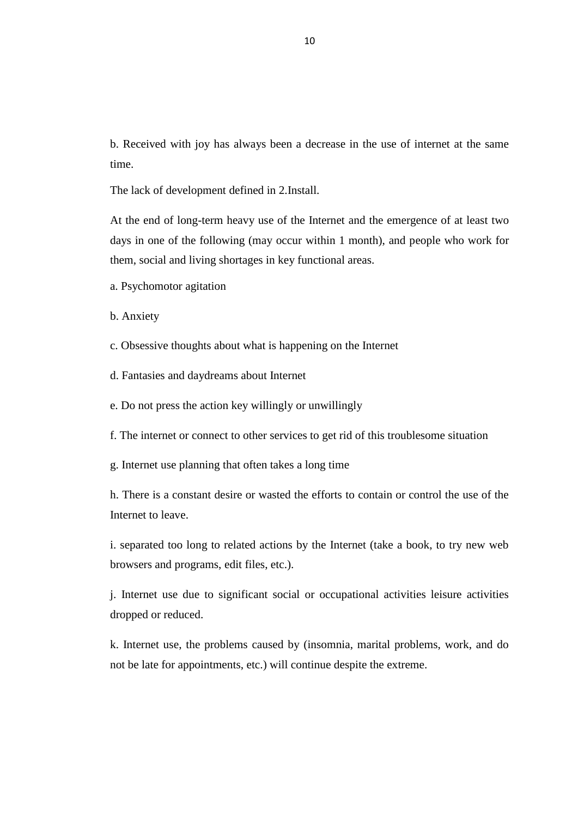b. Received with joy has always been a decrease in the use of internet at the same time.

The lack of development defined in 2.Install.

At the end of long-term heavy use of the Internet and the emergence of at least two days in one of the following (may occur within 1 month), and people who work for them, social and living shortages in key functional areas.

- a. Psychomotor agitation
- b. Anxiety
- c. Obsessive thoughts about what is happening on the Internet
- d. Fantasies and daydreams about Internet
- e. Do not press the action key willingly or unwillingly
- f. The internet or connect to other services to get rid of this troublesome situation
- g. Internet use planning that often takes a long time

h. There is a constant desire or wasted the efforts to contain or control the use of the Internet to leave.

i. separated too long to related actions by the Internet (take a book, to try new web browsers and programs, edit files, etc.).

j. Internet use due to significant social or occupational activities leisure activities dropped or reduced.

k. Internet use, the problems caused by (insomnia, marital problems, work, and do not be late for appointments, etc.) will continue despite the extreme.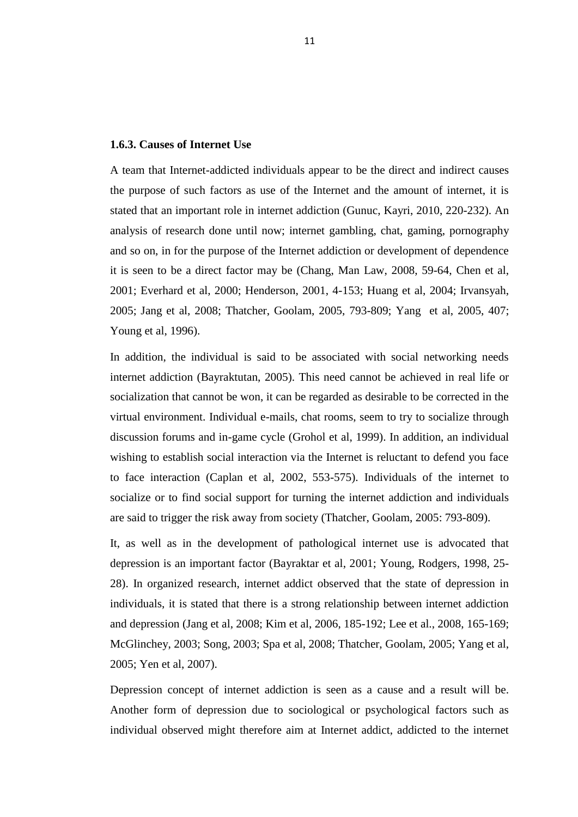#### **1.6.3. Causes of Internet Use**

A team that Internet-addicted individuals appear to be the direct and indirect causes the purpose of such factors as use of the Internet and the amount of internet, it is stated that an important role in internet addiction (Gunuc, Kayri, 2010, 220-232). An analysis of research done until now; internet gambling, chat, gaming, pornography and so on, in for the purpose of the Internet addiction or development of dependence it is seen to be a direct factor may be (Chang, Man Law, 2008, 59-64, Chen et al, 2001; Everhard et al, 2000; Henderson, 2001, 4-153; Huang et al, 2004; Irvansyah, 2005; Jang et al, 2008; Thatcher, Goolam, 2005, 793-809; Yang et al, 2005, 407; Young et al, 1996).

In addition, the individual is said to be associated with social networking needs internet addiction (Bayraktutan, 2005). This need cannot be achieved in real life or socialization that cannot be won, it can be regarded as desirable to be corrected in the virtual environment. Individual e-mails, chat rooms, seem to try to socialize through discussion forums and in-game cycle (Grohol et al, 1999). In addition, an individual wishing to establish social interaction via the Internet is reluctant to defend you face to face interaction (Caplan et al, 2002, 553-575). Individuals of the internet to socialize or to find social support for turning the internet addiction and individuals are said to trigger the risk away from society (Thatcher, Goolam, 2005: 793-809).

It, as well as in the development of pathological internet use is advocated that depression is an important factor (Bayraktar et al, 2001; Young, Rodgers, 1998, 25- 28). In organized research, internet addict observed that the state of depression in individuals, it is stated that there is a strong relationship between internet addiction and depression (Jang et al, 2008; Kim et al, 2006, 185-192; Lee et al., 2008, 165-169; McGlinchey, 2003; Song, 2003; Spa et al, 2008; Thatcher, Goolam, 2005; Yang et al, 2005; Yen et al, 2007).

Depression concept of internet addiction is seen as a cause and a result will be. Another form of depression due to sociological or psychological factors such as individual observed might therefore aim at Internet addict, addicted to the internet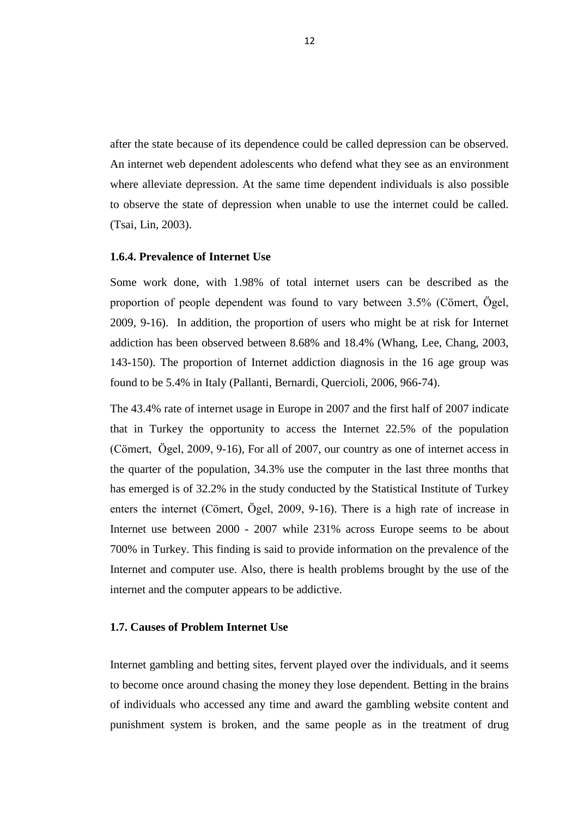after the state because of its dependence could be called depression can be observed. An internet web dependent adolescents who defend what they see as an environment where alleviate depression. At the same time dependent individuals is also possible to observe the state of depression when unable to use the internet could be called. (Tsai, Lin, 2003).

#### **1.6.4. Prevalence of Internet Use**

Some work done, with 1.98% of total internet users can be described as the proportion of people dependent was found to vary between 3.5% (Cömert, Ögel, 2009, 9-16). In addition, the proportion of users who might be at risk for Internet addiction has been observed between 8.68% and 18.4% (Whang, Lee, Chang, 2003, 143-150). The proportion of Internet addiction diagnosis in the 16 age group was found to be 5.4% in Italy (Pallanti, Bernardi, Quercioli, 2006, 966-74).

The 43.4% rate of internet usage in Europe in 2007 and the first half of 2007 indicate that in Turkey the opportunity to access the Internet 22.5% of the population (Cömert, Ögel, 2009, 9-16), For all of 2007, our country as one of internet access in the quarter of the population, 34.3% use the computer in the last three months that has emerged is of 32.2% in the study conducted by the Statistical Institute of Turkey enters the internet (Cömert, Ögel, 2009, 9-16). There is a high rate of increase in Internet use between 2000 - 2007 while 231% across Europe seems to be about 700% in Turkey. This finding is said to provide information on the prevalence of the Internet and computer use. Also, there is health problems brought by the use of the internet and the computer appears to be addictive.

#### **1.7. Causes of Problem Internet Use**

Internet gambling and betting sites, fervent played over the individuals, and it seems to become once around chasing the money they lose dependent. Betting in the brains of individuals who accessed any time and award the gambling website content and punishment system is broken, and the same people as in the treatment of drug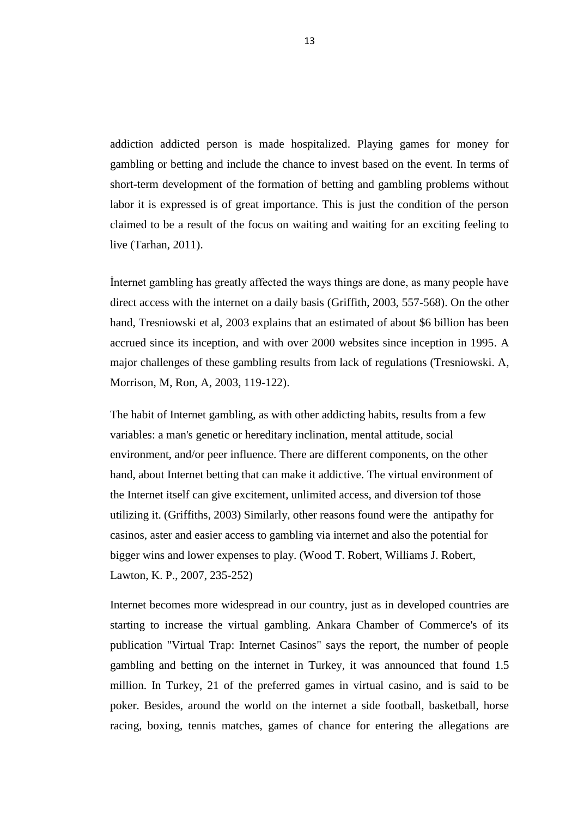addiction addicted person is made hospitalized. Playing games for money for gambling or betting and include the chance to invest based on the event. In terms of short-term development of the formation of betting and gambling problems without labor it is expressed is of great importance. This is just the condition of the person claimed to be a result of the focus on waiting and waiting for an exciting feeling to live (Tarhan, 2011).

İnternet gambling has greatly affected the ways things are done, as many people have direct access with the internet on a daily basis (Griffith, 2003, 557-568). On the other hand, Tresniowski et al, 2003 explains that an estimated of about \$6 billion has been accrued since its inception, and with over 2000 websites since inception in 1995. A major challenges of these gambling results from lack of regulations (Tresniowski. A, Morrison, M, Ron, A, 2003, 119-122).

The habit of Internet gambling, as with other addicting habits, results from a few variables: a man's genetic or hereditary inclination, mental attitude, social environment, and/or peer influence. There are different components, on the other hand, about Internet betting that can make it addictive. The virtual environment of the Internet itself can give excitement, unlimited access, and diversion tof those utilizing it. (Griffiths, 2003) Similarly, other reasons found were the antipathy for casinos, aster and easier access to gambling via internet and also the potential for bigger wins and lower expenses to play. (Wood T. Robert, Williams J. Robert, Lawton, K. P., 2007, 235-252)

Internet becomes more widespread in our country, just as in developed countries are starting to increase the virtual gambling. Ankara Chamber of Commerce's of its publication "Virtual Trap: Internet Casinos" says the report, the number of people gambling and betting on the internet in Turkey, it was announced that found 1.5 million. In Turkey, 21 of the preferred games in virtual casino, and is said to be poker. Besides, around the world on the internet a side football, basketball, horse racing, boxing, tennis matches, games of chance for entering the allegations are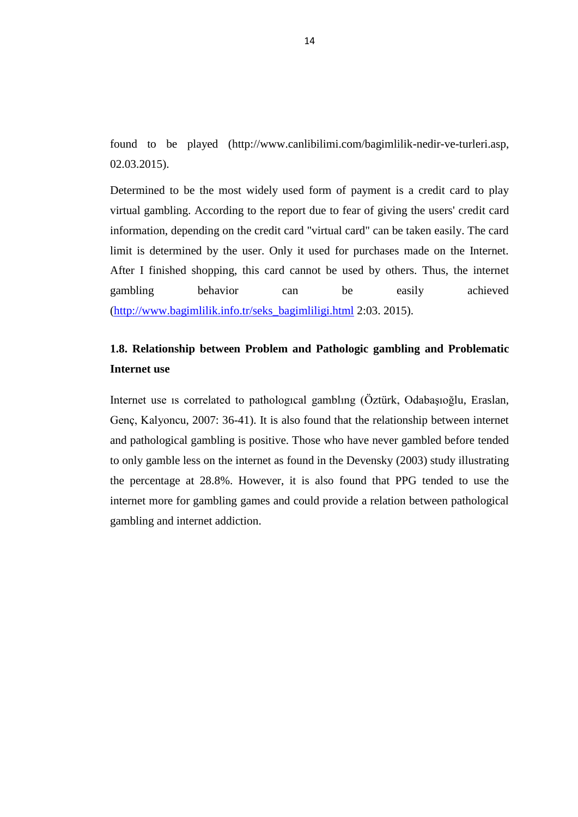found to be played (http://www.canlibilimi.com/bagimlilik-nedir-ve-turleri.asp, 02.03.2015).

Determined to be the most widely used form of payment is a credit card to play virtual gambling. According to the report due to fear of giving the users' credit card information, depending on the credit card "virtual card" can be taken easily. The card limit is determined by the user. Only it used for purchases made on the Internet. After I finished shopping, this card cannot be used by others. Thus, the internet gambling behavior can be easily achieved [\(http://www.bagimlilik.info.tr/seks\\_bagimliligi.html](http://www.bagimlilik.info.tr/seks_bagimliligi.html) 2:03. 2015).

## **1.8. Relationship between Problem and Pathologic gambling and Problematic Internet use**

Internet use ıs correlated to pathologıcal gamblıng (Öztürk, Odabaşıoğlu, Eraslan, Genç, Kalyoncu, 2007: 36-41). It is also found that the relationship between internet and pathological gambling is positive. Those who have never gambled before tended to only gamble less on the internet as found in the Devensky (2003) study illustrating the percentage at 28.8%. However, it is also found that PPG tended to use the internet more for gambling games and could provide a relation between pathological gambling and internet addiction.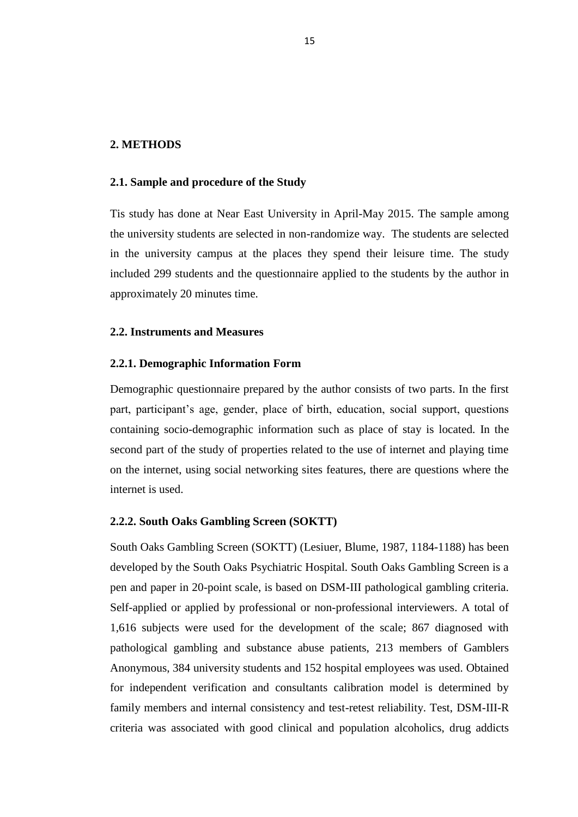#### **2. METHODS**

#### **2.1. Sample and procedure of the Study**

Tis study has done at Near East University in April-May 2015. The sample among the university students are selected in non-randomize way. The students are selected in the university campus at the places they spend their leisure time. The study included 299 students and the questionnaire applied to the students by the author in approximately 20 minutes time.

#### **2.2. Instruments and Measures**

#### **2.2.1. Demographic Information Form**

Demographic questionnaire prepared by the author consists of two parts. In the first part, participant's age, gender, place of birth, education, social support, questions containing socio-demographic information such as place of stay is located. In the second part of the study of properties related to the use of internet and playing time on the internet, using social networking sites features, there are questions where the internet is used.

#### **2.2.2. South Oaks Gambling Screen (SOKTT)**

South Oaks Gambling Screen (SOKTT) (Lesiuer, Blume, 1987, 1184-1188) has been developed by the South Oaks Psychiatric Hospital. South Oaks Gambling Screen is a pen and paper in 20-point scale, is based on DSM-III pathological gambling criteria. Self-applied or applied by professional or non-professional interviewers. A total of 1,616 subjects were used for the development of the scale; 867 diagnosed with pathological gambling and substance abuse patients, 213 members of Gamblers Anonymous, 384 university students and 152 hospital employees was used. Obtained for independent verification and consultants calibration model is determined by family members and internal consistency and test-retest reliability. Test, DSM-III-R criteria was associated with good clinical and population alcoholics, drug addicts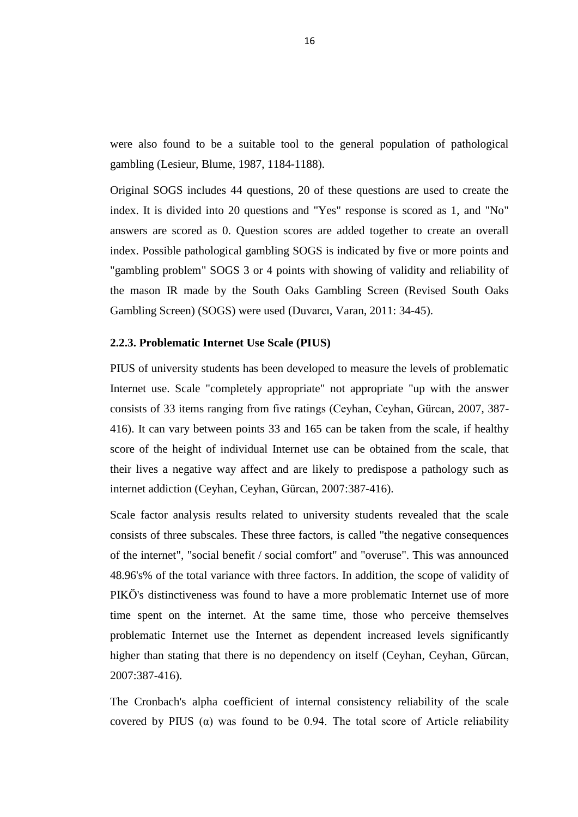were also found to be a suitable tool to the general population of pathological gambling (Lesieur, Blume, 1987, 1184-1188).

Original SOGS includes 44 questions, 20 of these questions are used to create the index. It is divided into 20 questions and "Yes" response is scored as 1, and "No" answers are scored as 0. Question scores are added together to create an overall index. Possible pathological gambling SOGS is indicated by five or more points and "gambling problem" SOGS 3 or 4 points with showing of validity and reliability of the mason IR made by the South Oaks Gambling Screen (Revised South Oaks Gambling Screen) (SOGS) were used (Duvarcı, Varan, 2011: 34-45).

#### **2.2.3. Problematic Internet Use Scale (PIUS)**

PIUS of university students has been developed to measure the levels of problematic Internet use. Scale "completely appropriate" not appropriate "up with the answer consists of 33 items ranging from five ratings (Ceyhan, Ceyhan, Gürcan, 2007, 387- 416). It can vary between points 33 and 165 can be taken from the scale, if healthy score of the height of individual Internet use can be obtained from the scale, that their lives a negative way affect and are likely to predispose a pathology such as internet addiction (Ceyhan, Ceyhan, Gürcan, 2007:387-416).

Scale factor analysis results related to university students revealed that the scale consists of three subscales. These three factors, is called "the negative consequences of the internet", "social benefit / social comfort" and "overuse". This was announced 48.96's% of the total variance with three factors. In addition, the scope of validity of PIKÖ's distinctiveness was found to have a more problematic Internet use of more time spent on the internet. At the same time, those who perceive themselves problematic Internet use the Internet as dependent increased levels significantly higher than stating that there is no dependency on itself (Ceyhan, Ceyhan, Gürcan, 2007:387-416).

The Cronbach's alpha coefficient of internal consistency reliability of the scale covered by PIUS ( $\alpha$ ) was found to be 0.94. The total score of Article reliability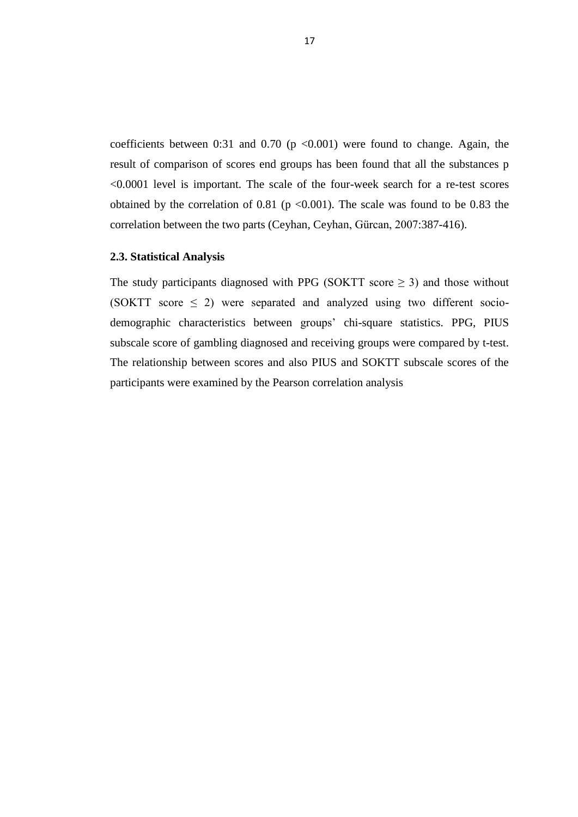coefficients between 0:31 and 0.70 ( $p \le 0.001$ ) were found to change. Again, the result of comparison of scores end groups has been found that all the substances p <0.0001 level is important. The scale of the four-week search for a re-test scores obtained by the correlation of 0.81 ( $p \le 0.001$ ). The scale was found to be 0.83 the correlation between the two parts (Ceyhan, Ceyhan, Gürcan, 2007:387-416).

#### **2.3. Statistical Analysis**

The study participants diagnosed with PPG (SOKTT score  $\geq$  3) and those without (SOKTT score  $\leq$  2) were separated and analyzed using two different sociodemographic characteristics between groups" chi-square statistics. PPG, PIUS subscale score of gambling diagnosed and receiving groups were compared by t-test. The relationship between scores and also PIUS and SOKTT subscale scores of the participants were examined by the Pearson correlation analysis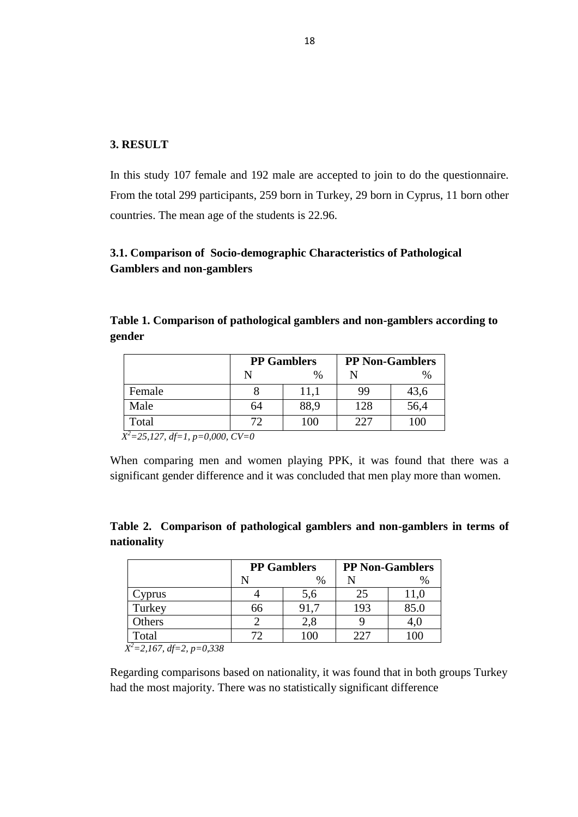#### **3. RESULT**

In this study 107 female and 192 male are accepted to join to do the questionnaire. From the total 299 participants, 259 born in Turkey, 29 born in Cyprus, 11 born other countries. The mean age of the students is 22.96.

### **3.1. Comparison of Socio-demographic Characteristics of Pathological Gamblers and non-gamblers**

**Table 1. Comparison of pathological gamblers and non-gamblers according to gender**

|                   |    | <b>PP</b> Gamblers | <b>PP Non-Gamblers</b> |               |  |
|-------------------|----|--------------------|------------------------|---------------|--|
|                   |    | $\frac{0}{0}$      |                        | $\frac{0}{0}$ |  |
| Female            |    | 11,1               | 99                     | 43,6          |  |
| Male              | 64 | 88,9               | 128                    | 56,4          |  |
| Total<br>$-2$ $-$ | 70 | 100                | 227                    | 100           |  |

*X <sup>2</sup>=25,127, df=1, p=0,000, CV=0*

When comparing men and women playing PPK, it was found that there was a significant gender difference and it was concluded that men play more than women.

**Table 2. Comparison of pathological gamblers and non-gamblers in terms of nationality**

|               |    | <b>PP Gamblers</b> | <b>PP Non-Gamblers</b> |      |  |
|---------------|----|--------------------|------------------------|------|--|
|               |    | %                  |                        | $\%$ |  |
| <b>v</b> prus |    | 5,6                | 25                     |      |  |
| Turkey        | 66 | 91.7               | 193                    | 85.0 |  |
| Others        |    | 2,8                |                        | 4.U  |  |
| Total         |    |                    | 227                    |      |  |

 *X <sup>2</sup>=2,167, df=2, p=0,338*

Regarding comparisons based on nationality, it was found that in both groups Turkey had the most majority. There was no statistically significant difference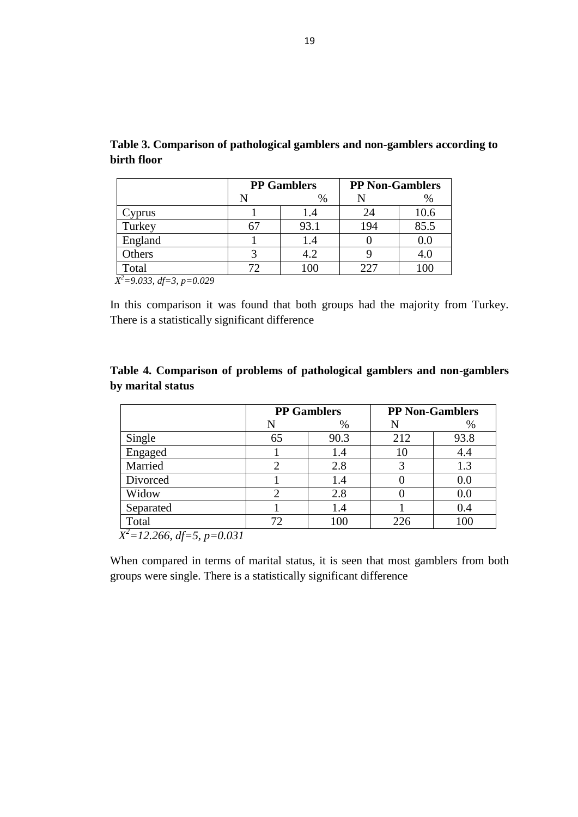|                                          |   | <b>PP</b> Gamblers | <b>PP Non-Gamblers</b> |      |  |
|------------------------------------------|---|--------------------|------------------------|------|--|
|                                          | N | %                  |                        | %    |  |
| 'yprus                                   |   | 1.4                | 24                     | 10.6 |  |
| Turkey                                   |   | 93.1               | 194                    | 85.5 |  |
| England                                  |   | 1.4                |                        | 0.0  |  |
| Others                                   |   | 4.2                |                        | 4.0  |  |
| Total<br>$V^2$ 0.022 $\mu$ 2 $\mu$ 0.020 |   | 100                | $22^r$                 | 100  |  |

**Table 3. Comparison of pathological gamblers and non-gamblers according to birth floor**

*X <sup>2</sup>=9.033, df=3, p=0.029*

In this comparison it was found that both groups had the majority from Turkey. There is a statistically significant difference

| Table 4. Comparison of problems of pathological gamblers and non-gamblers |  |  |  |
|---------------------------------------------------------------------------|--|--|--|
| by marital status                                                         |  |  |  |

|                                  |    | <b>PP Gamblers</b> |     | <b>PP Non-Gamblers</b> |
|----------------------------------|----|--------------------|-----|------------------------|
|                                  | N  | $\%$               |     | %                      |
| Single                           | 65 | 90.3               | 212 | 93.8                   |
| Engaged                          |    | 1.4                | 10  | 4.4                    |
| Married                          |    | 2.8                |     | 1.3                    |
| Divorced                         |    | 1.4                |     | 0.0                    |
| Widow                            |    | 2.8                |     | 0.0                    |
| Separated                        |    | 1.4                |     | 0.4                    |
| Total                            |    | 100                | 226 | 100                    |
| $V^2$ 12.266 If $\epsilon$ 0.021 |    |                    |     |                        |

*X <sup>2</sup>=12.266, df=5, p=0.031*

When compared in terms of marital status, it is seen that most gamblers from both groups were single. There is a statistically significant difference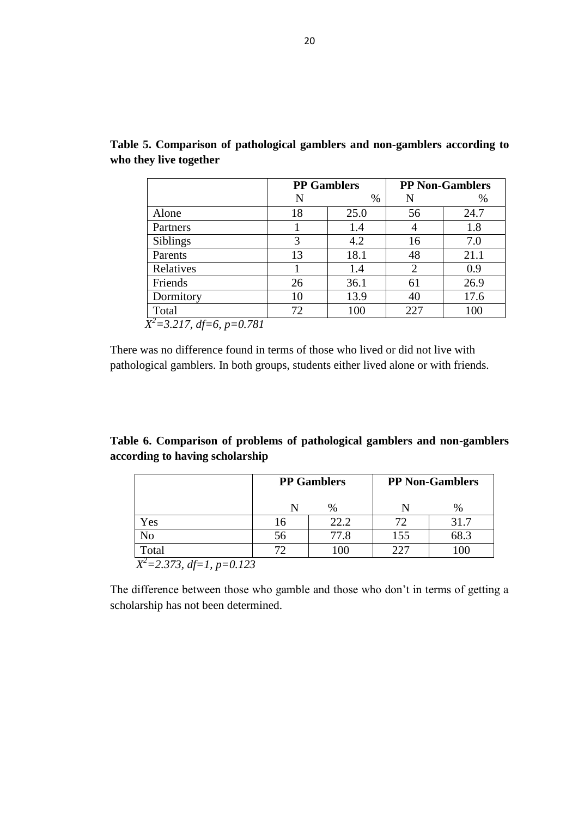|                 | <b>PP Gamblers</b> |      | <b>PP Non-Gamblers</b> |      |
|-----------------|--------------------|------|------------------------|------|
|                 | N                  | $\%$ | N                      | %    |
| Alone           | 18                 | 25.0 | 56                     | 24.7 |
| Partners        |                    | 1.4  |                        | 1.8  |
| <b>Siblings</b> | 3                  | 4.2  | 16                     | 7.0  |
| Parents         | 13                 | 18.1 | 48                     | 21.1 |
| Relatives       |                    | 1.4  | 2                      | 0.9  |
| Friends         | 26                 | 36.1 | 61                     | 26.9 |
| Dormitory       | 10                 | 13.9 | 40                     | 17.6 |
| Total           | 72                 | 100  | 227                    | 100  |

**Table 5. Comparison of pathological gamblers and non-gamblers according to who they live together**

There was no difference found in terms of those who lived or did not live with pathological gamblers. In both groups, students either lived alone or with friends.

## **Table 6. Comparison of problems of pathological gamblers and non-gamblers according to having scholarship**

|       | <b>PP Gamblers</b> |                 | <b>PP Non-Gamblers</b> |      |
|-------|--------------------|-----------------|------------------------|------|
|       |                    | %               |                        | $\%$ |
| Yes   | 16                 | 22.2            | 72                     | 31.7 |
| No    | 56                 | 77.8            | 155                    | 68.3 |
| Total |                    | 10 <sup>0</sup> | 227                    | 100  |

The difference between those who gamble and those who don"t in terms of getting a scholarship has not been determined.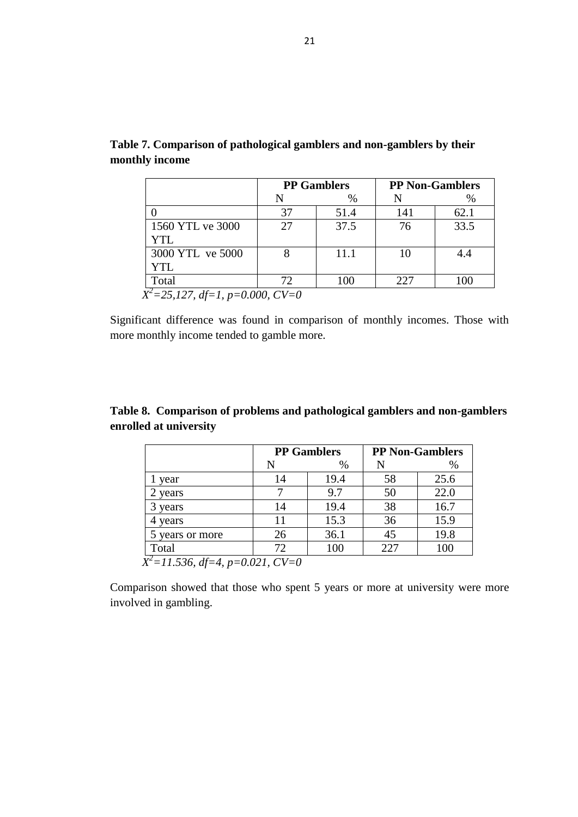| <b>PP Gamblers</b> |      |     | <b>PP Non-Gamblers</b> |
|--------------------|------|-----|------------------------|
| N                  | %    |     | $\%$                   |
| 37                 | 51.4 | 141 | 62.1                   |
| 27                 | 37.5 | 76  | 33.5                   |
|                    |      |     |                        |
|                    | 11.1 | 10  | 4.4                    |
|                    |      |     |                        |
| 72.                | 100  | 227 | 100                    |
|                    |      |     |                        |

**Table 7. Comparison of pathological gamblers and non-gamblers by their monthly income**

Significant difference was found in comparison of monthly incomes. Those with more monthly income tended to gamble more.

## **Table 8. Comparison of problems and pathological gamblers and non-gamblers enrolled at university**

|                 | <b>PP Gamblers</b> |      | <b>PP Non-Gamblers</b> |      |
|-----------------|--------------------|------|------------------------|------|
|                 | N                  | $\%$ |                        | %    |
| year            | 14                 | 19.4 | 58                     | 25.6 |
| 2 years         |                    | 9.7  | 50                     | 22.0 |
| 3 years         | 14                 | 19.4 | 38                     | 16.7 |
| 4 years         | 11                 | 15.3 | 36                     | 15.9 |
| 5 years or more | 26                 | 36.1 | 45                     | 19.8 |
| Total           | 72                 | 100  | 227                    | 100  |

Comparison showed that those who spent 5 years or more at university were more involved in gambling.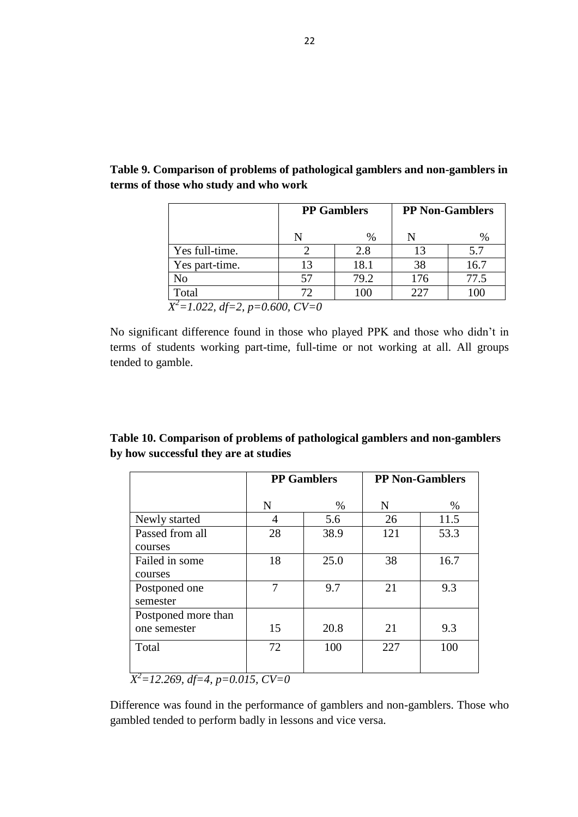|                | <b>PP Gamblers</b>                  |      | <b>PP Non-Gamblers</b> |      |  |  |  |
|----------------|-------------------------------------|------|------------------------|------|--|--|--|
|                |                                     | $\%$ |                        |      |  |  |  |
| Yes full-time. |                                     | 2.8  | 13                     | 5.7  |  |  |  |
| Yes part-time. | 13                                  | 18.1 | 38                     | 16.7 |  |  |  |
| No             | 57                                  | 79.2 | 176                    | 77.5 |  |  |  |
| Total          | 72                                  | 100  | 227                    | 100  |  |  |  |
|                | $X^2 = 1.022$ , df=2, p=0.600, CV=0 |      |                        |      |  |  |  |

**Table 9. Comparison of problems of pathological gamblers and non-gamblers in terms of those who study and who work**

No significant difference found in those who played PPK and those who didn"t in terms of students working part-time, full-time or not working at all. All groups tended to gamble.

| Table 10. Comparison of problems of pathological gamblers and non-gamblers |
|----------------------------------------------------------------------------|
| by how successful they are at studies                                      |

|                                     | <b>PP</b> Gamblers |      | <b>PP Non-Gamblers</b> |      |
|-------------------------------------|--------------------|------|------------------------|------|
|                                     | N                  | $\%$ | N                      | %    |
| Newly started                       | 4                  | 5.6  | 26                     | 11.5 |
| Passed from all<br>courses          | 28                 | 38.9 | 121                    | 53.3 |
| Failed in some<br>courses           | 18                 | 25.0 | 38                     | 16.7 |
| Postponed one<br>semester           | 7                  | 9.7  | 21                     | 9.3  |
| Postponed more than<br>one semester | 15                 | 20.8 | 21                     | 9.3  |
| Total<br>$-2$                       | 72                 | 100  | 227                    | 100  |

*X <sup>2</sup>=12.269, df=4, p=0.015, CV=0* 

Difference was found in the performance of gamblers and non-gamblers. Those who gambled tended to perform badly in lessons and vice versa.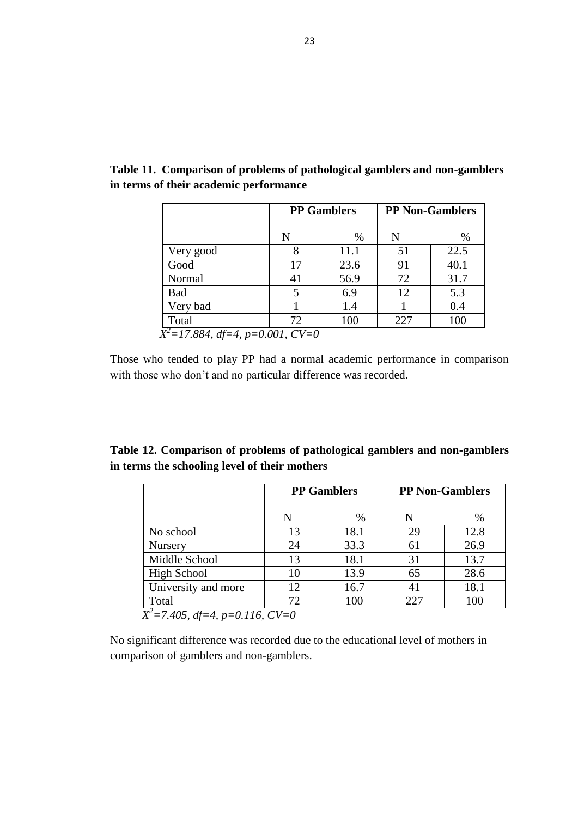|                                      | <b>PP Gamblers</b> |      | <b>PP Non-Gamblers</b> |      |
|--------------------------------------|--------------------|------|------------------------|------|
|                                      | N                  | %    | N                      | $\%$ |
| Very good                            |                    | 11.1 | 51                     | 22.5 |
| Good                                 | 17                 | 23.6 | 91                     | 40.1 |
| Normal                               | 41                 | 56.9 | 72                     | 31.7 |
| <b>Bad</b>                           |                    | 6.9  | 12                     | 5.3  |
| Very bad                             |                    | 1.4  |                        | 0.4  |
| Total                                | 72                 | 100  | 227                    | 100  |
| $X^2 = 17.884$ , df=4, p=0.001, CV=0 |                    |      |                        |      |

**Table 11. Comparison of problems of pathological gamblers and non-gamblers in terms of their academic performance**

Those who tended to play PP had a normal academic performance in comparison with those who don"t and no particular difference was recorded.

|  |                                               | Table 12. Comparison of problems of pathological gamblers and non-gamblers |  |  |
|--|-----------------------------------------------|----------------------------------------------------------------------------|--|--|
|  | in terms the schooling level of their mothers |                                                                            |  |  |

|                                        | <b>PP</b> Gamblers |      | <b>PP Non-Gamblers</b> |      |  |
|----------------------------------------|--------------------|------|------------------------|------|--|
|                                        | N                  | $\%$ | N                      | $\%$ |  |
| No school                              | 13                 | 18.1 | 29                     | 12.8 |  |
| <b>Nursery</b>                         | 24                 | 33.3 | 61                     | 26.9 |  |
| Middle School                          | 13                 | 18.1 | 31                     | 13.7 |  |
| <b>High School</b>                     | 10                 | 13.9 | 65                     | 28.6 |  |
| University and more                    | 12                 | 16.7 | 41                     | 18.1 |  |
| Total                                  | 72                 | 100  | 227                    | 100  |  |
| $\sqrt{Y^2-7.405}$ df-A n-0.116 $CV-0$ |                    |      |                        |      |  |

*X <sup>2</sup>=7.405, df=4, p=0.116, CV=0* 

No significant difference was recorded due to the educational level of mothers in comparison of gamblers and non-gamblers.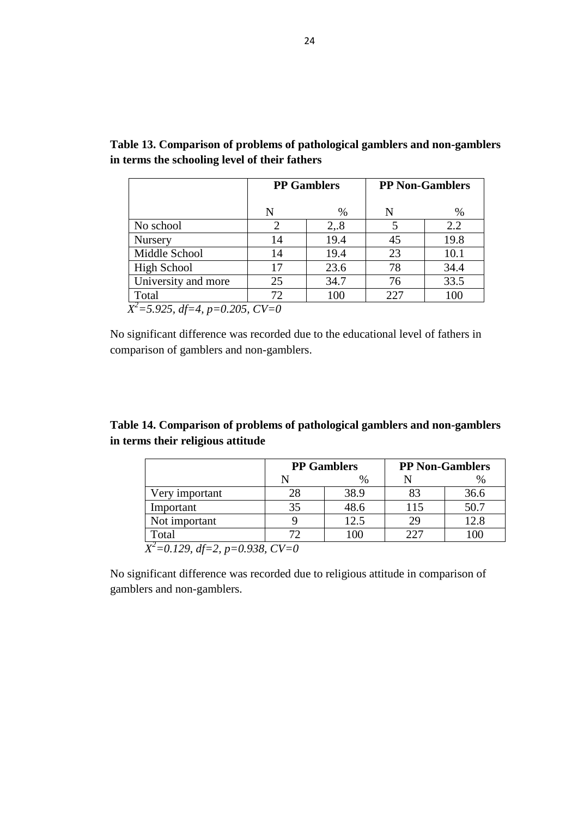|                     |                             | <b>PP</b> Gamblers |     | <b>PP Non-Gamblers</b> |
|---------------------|-----------------------------|--------------------|-----|------------------------|
|                     | N                           | $\frac{0}{0}$      | N   | $\%$                   |
| No school           | $\mathcal{D}_{\mathcal{A}}$ | 2, 8               |     | 2.2                    |
| <b>Nursery</b>      | 14                          | 19.4               | 45  | 19.8                   |
| Middle School       | 14                          | 19.4               | 23  | 10.1                   |
| High School         | 17                          | 23.6               | 78  | 34.4                   |
| University and more | 25                          | 34.7               | 76  | 33.5                   |
| Total               | 72                          | 100                | 227 | 100                    |

**Table 13. Comparison of problems of pathological gamblers and non-gamblers in terms the schooling level of their fathers**

No significant difference was recorded due to the educational level of fathers in comparison of gamblers and non-gamblers.

# **Table 14. Comparison of problems of pathological gamblers and non-gamblers in terms their religious attitude**

|                | <b>PP</b> Gamblers |      | <b>PP Non-Gamblers</b> |      |
|----------------|--------------------|------|------------------------|------|
|                |                    | $\%$ |                        | $\%$ |
| Very important | 28                 | 38.9 | 83                     | 36.6 |
| Important      | 35                 | 48.6 | 115                    | 50.7 |
| Not important  |                    | 12.5 | 29                     | 12.8 |
| Total          |                    | 100  | 227                    | 100  |

No significant difference was recorded due to religious attitude in comparison of gamblers and non-gamblers.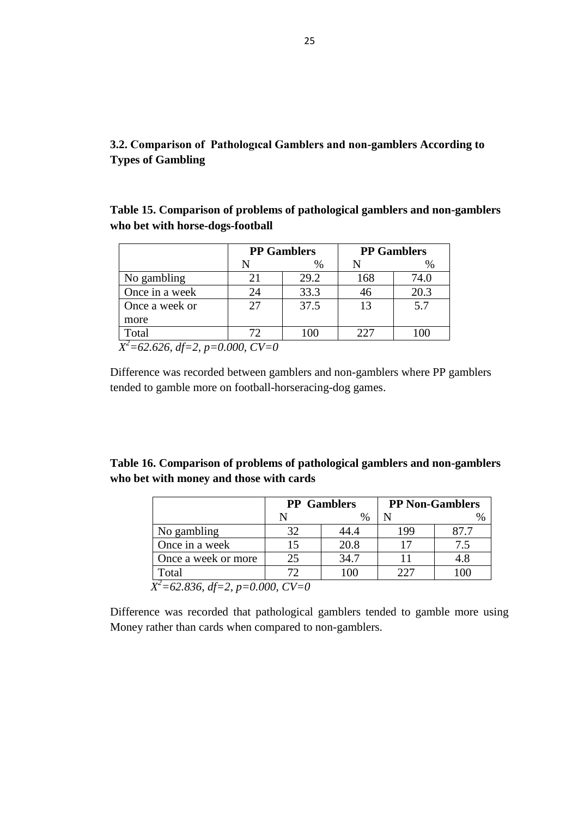# **3.2. Comparison of Pathologıcal Gamblers and non-gamblers According to Types of Gambling**

**Table 15. Comparison of problems of pathological gamblers and non-gamblers who bet with horse-dogs-football**

|                                    |    | <b>PP</b> Gamblers | <b>PP</b> Gamblers |      |
|------------------------------------|----|--------------------|--------------------|------|
|                                    |    | $\%$               | N                  | $\%$ |
| No gambling                        |    | 29.2               | 168                | 74.0 |
| Once in a week                     | 24 | 33.3               | 46                 | 20.3 |
| Once a week or                     | 27 | 37.5               | 13                 | 5.7  |
| more                               |    |                    |                    |      |
| Total                              | 72 | 100                | 227                |      |
| $X^2$ =62.626, df=2, p=0.000, CV=0 |    |                    |                    |      |

Difference was recorded between gamblers and non-gamblers where PP gamblers tended to gamble more on football-horseracing-dog games.

| Table 16. Comparison of problems of pathological gamblers and non-gamblers |
|----------------------------------------------------------------------------|
| who bet with money and those with cards                                    |

| <b>PP</b> Gamblers |               |     | <b>PP Non-Gamblers</b> |
|--------------------|---------------|-----|------------------------|
|                    | $\frac{0}{0}$ |     |                        |
| 32                 | 44.4          | 199 | 87.7                   |
| 15                 | 20.8          | 17  |                        |
| 25                 | 34.7          |     | 4.8                    |
| 72                 | 100           | 227 | 100                    |
|                    |               |     |                        |

Difference was recorded that pathological gamblers tended to gamble more using Money rather than cards when compared to non-gamblers.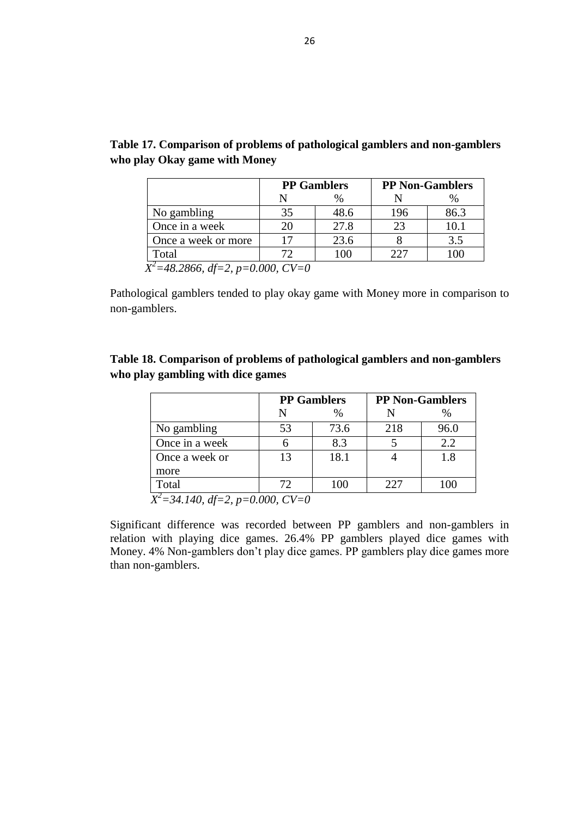|                     | <b>PP Gamblers</b> |      | <b>PP Non-Gamblers</b> |      |
|---------------------|--------------------|------|------------------------|------|
|                     |                    | $\%$ |                        | $\%$ |
| No gambling         | 35                 | 48.6 | 196                    | 86.3 |
| Once in a week      |                    | 27.8 | 23                     | 10.1 |
| Once a week or more |                    | 23.6 |                        | 3.5  |
| Total               |                    | 100  | 227                    |      |

**Table 17. Comparison of problems of pathological gamblers and non-gamblers who play Okay game with Money**

Pathological gamblers tended to play okay game with Money more in comparison to non-gamblers.

## **Table 18. Comparison of problems of pathological gamblers and non-gamblers who play gambling with dice games**

|                | <b>PP Gamblers</b> |      | <b>PP Non-Gamblers</b> |      |  |
|----------------|--------------------|------|------------------------|------|--|
|                | N                  | $\%$ |                        | %    |  |
| No gambling    | 53                 | 73.6 | 218                    | 96.0 |  |
| Once in a week |                    | 8.3  |                        | 2.2  |  |
| Once a week or | 13                 | 18.1 |                        | 1.8  |  |
| more           |                    |      |                        |      |  |
| Total          |                    | 100  | 227                    | 100  |  |

 *X <sup>2</sup>=34.140, df=2, p=0.000, CV=0* 

Significant difference was recorded between PP gamblers and non-gamblers in relation with playing dice games. 26.4% PP gamblers played dice games with Money. 4% Non-gamblers don"t play dice games. PP gamblers play dice games more than non-gamblers.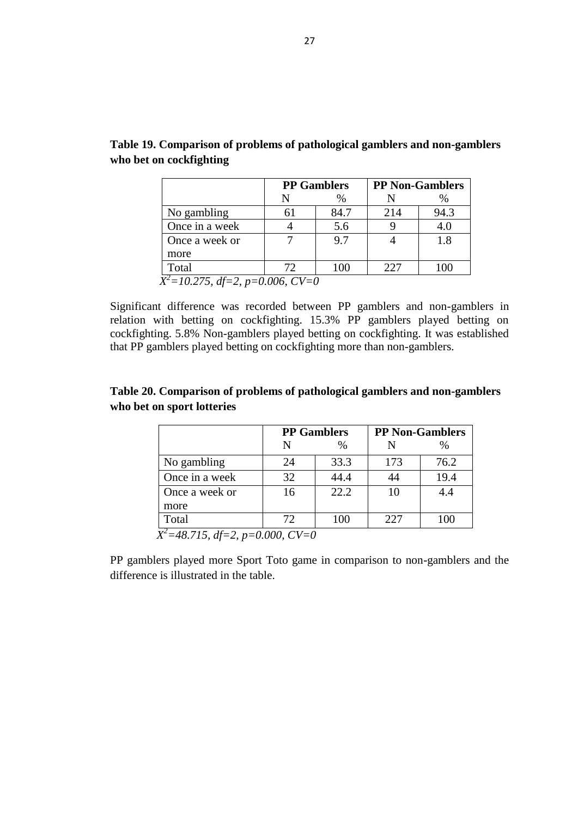|                                      | <b>PP</b> Gamblers |     | <b>PP Non-Gamblers</b> |
|--------------------------------------|--------------------|-----|------------------------|
|                                      | $\%$               |     | $\%$                   |
| No gambling                          | 84.7               | 214 | 94.3                   |
| Once in a week                       | 5.6                |     | 4.0                    |
| Once a week or                       | 9.7                |     | 1.8                    |
| more                                 |                    |     |                        |
| Total                                | 100                | 227 | 100                    |
| $X^2 = 10.275$ , df=2, p=0.006, CV=0 |                    |     |                        |

|                         | Table 19. Comparison of problems of pathological gamblers and non-gamblers |
|-------------------------|----------------------------------------------------------------------------|
| who bet on cockfighting |                                                                            |

Significant difference was recorded between PP gamblers and non-gamblers in relation with betting on cockfighting. 15.3% PP gamblers played betting on cockfighting. 5.8% Non-gamblers played betting on cockfighting. It was established that PP gamblers played betting on cockfighting more than non-gamblers.

#### **Table 20. Comparison of problems of pathological gamblers and non-gamblers who bet on sport lotteries**

|                                      |    | <b>PP Gamblers</b> |     | <b>PP Non-Gamblers</b> |
|--------------------------------------|----|--------------------|-----|------------------------|
|                                      |    | $\%$               |     | %                      |
| No gambling                          | 24 | 33.3               | 173 | 76.2                   |
| Once in a week                       | 32 | 44.4               | 44  | 19.4                   |
| Once a week or                       | 16 | 22.2               | 10  | 4.4                    |
| more                                 |    |                    |     |                        |
| Total                                | 72 | 100                | 227 | 100                    |
| $X^2 = 48.715$ , df=2, p=0.000, CV=0 |    |                    |     |                        |

PP gamblers played more Sport Toto game in comparison to non-gamblers and the difference is illustrated in the table.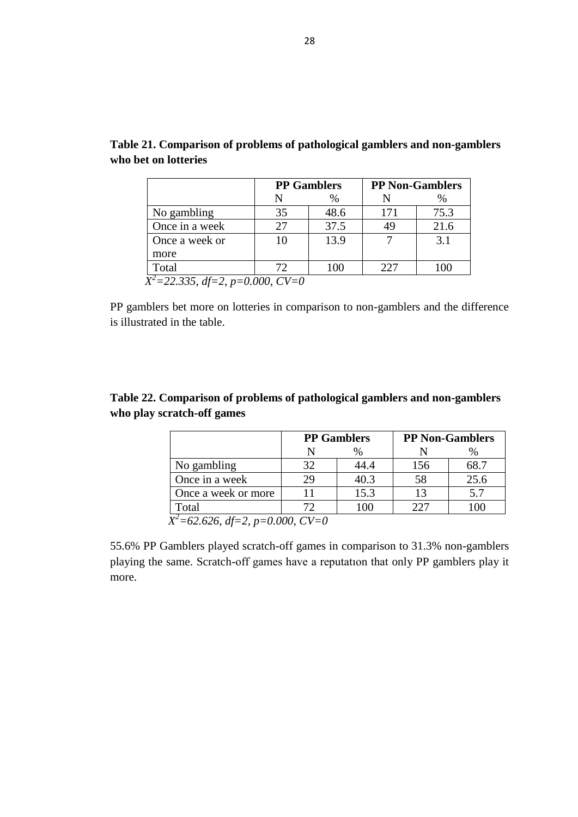| <b>PP</b> Gamblers |      | <b>PP Non-Gamblers</b> |      |
|--------------------|------|------------------------|------|
|                    | %    |                        | %    |
| 35                 | 48.6 | 171                    | 75.3 |
| 27                 | 37.5 | 49                     | 21.6 |
| 10                 | 13.9 |                        | 3.1  |
|                    |      |                        |      |
| 72                 | 100  | 227                    | 100  |
|                    |      |                        |      |

|                      | Table 21. Comparison of problems of pathological gamblers and non-gamblers |  |
|----------------------|----------------------------------------------------------------------------|--|
| who bet on lotteries |                                                                            |  |

PP gamblers bet more on lotteries in comparison to non-gamblers and the difference is illustrated in the table.

# **Table 22. Comparison of problems of pathological gamblers and non-gamblers who play scratch-off games**

|                     | <b>PP Gamblers</b> |               |     | <b>PP Non-Gamblers</b> |
|---------------------|--------------------|---------------|-----|------------------------|
|                     |                    | $\frac{0}{0}$ |     | $\%$                   |
| No gambling         | 32                 | 44.4          | 156 | 68.7                   |
| Once in a week      | 29                 | 40.3          | 58  | 25.6                   |
| Once a week or more |                    | 15.3          | 13  | 5.7                    |
| Total               | 72                 | 100           | 227 | 100                    |

55.6% PP Gamblers played scratch-off games in comparison to 31.3% non-gamblers playing the same. Scratch-off games have a reputatıon that only PP gamblers play it more.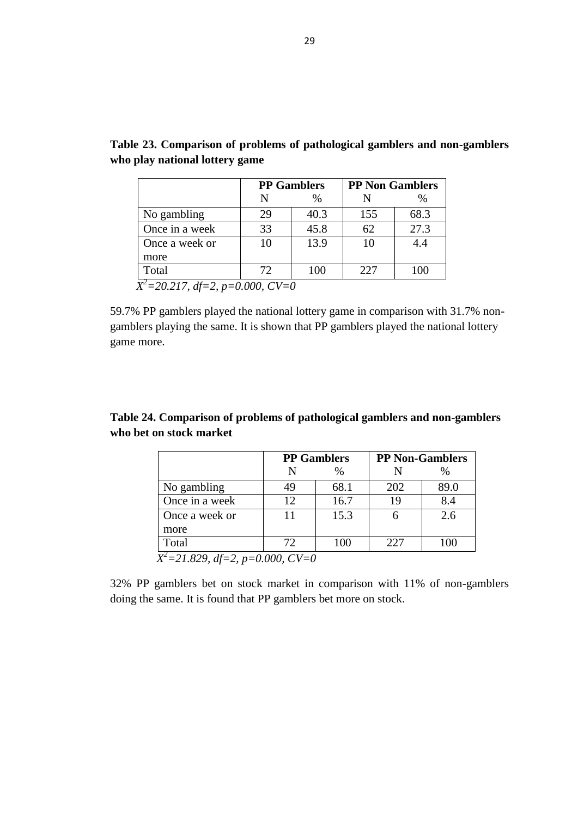|                |    | <b>PP</b> Gamblers |     | <b>PP Non Gamblers</b> |
|----------------|----|--------------------|-----|------------------------|
|                | N  | $\%$               |     | %                      |
| No gambling    | 29 | 40.3               | 155 | 68.3                   |
| Once in a week | 33 | 45.8               | 62  | 27.3                   |
| Once a week or | 10 | 13.9               | 10  | 4.4                    |
| more           |    |                    |     |                        |
| Total          | 72 | 100                | 227 | 100                    |

| Table 23. Comparison of problems of pathological gamblers and non-gamblers |  |  |  |
|----------------------------------------------------------------------------|--|--|--|
| who play national lottery game                                             |  |  |  |

59.7% PP gamblers played the national lottery game in comparison with 31.7% nongamblers playing the same. It is shown that PP gamblers played the national lottery game more.

|                         | Table 24. Comparison of problems of pathological gamblers and non-gamblers |  |
|-------------------------|----------------------------------------------------------------------------|--|
| who bet on stock market |                                                                            |  |

|                                      |    | <b>PP Gamblers</b> |     | <b>PP Non-Gamblers</b> |
|--------------------------------------|----|--------------------|-----|------------------------|
|                                      |    | $\%$               |     | %                      |
| No gambling                          | 49 | 68.1               | 202 | 89.0                   |
| Once in a week                       | 12 | 16.7               | 19  | 8.4                    |
| Once a week or                       | 11 | 15.3               |     | 2.6                    |
| more                                 |    |                    |     |                        |
| Total                                | 72 | 100                | 227 | 100                    |
| $X^2 = 21.829$ , df=2, p=0.000, CV=0 |    |                    |     |                        |

32% PP gamblers bet on stock market in comparison with 11% of non-gamblers doing the same. It is found that PP gamblers bet more on stock.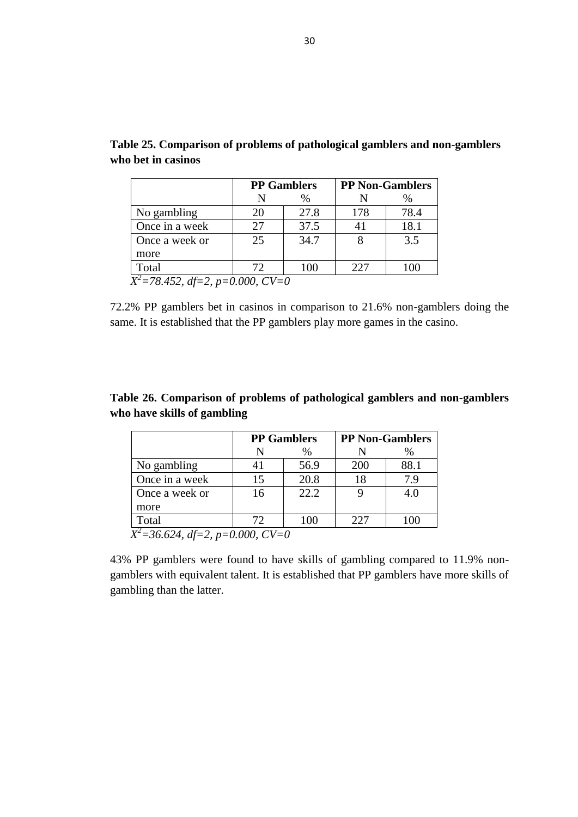|                |    | <b>PP Gamblers</b> |     | <b>PP Non-Gamblers</b> |
|----------------|----|--------------------|-----|------------------------|
|                |    | %                  |     | %                      |
| No gambling    | 20 | 27.8               | 178 | 78.4                   |
| Once in a week | 27 | 37.5               | 41  | 18.1                   |
| Once a week or | 25 | 34.7               |     | 3.5                    |
| more           |    |                    |     |                        |
| Total          | 72 | 100                | 227 | 100                    |

**Table 25. Comparison of problems of pathological gamblers and non-gamblers who bet in casinos**

72.2% PP gamblers bet in casinos in comparison to 21.6% non-gamblers doing the same. It is established that the PP gamblers play more games in the casino.

# **Table 26. Comparison of problems of pathological gamblers and non-gamblers who have skills of gambling**

|                | <b>PP</b> Gamblers                                                             |      |     | <b>PP Non-Gamblers</b> |
|----------------|--------------------------------------------------------------------------------|------|-----|------------------------|
|                |                                                                                | %    |     | $\%$                   |
| No gambling    |                                                                                | 56.9 | 200 | 88.1                   |
| Once in a week | 15                                                                             | 20.8 | 18  | 7.9                    |
| Once a week or | 16                                                                             | 22.2 |     | 4.0                    |
| more           |                                                                                |      |     |                        |
| Total          | 72.                                                                            | 100  | 227 | 100                    |
| $V^2 - 26.624$ | $d\mathcal{L}$ $\rightarrow$ $\rightarrow$ 0.000 $C$ V $\rightarrow$ 0.000 $C$ |      |     |                        |

 *X <sup>2</sup>=36.624, df=2, p=0.000, CV=0* 

43% PP gamblers were found to have skills of gambling compared to 11.9% nongamblers with equivalent talent. It is established that PP gamblers have more skills of gambling than the latter.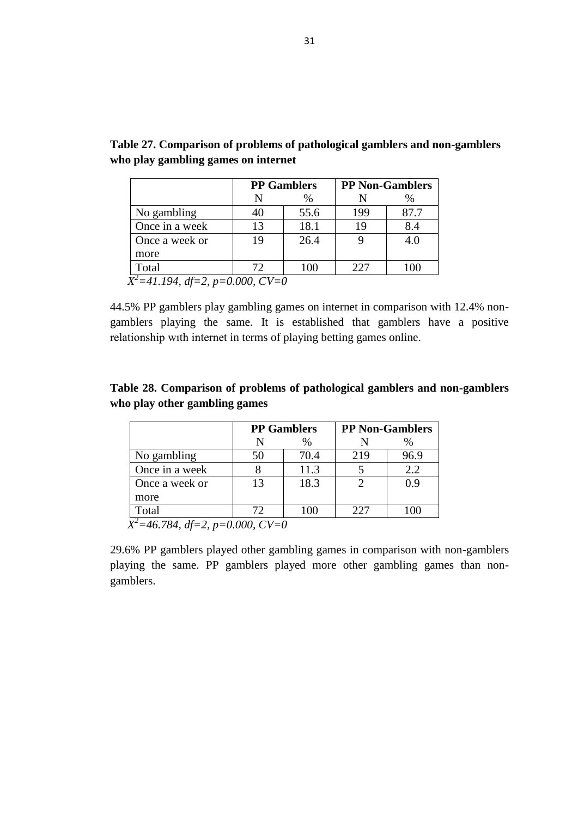|                |    | <b>PP Gamblers</b> |     | <b>PP Non-Gamblers</b> |
|----------------|----|--------------------|-----|------------------------|
|                |    | $\%$               |     | %                      |
| No gambling    |    | 55.6               | 199 | 87.7                   |
| Once in a week | 13 | 18.1               | 19  | 8.4                    |
| Once a week or | 19 | 26.4               |     | 4.0                    |
| more           |    |                    |     |                        |
| Total          | 72 | 100                | 227 | 100                    |

| Table 27. Comparison of problems of pathological gamblers and non-gamblers |
|----------------------------------------------------------------------------|
| who play gambling games on internet                                        |

44.5% PP gamblers play gambling games on internet in comparison with 12.4% nongamblers playing the same. It is established that gamblers have a positive relationship wıth internet in terms of playing betting games online.

| Table 28. Comparison of problems of pathological gamblers and non-gamblers |  |  |
|----------------------------------------------------------------------------|--|--|
| who play other gambling games                                              |  |  |

| <b>PP</b> Gamblers |      |     | <b>PP Non-Gamblers</b> |
|--------------------|------|-----|------------------------|
|                    | %    |     | $\%$                   |
| 50                 | 70.4 | 219 | 96.9                   |
|                    | 11.3 |     | 2.2                    |
| 13                 | 18.3 |     | 0.9                    |
|                    |      |     |                        |
| 72                 | 100  | 227 | 100                    |
|                    |      |     |                        |

 *X <sup>2</sup>=46.784, df=2, p=0.000, CV=0* 

29.6% PP gamblers played other gambling games in comparison with non-gamblers playing the same. PP gamblers played more other gambling games than nongamblers.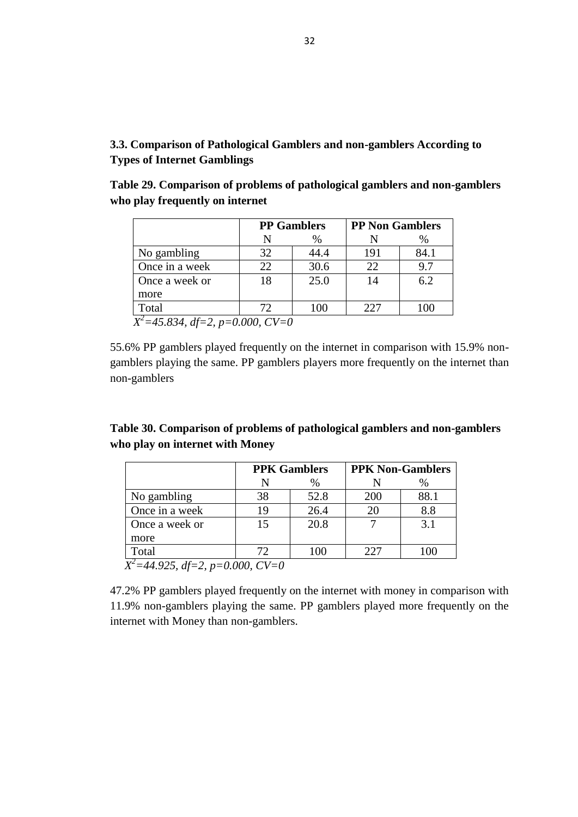# **3.3. Comparison of Pathological Gamblers and non-gamblers According to Types of Internet Gamblings**

**Table 29. Comparison of problems of pathological gamblers and non-gamblers who play frequently on internet**

| <b>PP Gamblers</b> |      | <b>PP Non Gamblers</b> |         |
|--------------------|------|------------------------|---------|
|                    | $\%$ |                        | %       |
| 32                 | 44.4 | 191                    | 84.1    |
| 22                 | 30.6 | 22                     | 9.7     |
| 18                 | 25.0 | 14                     | 6.2     |
|                    |      |                        |         |
| 72                 | 100  | 227                    | $($ )() |
|                    |      |                        |         |

55.6% PP gamblers played frequently on the internet in comparison with 15.9% nongamblers playing the same. PP gamblers players more frequently on the internet than non-gamblers

# **Table 30. Comparison of problems of pathological gamblers and non-gamblers who play on internet with Money**

|                                      |    | <b>PPK Gamblers</b> |     | <b>PPK Non-Gamblers</b> |  |
|--------------------------------------|----|---------------------|-----|-------------------------|--|
|                                      |    | $\%$                |     | $\%$                    |  |
| No gambling                          | 38 | 52.8                | 200 | 88.1                    |  |
| Once in a week                       | 19 | 26.4                | 20  | 8.8                     |  |
| Once a week or                       | 15 | 20.8                |     | 3.1                     |  |
| more                                 |    |                     |     |                         |  |
| Total                                | 72 | 100                 | 227 | 100                     |  |
| $X^2 = 44.925$ , df=2, p=0.000, CV=0 |    |                     |     |                         |  |

47.2% PP gamblers played frequently on the internet with money in comparison with 11.9% non-gamblers playing the same. PP gamblers played more frequently on the internet with Money than non-gamblers.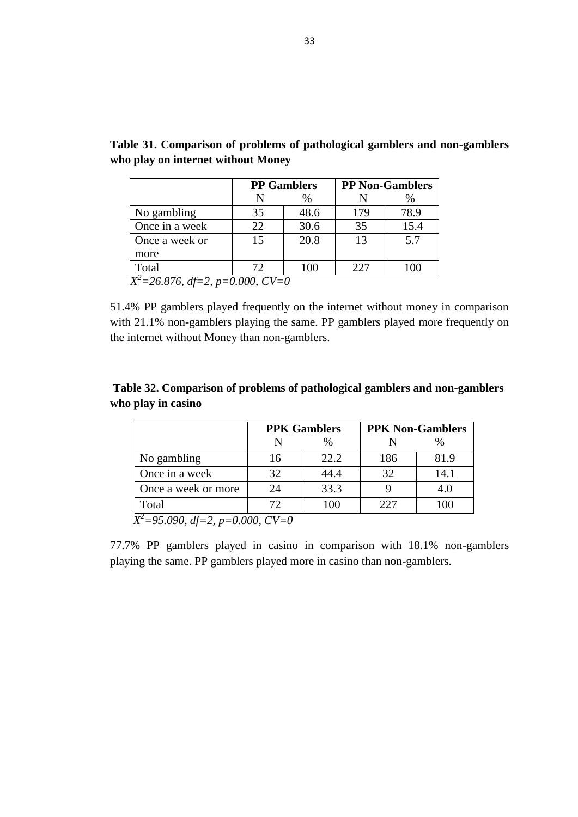|                |     | <b>PP</b> Gamblers |     | <b>PP Non-Gamblers</b> |  |
|----------------|-----|--------------------|-----|------------------------|--|
|                |     | %                  |     | %                      |  |
| No gambling    | 35  | 48.6               | 179 | 78.9                   |  |
| Once in a week | 22  | 30.6               | 35  | 15.4                   |  |
| Once a week or | 15  | 20.8               | 13  | 5.7                    |  |
| more           |     |                    |     |                        |  |
| Total          | 72. | 100                | 227 | 100                    |  |

**Table 31. Comparison of problems of pathological gamblers and non-gamblers who play on internet without Money**

51.4% PP gamblers played frequently on the internet without money in comparison with 21.1% non-gamblers playing the same. PP gamblers played more frequently on the internet without Money than non-gamblers.

# **Table 32. Comparison of problems of pathological gamblers and non-gamblers who play in casino**

|                                       | <b>PPK Gamblers</b> |      | <b>PPK Non-Gamblers</b> |      |  |
|---------------------------------------|---------------------|------|-------------------------|------|--|
|                                       |                     | $\%$ |                         |      |  |
| No gambling                           | 16                  | 22.2 | 186                     | 81.9 |  |
| Once in a week                        | 32                  | 44.4 | 32                      | 14.1 |  |
| Once a week or more                   | 24                  | 33.3 |                         | 4.0  |  |
| Total                                 | 72                  | 100  | 227                     | 100  |  |
| $Y^2 - 05000 d = 2 \ne 0.000 C V - 0$ |                     |      |                         |      |  |

*X <sup>2</sup>=95.090, df=2, p=0.000, CV=0* 

77.7% PP gamblers played in casino in comparison with 18.1% non-gamblers playing the same. PP gamblers played more in casino than non-gamblers.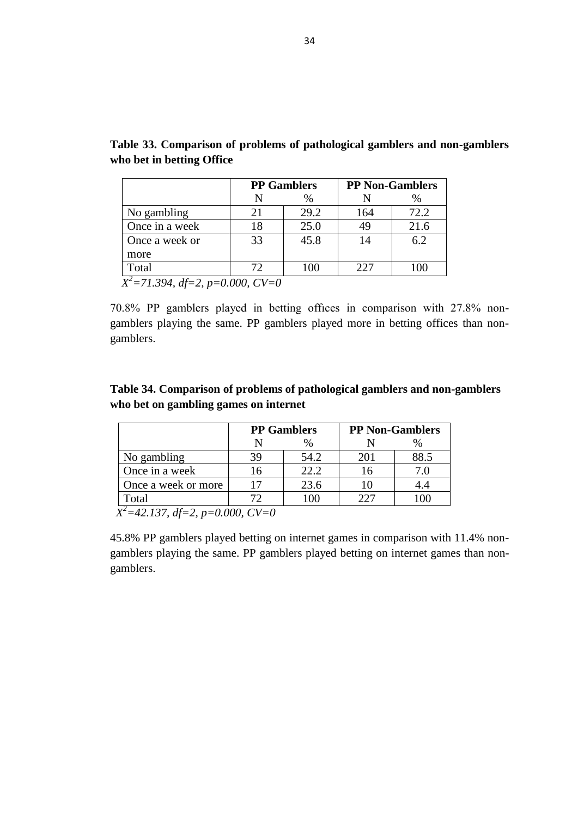|                | <b>PP Gamblers</b> |      | <b>PP Non-Gamblers</b> |      |
|----------------|--------------------|------|------------------------|------|
|                |                    | $\%$ |                        | $\%$ |
| No gambling    | 21                 | 29.2 | 164                    | 72.2 |
| Once in a week | 18                 | 25.0 | 49                     | 21.6 |
| Once a week or | 33                 | 45.8 | 14                     | 6.2  |
| more           |                    |      |                        |      |
| Total          | 72.                | 100  | 227                    |      |

**Table 33. Comparison of problems of pathological gamblers and non-gamblers who bet in betting Office**

*X <sup>2</sup>=71.394, df=2, p=0.000, CV=0* 

70.8% PP gamblers played in betting offıces in comparison with 27.8% nongamblers playing the same. PP gamblers played more in betting offices than nongamblers.

| Table 34. Comparison of problems of pathological gamblers and non-gamblers |
|----------------------------------------------------------------------------|
| who bet on gambling games on internet                                      |

|                     | <b>PP Gamblers</b> |      | <b>PP Non-Gamblers</b> |      |
|---------------------|--------------------|------|------------------------|------|
|                     |                    |      |                        |      |
| No gambling         | 39                 | 54.2 | 201                    | 88.5 |
| Once in a week      | 16                 | 22.2 | 16                     | 7 0  |
| Once a week or more |                    | 23.6 | 10                     |      |
| Total               |                    | 100  | 227                    |      |

 *X <sup>2</sup>=42.137, df=2, p=0.000, CV=0* 

45.8% PP gamblers played betting on internet games in comparison with 11.4% nongamblers playing the same. PP gamblers played betting on internet games than nongamblers.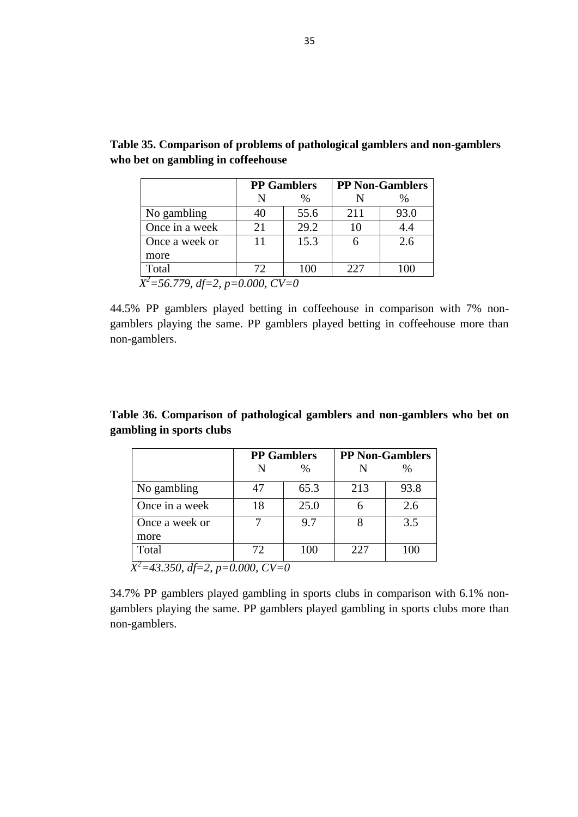| N  | $\%$ |                                    |      |
|----|------|------------------------------------|------|
|    |      |                                    |      |
| 40 | 55.6 | 211                                | 93.0 |
| 21 | 29.2 | 10                                 | 4.4  |
| 11 | 15.3 |                                    | 2.6  |
|    |      |                                    |      |
| 72 | 100  | 227                                | 100  |
|    |      | $X^2$ =56.779, df=2, p=0.000, CV=0 |      |

**Table 35. Comparison of problems of pathological gamblers and non-gamblers who bet on gambling in coffeehouse**

44.5% PP gamblers played betting in coffeehouse in comparison with 7% nongamblers playing the same. PP gamblers played betting in coffeehouse more than non-gamblers.

**Table 36. Comparison of pathological gamblers and non-gamblers who bet on gambling in sports clubs**

|                        | <b>PP</b> Gamblers |      | <b>PP Non-Gamblers</b> |      |
|------------------------|--------------------|------|------------------------|------|
|                        | N                  | $\%$ |                        | $\%$ |
| No gambling            | 47                 | 65.3 | 213                    | 93.8 |
| Once in a week         | 18                 | 25.0 |                        | 2.6  |
| Once a week or<br>more |                    | 9.7  |                        | 3.5  |
| Total                  | 72                 | 100  | 227                    | 100  |

34.7% PP gamblers played gambling in sports clubs in comparison with 6.1% nongamblers playing the same. PP gamblers played gambling in sports clubs more than non-gamblers.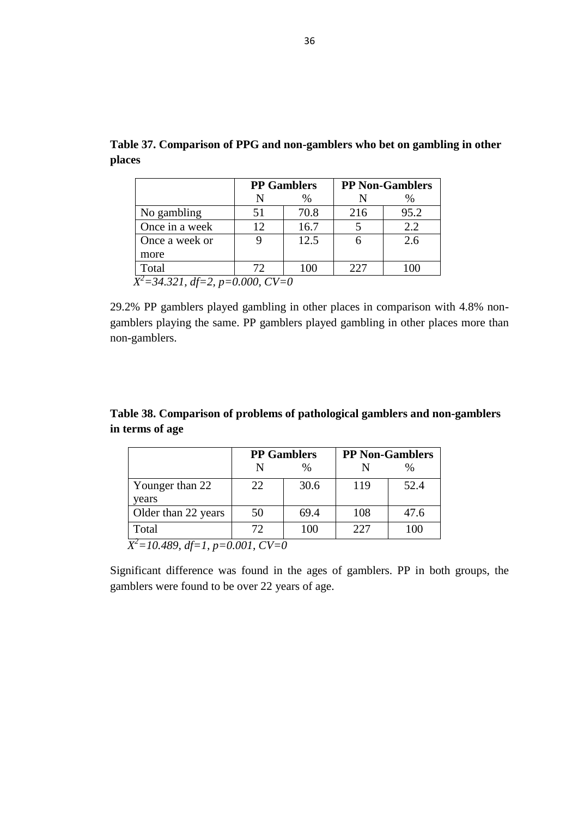|                | <b>PP Gamblers</b> |      | <b>PP Non-Gamblers</b> |      |
|----------------|--------------------|------|------------------------|------|
|                |                    | $\%$ |                        | $\%$ |
| No gambling    | 51                 | 70.8 | 216                    | 95.2 |
| Once in a week | 12                 | 16.7 |                        | 2.2  |
| Once a week or |                    | 12.5 |                        | 2.6  |
| more           |                    |      |                        |      |
| Total          | 72                 | 100  | 227                    | 100  |

**Table 37. Comparison of PPG and non-gamblers who bet on gambling in other places**

29.2% PP gamblers played gambling in other places in comparison with 4.8% nongamblers playing the same. PP gamblers played gambling in other places more than non-gamblers.

**Table 38. Comparison of problems of pathological gamblers and non-gamblers in terms of age**

|                                                                | <b>PP Gamblers</b> |      | <b>PP Non-Gamblers</b> |      |  |
|----------------------------------------------------------------|--------------------|------|------------------------|------|--|
|                                                                |                    | $\%$ |                        | %    |  |
| Younger than 22<br>vears                                       | 22                 | 30.6 | 119                    | 52.4 |  |
| Older than 22 years                                            | 50                 | 69.4 | 108                    | 47.6 |  |
| Total                                                          | 72                 | 100  | 227                    | 100  |  |
| $\Delta 80 \text{ } df - 1 \text{ } n - 0.001 \text{ } CV - 0$ |                    |      |                        |      |  |

*X <sup>2</sup>=10.489, df=1, p=0.001, CV=0* 

Significant difference was found in the ages of gamblers. PP in both groups, the gamblers were found to be over 22 years of age.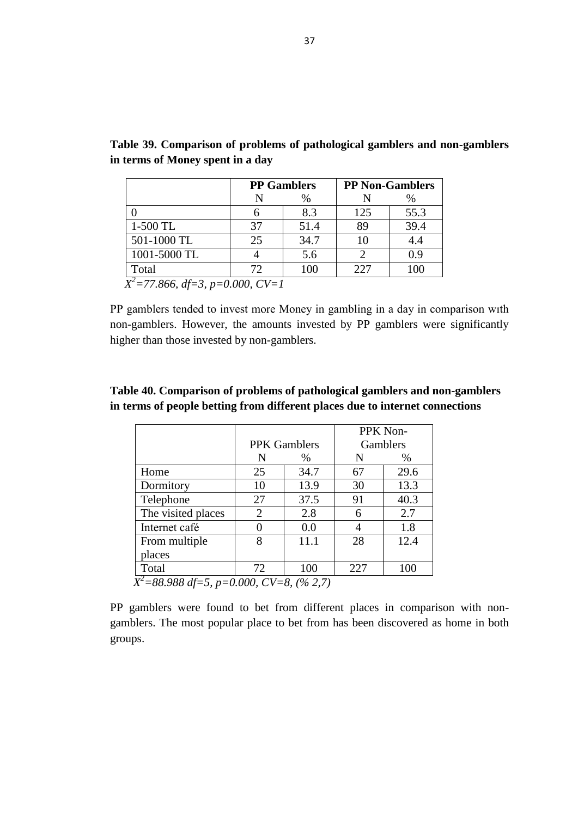|              |    | <b>PP</b> Gamblers |     | <b>PP Non-Gamblers</b> |  |
|--------------|----|--------------------|-----|------------------------|--|
|              |    | %                  |     | %                      |  |
|              |    | 8.3                | 125 | 55.3                   |  |
| 1-500 TL     | 37 | 51.4               | 89  | 39.4                   |  |
| 501-1000 TL  | 25 | 34.7               | 10  | 4.4                    |  |
| 1001-5000 TL |    | 5.6                |     | 0.9                    |  |
| Total        | 72 | 100                | 227 | 100                    |  |

**Table 39. Comparison of problems of pathological gamblers and non-gamblers in terms of Money spent in a day**

PP gamblers tended to invest more Money in gambling in a day in comparison wıth non-gamblers. However, the amounts invested by PP gamblers were significantly higher than those invested by non-gamblers.

|                |      |                     | PPK Non- |
|----------------|------|---------------------|----------|
|                |      |                     | Gamblers |
| N              | $\%$ | N                   | $\%$     |
| 25             | 34.7 | 67                  | 29.6     |
| 10             | 13.9 | 30                  | 13.3     |
| 27             | 37.5 | 91                  | 40.3     |
| $\overline{2}$ | 2.8  | 6                   | 2.7      |
| 0              | 0.0  |                     | 1.8      |
| 8              | 11.1 | 28                  | 12.4     |
|                |      |                     |          |
| 72             | 100  | 227                 | 100      |
|                |      | <b>PPK</b> Gamblers |          |

## **Table 40. Comparison of problems of pathological gamblers and non-gamblers in terms of people betting from different places due to internet connections**

PP gamblers were found to bet from different places in comparison with nongamblers. The most popular place to bet from has been discovered as home in both groups.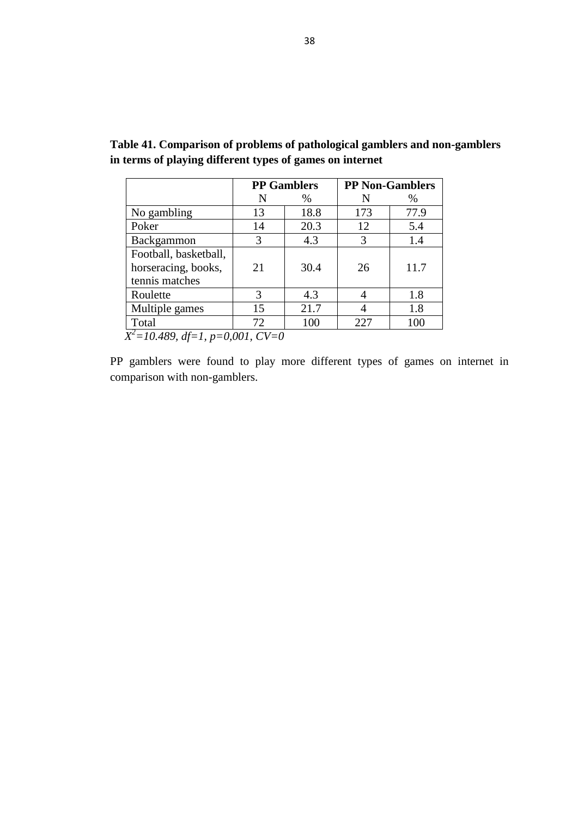|                                      | <b>PP</b> Gamblers |      | <b>PP Non-Gamblers</b> |      |
|--------------------------------------|--------------------|------|------------------------|------|
|                                      | N                  | $\%$ | N                      | %    |
| No gambling                          | 13                 | 18.8 | 173                    | 77.9 |
| Poker                                | 14                 | 20.3 | 12                     | 5.4  |
| Backgammon                           | 3                  | 4.3  | 3                      | 14   |
| Football, basketball,                |                    |      |                        |      |
| horseracing, books,                  | 21                 | 30.4 | 26                     | 11.7 |
| tennis matches                       |                    |      |                        |      |
| Roulette                             | $\mathcal{R}$      | 4.3  |                        | 1.8  |
| Multiple games                       | 15                 | 21.7 |                        | 1.8  |
| Total                                | 72                 | 100  | 227                    | 100  |
| $X^2 = 10.489$ , df=1, p=0,001, CV=0 |                    |      |                        |      |

**Table 41. Comparison of problems of pathological gamblers and non-gamblers in terms of playing different types of games on internet**

PP gamblers were found to play more different types of games on internet in comparison with non-gamblers.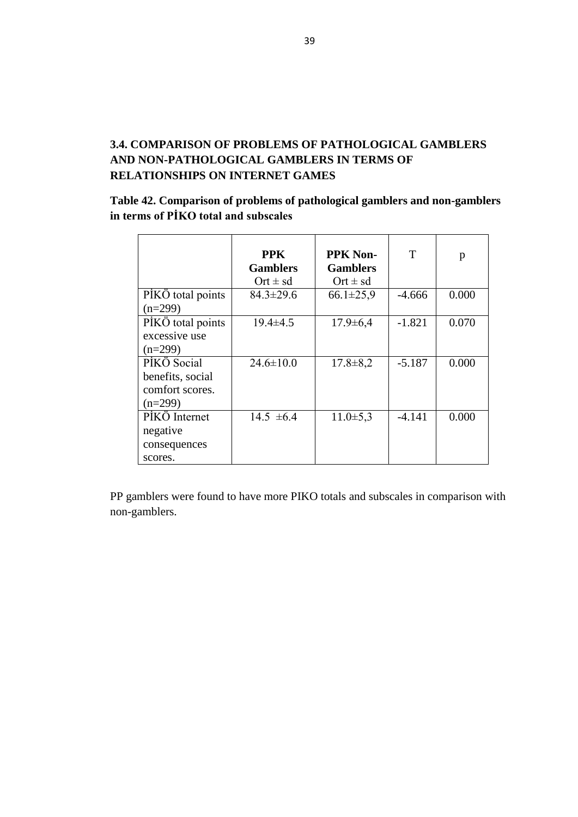# **3.4. COMPARISON OF PROBLEMS OF PATHOLOGICAL GAMBLERS AND NON-PATHOLOGICAL GAMBLERS IN TERMS OF RELATIONSHIPS ON INTERNET GAMES**

# **Table 42. Comparison of problems of pathological gamblers and non-gamblers**  in terms of PİKO total and subscales

|                   | <b>PPK</b><br><b>Gamblers</b> | <b>PPK Non-</b><br><b>Gamblers</b> | T        | p     |
|-------------------|-------------------------------|------------------------------------|----------|-------|
|                   | Ort $\pm$ sd                  | $Ort \pm sd$                       |          |       |
| PİKÖ total points | $84.3 \pm 29.6$               | $66.1 \pm 25.9$                    | $-4.666$ | 0.000 |
| $(n=299)$         |                               |                                    |          |       |
| PİKÖ total points | $19.4 \pm 4.5$                | $17.9 \pm 6.4$                     | $-1.821$ | 0.070 |
| excessive use     |                               |                                    |          |       |
| $(n=299)$         |                               |                                    |          |       |
| PİKÖ Social       | $24.6 \pm 10.0$               | $17.8 \pm 8.2$                     | $-5.187$ | 0.000 |
| benefits, social  |                               |                                    |          |       |
| comfort scores.   |                               |                                    |          |       |
| $(n=299)$         |                               |                                    |          |       |
| PİKÖ Internet     | $14.5 \pm 6.4$                | $11.0 \pm 5.3$                     | $-4.141$ | 0.000 |
| negative          |                               |                                    |          |       |
| consequences      |                               |                                    |          |       |
| scores.           |                               |                                    |          |       |

PP gamblers were found to have more PIKO totals and subscales in comparison with non-gamblers.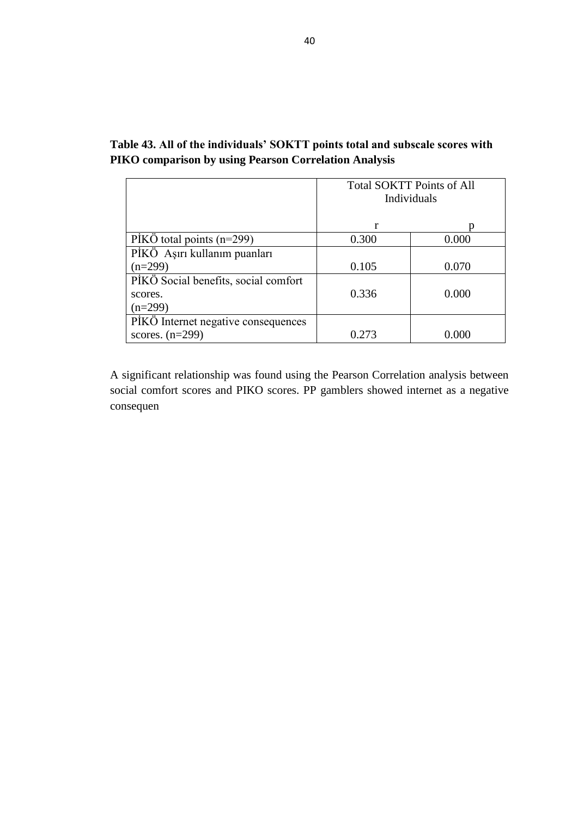|                                      | <b>Total SOKTT Points of All</b><br>Individuals |       |
|--------------------------------------|-------------------------------------------------|-------|
|                                      | r                                               |       |
| PIKO total points $(n=299)$          | 0.300                                           | 0.000 |
| PİKÖ Aşırı kullanım puanları         |                                                 |       |
| $(n=299)$                            | 0.105                                           | 0.070 |
| PİKÖ Social benefits, social comfort |                                                 |       |
| scores.                              | 0.336                                           | 0.000 |
| $(n=299)$                            |                                                 |       |
| PIKO Internet negative consequences  |                                                 |       |
| scores. $(n=299)$                    | 0.273                                           | 0.000 |

# **Table 43. All of the individuals' SOKTT points total and subscale scores with PIKO comparison by using Pearson Correlation Analysis**

A significant relationship was found using the Pearson Correlation analysis between social comfort scores and PIKO scores. PP gamblers showed internet as a negative consequen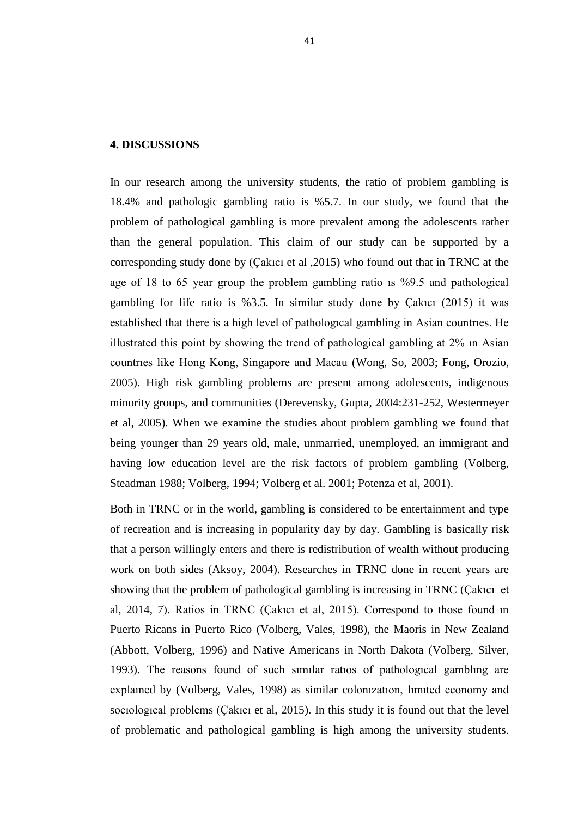#### **4. DISCUSSIONS**

In our research among the university students, the ratio of problem gambling is 18.4% and pathologic gambling ratio is %5.7. In our study, we found that the problem of pathological gambling is more prevalent among the adolescents rather than the general population. This claim of our study can be supported by a corresponding study done by (Çakıcı et al ,2015) who found out that in TRNC at the age of 18 to 65 year group the problem gambling ratio ıs %9.5 and pathological gambling for life ratio is %3.5. In similar study done by Çakıcı (2015) it was established that there is a high level of pathologıcal gambling in Asian countrıes. He illustrated this point by showing the trend of pathological gambling at 2% ın Asian countrıes like Hong Kong, Singapore and Macau (Wong, So, 2003; Fong, Orozio, 2005). High risk gambling problems are present among adolescents, indigenous minority groups, and communities (Derevensky, Gupta, 2004:231-252, Westermeyer et al, 2005). When we examine the studies about problem gambling we found that being younger than 29 years old, male, unmarried, unemployed, an immigrant and having low education level are the risk factors of problem gambling (Volberg, Steadman 1988; Volberg, 1994; Volberg et al. 2001; Potenza et al, 2001).

Both in TRNC or in the world, gambling is considered to be entertainment and type of recreation and is increasing in popularity day by day. Gambling is basically risk that a person willingly enters and there is redistribution of wealth without producing work on both sides (Aksoy, 2004). Researches in TRNC done in recent years are showing that the problem of pathological gambling is increasing in TRNC (Çakıcı et al, 2014, 7). Ratios in TRNC (Çakıcı et al, 2015). Correspond to those found ın Puerto Ricans in Puerto Rico (Volberg, Vales, 1998), the Maoris in New Zealand (Abbott, Volberg, 1996) and Native Americans in North Dakota (Volberg, Silver, 1993). The reasons found of such sımılar ratıos of pathologıcal gamblıng are explaıned by (Volberg, Vales, 1998) as similar colonızatıon, lımıted economy and socıologıcal problems (Çakıcı et al, 2015). In this study it is found out that the level of problematic and pathological gambling is high among the university students.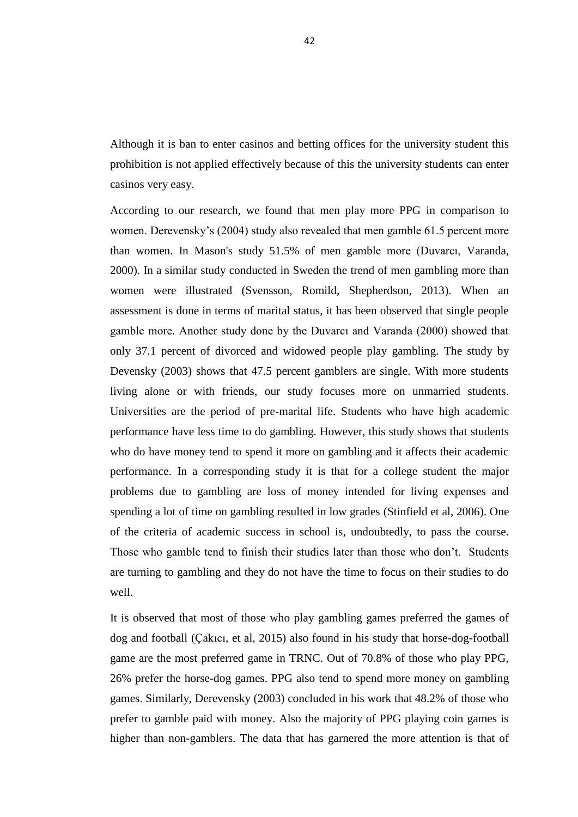Although it is ban to enter casinos and betting offices for the university student this prohibition is not applied effectively because of this the university students can enter casinos very easy.

According to our research, we found that men play more PPG in comparison to women. Derevensky's (2004) study also revealed that men gamble 61.5 percent more than women. In Mason's study 51.5% of men gamble more (Duvarcı, Varanda, 2000). In a similar study conducted in Sweden the trend of men gambling more than women were illustrated (Svensson, Romild, Shepherdson, 2013). When an assessment is done in terms of marital status, it has been observed that single people gamble more. Another study done by the Duvarcı and Varanda (2000) showed that only 37.1 percent of divorced and widowed people play gambling. The study by Devensky (2003) shows that 47.5 percent gamblers are single. With more students living alone or with friends, our study focuses more on unmarried students. Universities are the period of pre-marital life. Students who have high academic performance have less time to do gambling. However, this study shows that students who do have money tend to spend it more on gambling and it affects their academic performance. In a corresponding study it is that for a college student the major problems due to gambling are loss of money intended for living expenses and spending a lot of time on gambling resulted in low grades (Stinfield et al, 2006). One of the criteria of academic success in school is, undoubtedly, to pass the course. Those who gamble tend to finish their studies later than those who don"t. Students are turning to gambling and they do not have the time to focus on their studies to do well.

It is observed that most of those who play gambling games preferred the games of dog and football (Çakıcı, et al, 2015) also found in his study that horse-dog-football game are the most preferred game in TRNC. Out of 70.8% of those who play PPG, 26% prefer the horse-dog games. PPG also tend to spend more money on gambling games. Similarly, Derevensky (2003) concluded in his work that 48.2% of those who prefer to gamble paid with money. Also the majority of PPG playing coin games is higher than non-gamblers. The data that has garnered the more attention is that of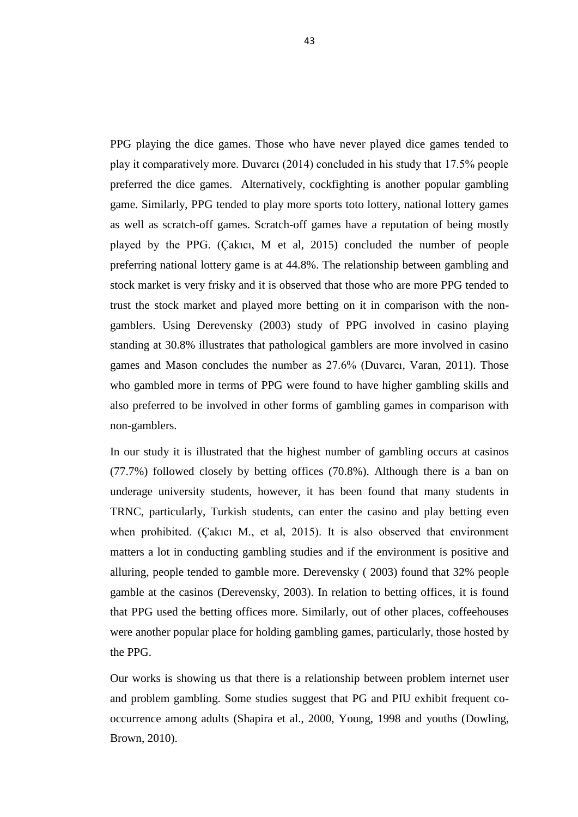PPG playing the dice games. Those who have never played dice games tended to play it comparatively more. Duvarcı (2014) concluded in his study that 17.5% people preferred the dice games. Alternatively, cockfighting is another popular gambling game. Similarly, PPG tended to play more sports toto lottery, national lottery games as well as scratch-off games. Scratch-off games have a reputation of being mostly played by the PPG. (Çakıcı, M et al, 2015) concluded the number of people preferring national lottery game is at 44.8%. The relationship between gambling and stock market is very frisky and it is observed that those who are more PPG tended to trust the stock market and played more betting on it in comparison with the nongamblers. Using Derevensky (2003) study of PPG involved in casino playing standing at 30.8% illustrates that pathological gamblers are more involved in casino games and Mason concludes the number as 27.6% (Duvarcı, Varan, 2011). Those who gambled more in terms of PPG were found to have higher gambling skills and also preferred to be involved in other forms of gambling games in comparison with non-gamblers.

In our study it is illustrated that the highest number of gambling occurs at casinos (77.7%) followed closely by betting offices (70.8%). Although there is a ban on underage university students, however, it has been found that many students in TRNC, particularly, Turkish students, can enter the casino and play betting even when prohibited. (Çakıcı M., et al, 2015). It is also observed that environment matters a lot in conducting gambling studies and if the environment is positive and alluring, people tended to gamble more. Derevensky ( 2003) found that 32% people gamble at the casinos (Derevensky, 2003). In relation to betting offices, it is found that PPG used the betting offices more. Similarly, out of other places, coffeehouses were another popular place for holding gambling games, particularly, those hosted by the PPG.

Our works is showing us that there is a relationship between problem internet user and problem gambling. Some studies suggest that PG and PIU exhibit frequent cooccurrence among adults (Shapira et al., 2000, Young, 1998 and youths (Dowling, Brown, 2010).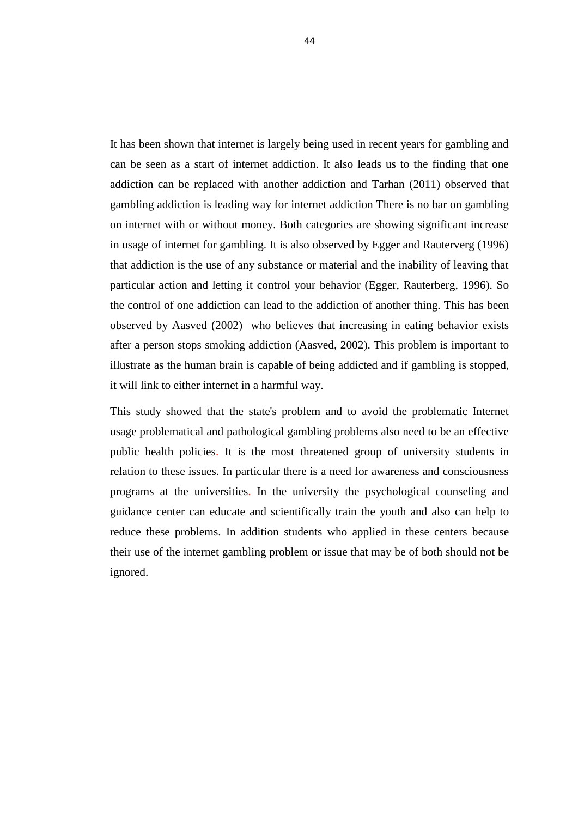It has been shown that internet is largely being used in recent years for gambling and can be seen as a start of internet addiction. It also leads us to the finding that one addiction can be replaced with another addiction and Tarhan (2011) observed that gambling addiction is leading way for internet addiction There is no bar on gambling on internet with or without money. Both categories are showing significant increase in usage of internet for gambling. It is also observed by Egger and Rauterverg (1996) that addiction is the use of any substance or material and the inability of leaving that particular action and letting it control your behavior (Egger, Rauterberg, 1996). So the control of one addiction can lead to the addiction of another thing. This has been observed by Aasved (2002) who believes that increasing in eating behavior exists after a person stops smoking addiction (Aasved, 2002). This problem is important to illustrate as the human brain is capable of being addicted and if gambling is stopped, it will link to either internet in a harmful way.

This study showed that the state's problem and to avoid the problematic Internet usage problematical and pathological gambling problems also need to be an effective public health policies. It is the most threatened group of university students in relation to these issues. In particular there is a need for awareness and consciousness programs at the universities. In the university the psychological counseling and guidance center can educate and scientifically train the youth and also can help to reduce these problems. In addition students who applied in these centers because their use of the internet gambling problem or issue that may be of both should not be ignored.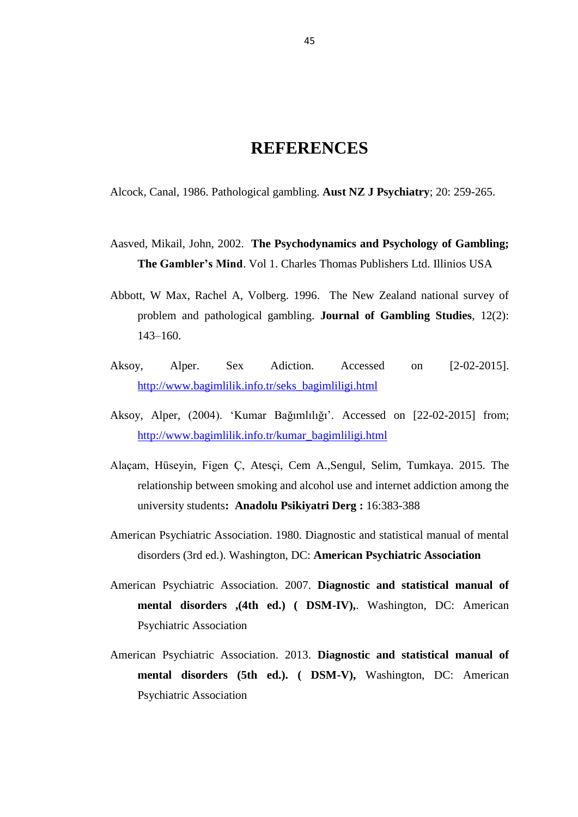# **REFERENCES**

Alcock, Canal, 1986. Pathological gambling. **Aust NZ J Psychiatry**; 20: 259-265.

- Aasved, Mikail, John, 2002. **The Psychodynamics and Psychology of Gambling; The Gambler's Mind**. Vol 1. Charles Thomas Publishers Ltd. Illinios USA
- Abbott, W Max, Rachel A, Volberg. 1996. The New Zealand national survey of problem and pathological gambling. **Journal of Gambling Studies**, 12(2): 143–160.
- Aksoy, Alper. Sex Adiction. Accessed on [2-02-2015]. [http://www.bagimlilik.info.tr/seks\\_bagimliligi.html](http://www.bagimlilik.info.tr/seks_bagimliligi.html)
- Aksoy, Alper, (2004). "Kumar Bağımlılığı". Accessed on [22-02-2015] from; [http://www.bagimlilik.info.tr/kumar\\_bagimliligi.html](http://www.bagimlilik.info.tr/kumar_bagimliligi.html)
- Alaçam, Hüseyin, Figen Ç, Atesçi, Cem A.,Sengul, Selim, Tumkaya. 2015. The relationship between smoking and alcohol use and internet addiction among the university students**: Anadolu Psikiyatri Derg :** 16:383-388
- American Psychiatric Association. 1980. Diagnostic and statistical manual of mental disorders (3rd ed.). Washington, DC: **American Psychiatric Association**
- American Psychiatric Association. 2007. **Diagnostic and statistical manual of mental disorders ,(4th ed.) ( DSM-IV),**. Washington, DC: American Psychiatric Association
- American Psychiatric Association. 2013. **Diagnostic and statistical manual of mental disorders (5th ed.). ( DSM-V),** Washington, DC: American Psychiatric Association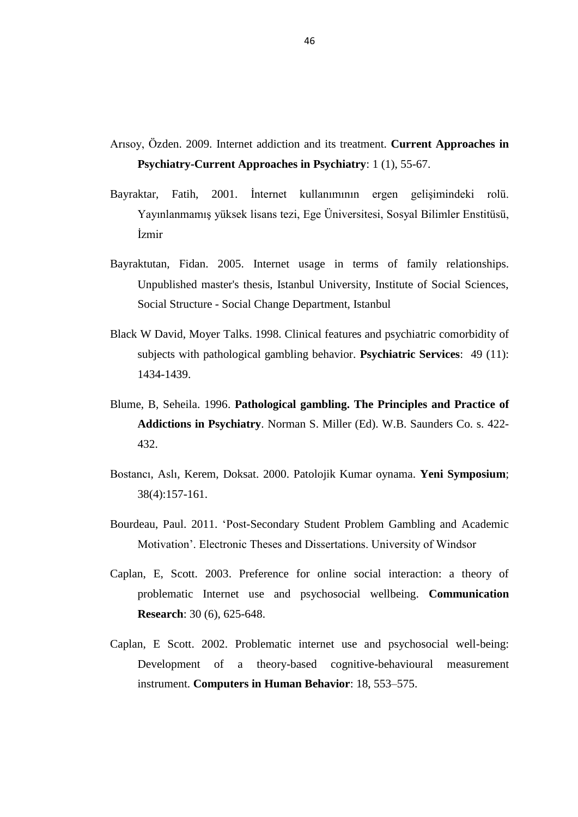- Arısoy, Özden. 2009. Internet addiction and its treatment. **Current Approaches in Psychiatry-Current Approaches in Psychiatry**: 1 (1), 55-67.
- Bayraktar, Fatih, 2001. İnternet kullanımının ergen gelişimindeki rolü. Yayınlanmamış yüksek lisans tezi, Ege Üniversitesi, Sosyal Bilimler Enstitüsü, İzmir
- Bayraktutan, Fidan. 2005. Internet usage in terms of family relationships. Unpublished master's thesis, Istanbul University, Institute of Social Sciences, Social Structure - Social Change Department, Istanbul
- Black W David, Moyer Talks. 1998. Clinical features and psychiatric comorbidity of subjects with pathological gambling behavior. **Psychiatric Services**: 49 (11): 1434-1439.
- Blume, B, Seheila. 1996. **Pathological gambling. The Principles and Practice of Addictions in Psychiatry**. Norman S. Miller (Ed). W.B. Saunders Co. s. 422- 432.
- Bostancı, Aslı, Kerem, Doksat. 2000. Patolojik Kumar oynama. **Yeni Symposium**; 38(4):157-161.
- Bourdeau, Paul. 2011. "Post-Secondary Student Problem Gambling and Academic Motivation". Electronic Theses and Dissertations. University of Windsor
- Caplan, E, Scott. 2003. Preference for online social interaction: a theory of problematic Internet use and psychosocial wellbeing. **Communication Research**: 30 (6), 625-648.
- Caplan, E Scott. 2002. Problematic internet use and psychosocial well-being: Development of a theory-based cognitive-behavioural measurement instrument. **Computers in Human Behavior**: 18, 553–575.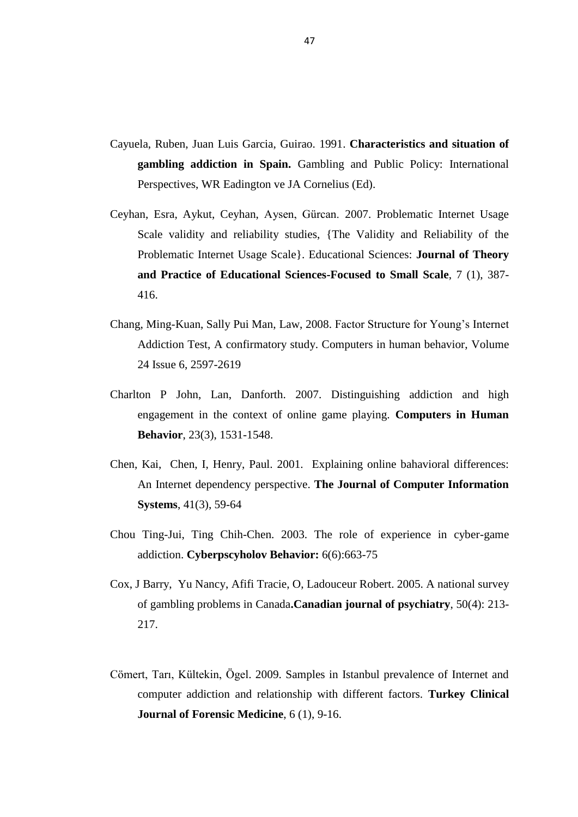- Cayuela, Ruben, Juan Luis Garcia, Guirao. 1991. **Characteristics and situation of gambling addiction in Spain.** Gambling and Public Policy: International Perspectives, WR Eadington ve JA Cornelius (Ed).
- Ceyhan, Esra, Aykut, Ceyhan, Aysen, Gürcan. 2007. Problematic Internet Usage Scale validity and reliability studies, {The Validity and Reliability of the Problematic Internet Usage Scale}. Educational Sciences: **Journal of Theory and Practice of Educational Sciences-Focused to Small Scale**, 7 (1), 387- 416.
- Chang, Ming-Kuan, Sally Pui Man, Law, 2008. Factor Structure for Young"s Internet Addiction Test, A confirmatory study. Computers in human behavior, Volume 24 Issue 6, 2597-2619
- Charlton P John, Lan, Danforth. 2007. Distinguishing addiction and high engagement in the context of online game playing. **Computers in Human Behavior**, 23(3), 1531-1548.
- Chen, Kai, Chen, I, Henry, Paul. 2001. Explaining online bahavioral differences: An Internet dependency perspective. **The Journal of Computer Information Systems**, 41(3), 59-64
- Chou Ting-Jui, Ting Chih-Chen. 2003. The role of experience in cyber-game addiction. **Cyberpscyholov Behavior:** 6(6):663-75
- Cox, J Barry, Yu Nancy, Afifi Tracie, O, Ladouceur Robert. 2005. A national survey of gambling problems in Canada**.Canadian journal of psychiatry**, 50(4): 213- 217.
- Cömert, Tarı, Kültekin, Ögel. 2009. Samples in Istanbul prevalence of Internet and computer addiction and relationship with different factors. **Turkey Clinical Journal of Forensic Medicine**, 6 (1), 9-16.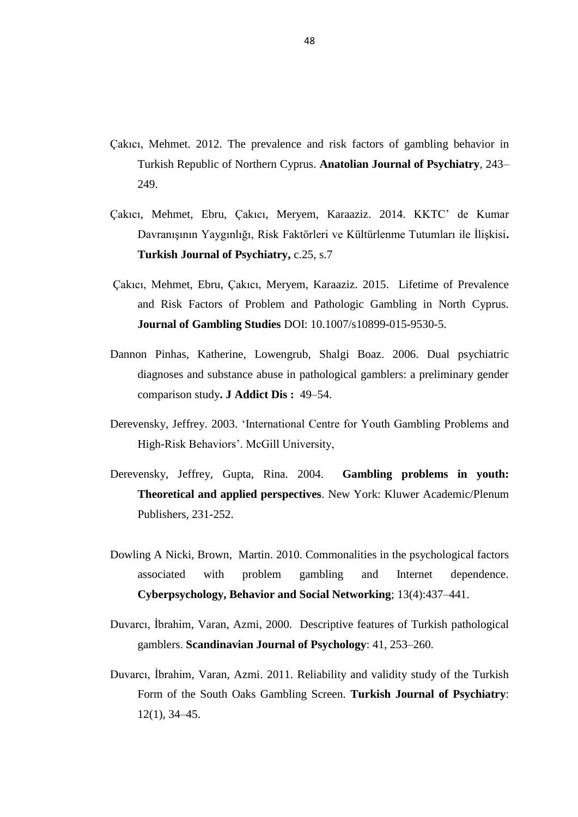- Çakıcı, Mehmet. 2012. The prevalence and risk factors of gambling behavior in Turkish Republic of Northern Cyprus. **Anatolian Journal of Psychiatry**, 243– 249.
- Çakıcı, Mehmet, Ebru, Çakıcı, Meryem, Karaaziz. 2014. KKTC" de Kumar Davranışının Yaygınlığı, Risk Faktörleri ve Kültürlenme Tutumları ile İlişkisi**. Turkish Journal of Psychiatry,** c.25, s.7
- Çakıcı, Mehmet, Ebru, Çakıcı, Meryem, Karaaziz. 2015. Lifetime of Prevalence and Risk Factors of Problem and Pathologic Gambling in North Cyprus. **Journal of Gambling Studies** DOI: 10.1007/s10899-015-9530-5.
- Dannon Pinhas, Katherine, Lowengrub, Shalgi Boaz. 2006. Dual psychiatric diagnoses and substance abuse in pathological gamblers: a preliminary gender comparison study**. J Addict Dis :** 49–54.
- Derevensky, Jeffrey. 2003. "International Centre for Youth Gambling Problems and High-Risk Behaviors". McGill University,
- Derevensky, Jeffrey, Gupta, Rina. 2004. **Gambling problems in youth: Theoretical and applied perspectives**. New York: Kluwer Academic/Plenum Publishers, 231-252.
- Dowling A Nicki, Brown, Martin. 2010. Commonalities in the psychological factors associated with problem gambling and Internet dependence. **Cyberpsychology, Behavior and Social Networking**; 13(4):437–441.
- Duvarcı, İbrahim, Varan, Azmi, 2000. Descriptive features of Turkish pathological gamblers. **Scandinavian Journal of Psychology**: 41, 253–260.
- Duvarcı, İbrahim, Varan, Azmi. 2011. Reliability and validity study of the Turkish Form of the South Oaks Gambling Screen. **Turkish Journal of Psychiatry**: 12(1), 34–45.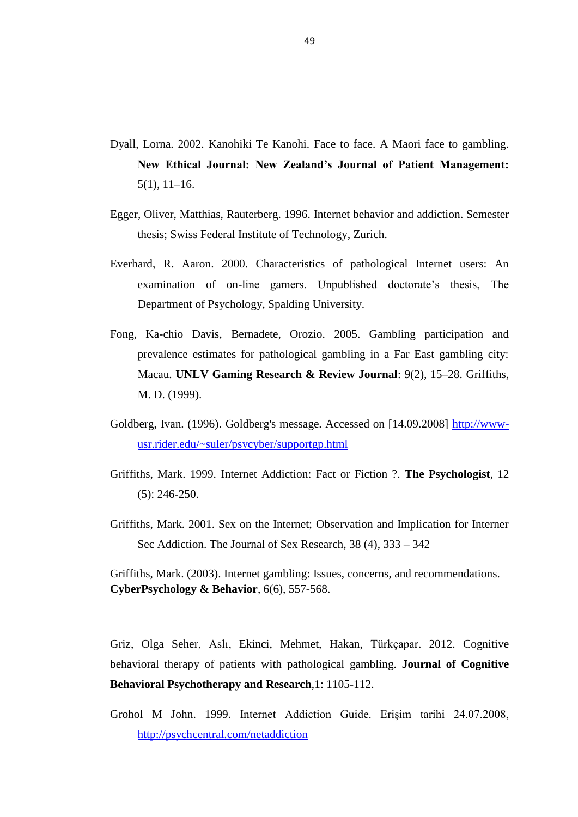- Dyall, Lorna. 2002. Kanohiki Te Kanohi. Face to face. A Maori face to gambling. **New Ethical Journal: New Zealand's Journal of Patient Management:**  5(1), 11–16.
- Egger, Oliver, Matthias, Rauterberg. 1996. Internet behavior and addiction. Semester thesis; Swiss Federal Institute of Technology, Zurich.
- Everhard, R. Aaron. 2000. Characteristics of pathological Internet users: An examination of on-line gamers. Unpublished doctorate's thesis, The Department of Psychology, Spalding University.
- Fong, Ka-chio Davis, Bernadete, Orozio. 2005. Gambling participation and prevalence estimates for pathological gambling in a Far East gambling city: Macau. **UNLV Gaming Research & Review Journal**: 9(2), 15–28. Griffiths, M. D. (1999).
- Goldberg, Ivan. (1996). Goldberg's message. Accessed on [14.09.2008] [http://www](http://www-usr.rider.edu/~suler/psycyber/supportgp.html)[usr.rider.edu/~suler/psycyber/supportgp.html](http://www-usr.rider.edu/~suler/psycyber/supportgp.html)
- Griffiths, Mark. 1999. Internet Addiction: Fact or Fiction ?. **The Psychologist**, 12 (5): 246-250.
- Griffiths, Mark. 2001. Sex on the Internet; Observation and Implication for Interner Sec Addiction. The Journal of Sex Research, 38 (4), 333 – 342

Griffiths, Mark. (2003). Internet gambling: Issues, concerns, and recommendations. **CyberPsychology & Behavior**, 6(6), 557-568.

Griz, Olga Seher, Aslı, Ekinci, Mehmet, Hakan, Türkçapar. 2012. Cognitive behavioral therapy of patients with pathological gambling. **Journal of Cognitive Behavioral Psychotherapy and Research**,1: 1105-112.

Grohol M John. 1999. Internet Addiction Guide. Erişim tarihi 24.07.2008, <http://psychcentral.com/netaddiction>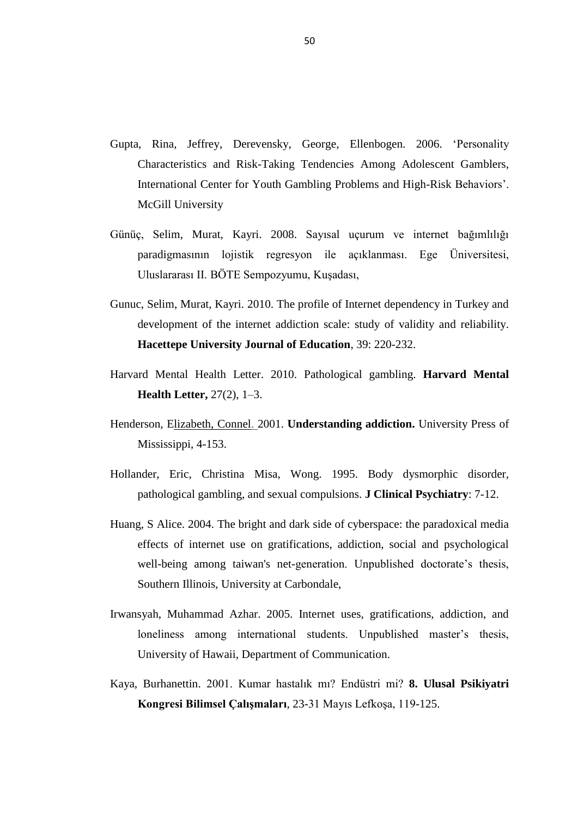- Gupta, Rina, Jeffrey, Derevensky, George, Ellenbogen. 2006. "Personality Characteristics and Risk-Taking Tendencies Among Adolescent Gamblers, International Center for Youth Gambling Problems and High-Risk Behaviors". McGill University
- Günüç, Selim, Murat, Kayri. 2008. Sayısal uçurum ve internet bağımlılığı paradigmasının lojistik regresyon ile açıklanması. Ege Üniversitesi, Uluslararası II. BÖTE Sempozyumu, Kuşadası,
- Gunuc, Selim, Murat, Kayri. 2010. The profile of Internet dependency in Turkey and development of the internet addiction scale: study of validity and reliability. **Hacettepe University Journal of Education**, 39: 220-232.
- Harvard Mental Health Letter. 2010. Pathological gambling. **Harvard Mental Health Letter,** 27(2), 1–3.
- Henderson, Elizabeth, Connel. 2001. **Understanding addiction.** University Press of Mississippi, 4-153.
- Hollander, Eric, Christina Misa, Wong. 1995. Body dysmorphic disorder, pathological gambling, and sexual compulsions. **J Clinical Psychiatry**: 7-12.
- Huang, S Alice. 2004. The bright and dark side of cyberspace: the paradoxical media effects of internet use on gratifications, addiction, social and psychological well-being among taiwan's net-generation. Unpublished doctorate's thesis, Southern Illinois, University at Carbondale,
- Irwansyah, Muhammad Azhar. 2005. Internet uses, gratifications, addiction, and loneliness among international students. Unpublished master's thesis, University of Hawaii, Department of Communication.
- Kaya, Burhanettin. 2001. Kumar hastalık mı? Endüstri mi? **8. Ulusal Psikiyatri Kongresi Bilimsel ÇalıĢmaları**, 23-31 Mayıs Lefkoşa, 119-125.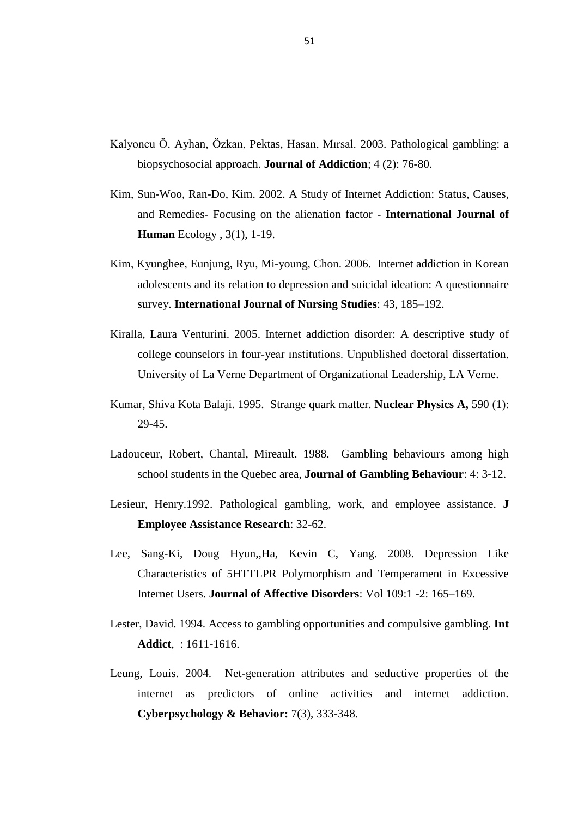- Kalyoncu Ö. Ayhan, Özkan, Pektas, Hasan, Mırsal. 2003. Pathological gambling: a biopsychosocial approach. **Journal of Addiction**; 4 (2): 76-80.
- Kim, Sun-Woo, Ran-Do, Kim. 2002. A Study of Internet Addiction: Status, Causes, and Remedies- Focusing on the alienation factor - **International Journal of Human** Ecology , 3(1), 1-19.
- Kim, Kyunghee, Eunjung, Ryu, Mi-young, Chon. 2006. Internet addiction in Korean adolescents and its relation to depression and suicidal ideation: A questionnaire survey. **International Journal of Nursing Studies**: 43, 185–192.
- Kiralla, Laura Venturini. 2005. Internet addiction disorder: A descriptive study of college counselors in four-year ınstitutions. Unpublished doctoral dissertation, University of La Verne Department of Organizational Leadership, LA Verne.
- Kumar, Shiva Kota Balaji. 1995. Strange quark matter. **Nuclear Physics A,** 590 (1): 29-45.
- Ladouceur, Robert, Chantal, Mireault. 1988. Gambling behaviours among high school students in the Quebec area, **Journal of Gambling Behaviour**: 4: 3-12.
- Lesieur, Henry.1992. Pathological gambling, work, and employee assistance. **J Employee Assistance Research**: 32-62.
- Lee, Sang-Ki, Doug Hyun,,Ha, Kevin C, Yang. 2008. Depression Like Characteristics of 5HTTLPR Polymorphism and Temperament in Excessive Internet Users. **Journal of Affective Disorders**: Vol 109:1 -2: 165–169.
- Lester, David. 1994. Access to gambling opportunities and compulsive gambling. **Int Addict**, : 1611-1616.
- Leung, Louis. 2004. Net-generation attributes and seductive properties of the internet as predictors of online activities and internet addiction. **Cyberpsychology & Behavior:** 7(3), 333-348.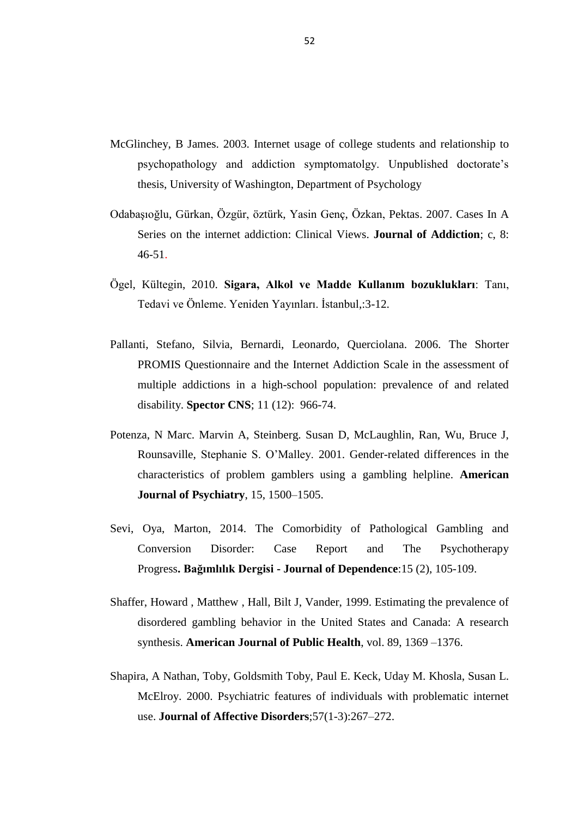- McGlinchey, B James. 2003. Internet usage of college students and relationship to psychopathology and addiction symptomatolgy. Unpublished doctorate"s thesis, University of Washington, Department of Psychology
- Odabaşıoğlu, Gürkan, Özgür, öztürk, Yasin Genç, Özkan, Pektas. 2007. Cases In A Series on the internet addiction: Clinical Views. **Journal of Addiction**; c, 8: 46-51.
- Ögel, Kültegin, 2010. **Sigara, Alkol ve Madde Kullanım bozuklukları**: Tanı, Tedavi ve Önleme. Yeniden Yayınları. İstanbul,:3-12.
- Pallanti, Stefano, Silvia, Bernardi, Leonardo, Querciolana. 2006. The Shorter PROMIS Questionnaire and the Internet Addiction Scale in the assessment of multiple addictions in a high-school population: prevalence of and related disability. **Spector CNS**; 11 (12): 966-74.
- Potenza, N Marc. Marvin A, Steinberg. Susan D, McLaughlin, Ran, Wu, Bruce J, Rounsaville, Stephanie S. O"Malley. 2001. Gender-related differences in the characteristics of problem gamblers using a gambling helpline. **American Journal of Psychiatry**, 15, 1500–1505.
- Sevi, Oya, Marton, 2014. The Comorbidity of Pathological Gambling and Conversion Disorder: Case Report and The Psychotherapy Progress**. Bağımlılık Dergisi - Journal of Dependence**:15 (2), 105-109.
- Shaffer, Howard , Matthew , Hall, Bilt J, Vander, 1999. Estimating the prevalence of disordered gambling behavior in the United States and Canada: A research synthesis. **American Journal of Public Health**, vol. 89, 1369 –1376.
- Shapira, A Nathan, Toby, Goldsmith Toby, Paul E. Keck, Uday M. Khosla, Susan L. McElroy. 2000. Psychiatric features of individuals with problematic internet use. **Journal of Affective Disorders**;57(1-3):267–272.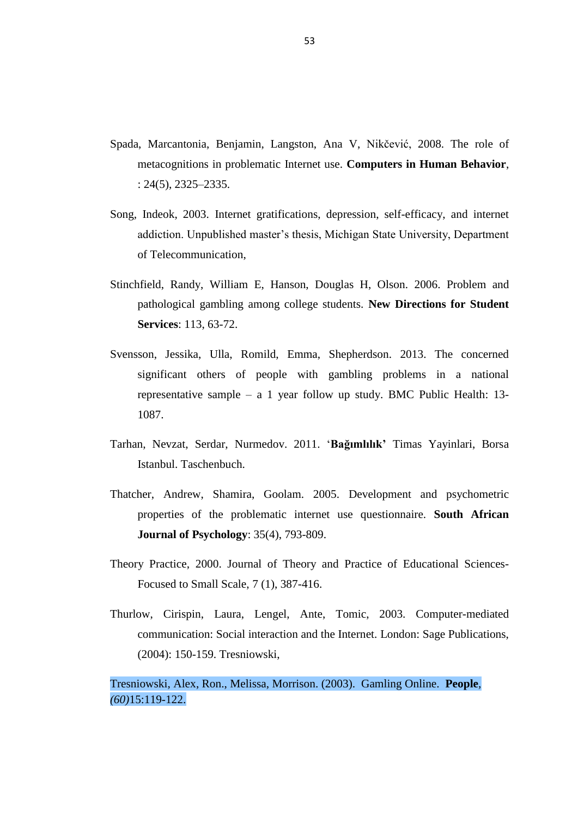- Spada, Marcantonia, Benjamin, Langston, Ana V, Nikčević, 2008. The role of metacognitions in problematic Internet use. **Computers in Human Behavior**, : 24(5), 2325–2335.
- Song, Indeok, 2003. Internet gratifications, depression, self-efficacy, and internet addiction. Unpublished master's thesis, Michigan State University, Department of Telecommunication,
- Stinchfield, Randy, William E, Hanson, Douglas H, Olson. 2006. Problem and pathological gambling among college students. **New Directions for Student Services**: 113, 63-72.
- Svensson, Jessika, Ulla, Romild, Emma, Shepherdson. 2013. The concerned significant others of people with gambling problems in a national representative sample – a 1 year follow up study. BMC Public Health: 13- 1087.
- Tarhan, Nevzat, Serdar, Nurmedov. 2011. "**Bağımlılık'** Timas Yayinlari, Borsa Istanbul. Taschenbuch.
- Thatcher, Andrew, Shamira, Goolam. 2005. Development and psychometric properties of the problematic internet use questionnaire. **South African Journal of Psychology**: 35(4), 793-809.
- Theory Practice, 2000. Journal of Theory and Practice of Educational Sciences-Focused to Small Scale, 7 (1), 387-416.
- Thurlow, Cirispin, Laura, Lengel, Ante, Tomic, 2003. Computer-mediated communication: Social interaction and the Internet. London: Sage Publications, (2004): 150-159. Tresniowski,

Tresniowski, Alex, Ron., Melissa, Morrison. (2003). Gamling Online. **People***, (60)*15:119-122.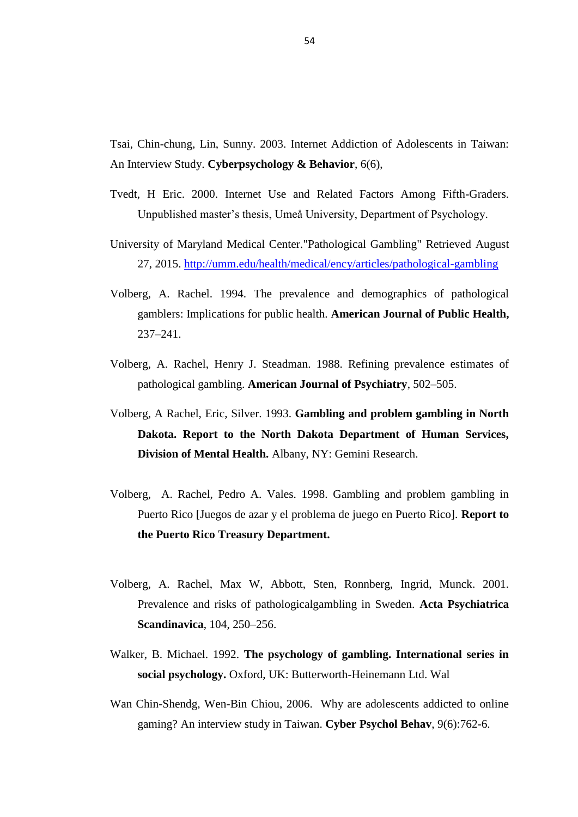Tsai, Chin-chung, Lin, Sunny. 2003. Internet Addiction of Adolescents in Taiwan: An Interview Study. **Cyberpsychology & Behavior**, 6(6),

- Tvedt, H Eric. 2000. Internet Use and Related Factors Among Fifth-Graders. Unpublished master"s thesis, Umeå University, Department of Psychology.
- University of Maryland Medical Center."Pathological Gambling" Retrieved August 27, 2015. <http://umm.edu/health/medical/ency/articles/pathological-gambling>
- Volberg, A. Rachel. 1994. The prevalence and demographics of pathological gamblers: Implications for public health. **American Journal of Public Health,** 237–241.
- Volberg, A. Rachel, Henry J. Steadman. 1988. Refining prevalence estimates of pathological gambling. **American Journal of Psychiatry**, 502–505.
- Volberg, A Rachel, Eric, Silver. 1993. **Gambling and problem gambling in North Dakota. Report to the North Dakota Department of Human Services, Division of Mental Health.** Albany, NY: Gemini Research.
- Volberg, A. Rachel, Pedro A. Vales. 1998. Gambling and problem gambling in Puerto Rico [Juegos de azar y el problema de juego en Puerto Rico]. **Report to the Puerto Rico Treasury Department.**
- Volberg, A. Rachel, Max W, Abbott, Sten, Ronnberg, Ingrid, Munck. 2001. Prevalence and risks of pathologicalgambling in Sweden. **Acta Psychiatrica Scandinavica**, 104, 250–256.
- Walker, B. Michael. 1992. **The psychology of gambling. International series in social psychology.** Oxford, UK: Butterworth-Heinemann Ltd. Wal
- Wan Chin-Shendg, Wen-Bin Chiou, 2006. Why are adolescents addicted to online gaming? An interview study in Taiwan. **Cyber Psychol Behav**, 9(6):762-6.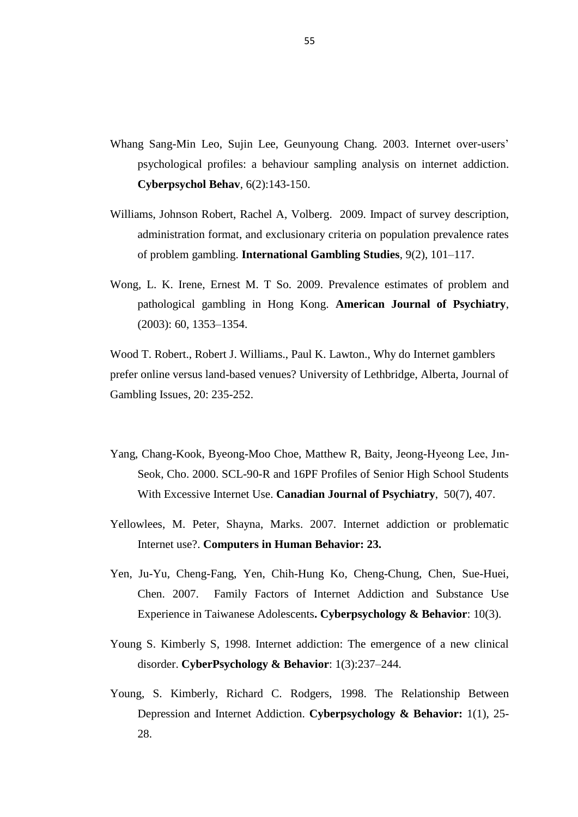- Whang Sang-Min Leo, Sujin Lee, Geunyoung Chang. 2003. Internet over-users" psychological profiles: a behaviour sampling analysis on internet addiction. **Cyberpsychol Behav**, 6(2):143-150.
- Williams, Johnson Robert, Rachel A, Volberg. 2009. Impact of survey description, administration format, and exclusionary criteria on population prevalence rates of problem gambling. **International Gambling Studies**, 9(2), 101–117.
- Wong, L. K. Irene, Ernest M. T So. 2009. Prevalence estimates of problem and pathological gambling in Hong Kong. **American Journal of Psychiatry**, (2003): 60, 1353–1354.

Wood T. Robert., Robert J. Williams., Paul K. Lawton., Why do Internet gamblers prefer online versus land-based venues? University of Lethbridge, Alberta, Journal of Gambling Issues, 20: 235-252.

- Yang, Chang-Kook, Byeong-Moo Choe, Matthew R, Baity, Jeong-Hyeong Lee, Jın-Seok, Cho. 2000. SCL-90-R and 16PF Profiles of Senior High School Students With Excessive Internet Use. **Canadian Journal of Psychiatry**, 50(7), 407.
- Yellowlees, M. Peter, Shayna, Marks. 2007. Internet addiction or problematic Internet use?. **Computers in Human Behavior: 23.**
- Yen, Ju-Yu, Cheng-Fang, Yen, Chih-Hung Ko, Cheng-Chung, Chen, Sue-Huei, Chen. 2007. Family Factors of Internet Addiction and Substance Use Experience in Taiwanese Adolescents**. Cyberpsychology & Behavior**: 10(3).
- Young S. Kimberly S, 1998. Internet addiction: The emergence of a new clinical disorder. **CyberPsychology & Behavior**: 1(3):237–244.
- Young, S. Kimberly, Richard C. Rodgers, 1998. The Relationship Between Depression and Internet Addiction. **Cyberpsychology & Behavior:** 1(1), 25- 28.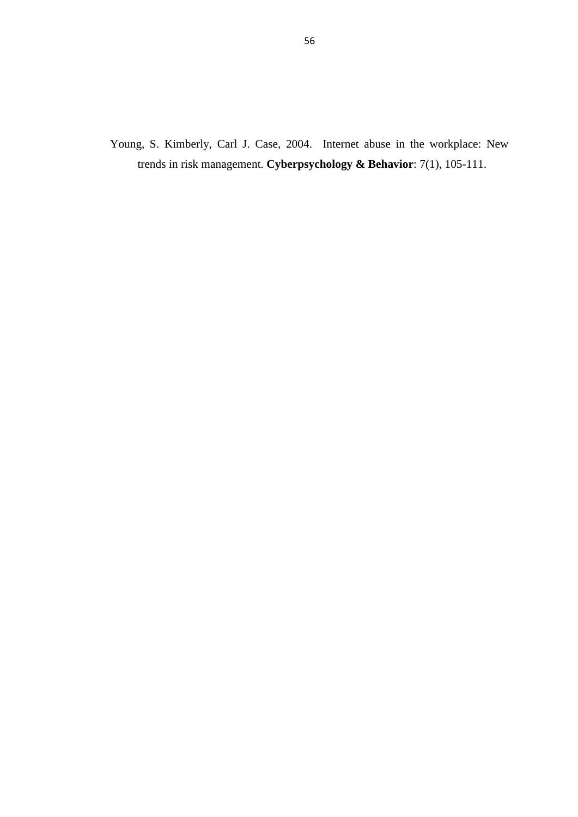Young, S. Kimberly, Carl J. Case, 2004. Internet abuse in the workplace: New trends in risk management. **Cyberpsychology & Behavior**: 7(1), 105-111.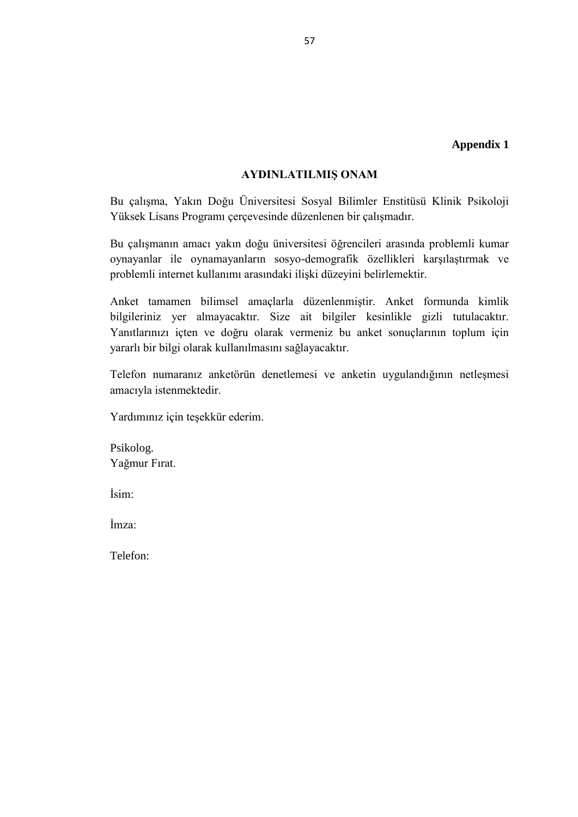#### **AYDINLATILMIġ ONAM**

Bu çalışma, Yakın Doğu Üniversitesi Sosyal Bilimler Enstitüsü Klinik Psikoloji Yüksek Lisans Programı çerçevesinde düzenlenen bir çalışmadır.

Bu çalışmanın amacı yakın doğu üniversitesi öğrencileri arasında problemli kumar oynayanlar ile oynamayanların sosyo-demografik özellikleri karşılaştırmak ve problemli internet kullanımı arasındaki ilişki düzeyini belirlemektir.

Anket tamamen bilimsel amaçlarla düzenlenmiştir. Anket formunda kimlik bilgileriniz yer almayacaktır. Size ait bilgiler kesinlikle gizli tutulacaktır. Yanıtlarınızı içten ve doğru olarak vermeniz bu anket sonuçlarının toplum için yararlı bir bilgi olarak kullanılmasını sağlayacaktır.

Telefon numaranız anketörün denetlemesi ve anketin uygulandığının netleşmesi amacıyla istenmektedir.

Yardımınız için teşekkür ederim.

Psikolog. Yağmur Fırat.

İsim:

İmza:

Telefon: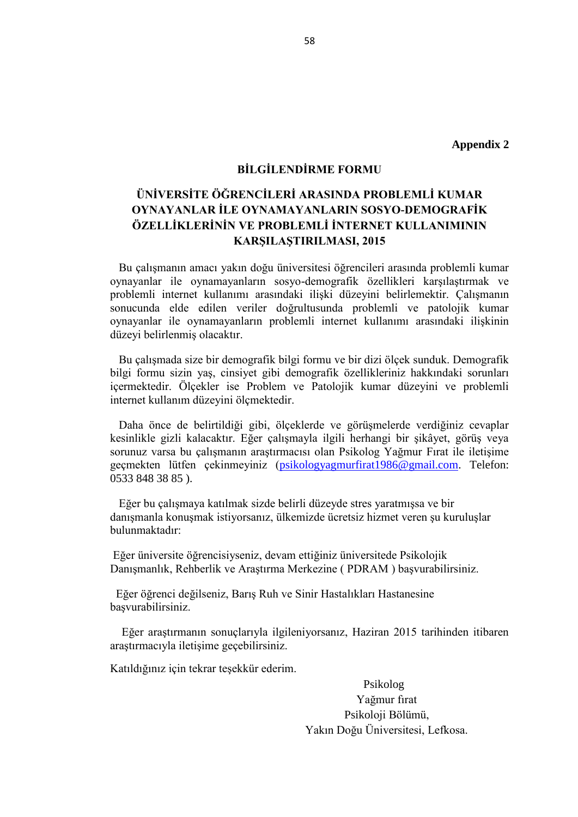#### **BİLGİLENDİRME FORMU**

# ÜNİVERSİTE ÖĞRENCİLERİ ARASINDA PROBLEMLİ KUMAR **OYNAYANLAR İLE OYNAMAYANLARIN SOSYO-DEMOGRAFİK** ÖZELLİKLERİNİN VE PROBLEMLİ İNTERNET KULLANIMININ **KARSILASTIRILMASI, 2015**

 Bu çalışmanın amacı yakın doğu üniversitesi öğrencileri arasında problemli kumar oynayanlar ile oynamayanların sosyo-demografik özellikleri karşılaştırmak ve problemli internet kullanımı arasındaki ilişki düzeyini belirlemektir. Çalışmanın sonucunda elde edilen veriler doğrultusunda problemli ve patolojik kumar oynayanlar ile oynamayanların problemli internet kullanımı arasındaki ilişkinin düzeyi belirlenmiş olacaktır.

 Bu çalışmada size bir demografik bilgi formu ve bir dizi ölçek sunduk. Demografik bilgi formu sizin yaş, cinsiyet gibi demografik özellikleriniz hakkındaki sorunları içermektedir. Ölçekler ise Problem ve Patolojik kumar düzeyini ve problemli internet kullanım düzeyini ölçmektedir.

 Daha önce de belirtildiği gibi, ölçeklerde ve görüşmelerde verdiğiniz cevaplar kesinlikle gizli kalacaktır. Eğer çalışmayla ilgili herhangi bir şikâyet, görüş veya sorunuz varsa bu çalışmanın araştırmacısı olan Psikolog Yağmur Fırat ile iletişime geçmekten lütfen çekinmeyiniz [\(psikologyagmurfirat1986@gmail.com.](mailto:psikologyagmurfirat1986@gmail.com) Telefon: 0533 848 38 85 ).

 Eğer bu çalışmaya katılmak sizde belirli düzeyde stres yaratmışsa ve bir danışmanla konuşmak istiyorsanız, ülkemizde ücretsiz hizmet veren şu kuruluşlar bulunmaktadır:

Eğer üniversite öğrencisiyseniz, devam ettiğiniz üniversitede Psikolojik Danışmanlık, Rehberlik ve Araştırma Merkezine ( PDRAM ) başvurabilirsiniz.

 Eğer öğrenci değilseniz, Barış Ruh ve Sinir Hastalıkları Hastanesine başvurabilirsiniz.

 Eğer araştırmanın sonuçlarıyla ilgileniyorsanız, Haziran 2015 tarihinden itibaren araştırmacıyla iletişime geçebilirsiniz.

Katıldığınız için tekrar teşekkür ederim.

 Psikolog Yağmur fırat Psikoloji Bölümü, Yakın Doğu Üniversitesi, Lefkosa.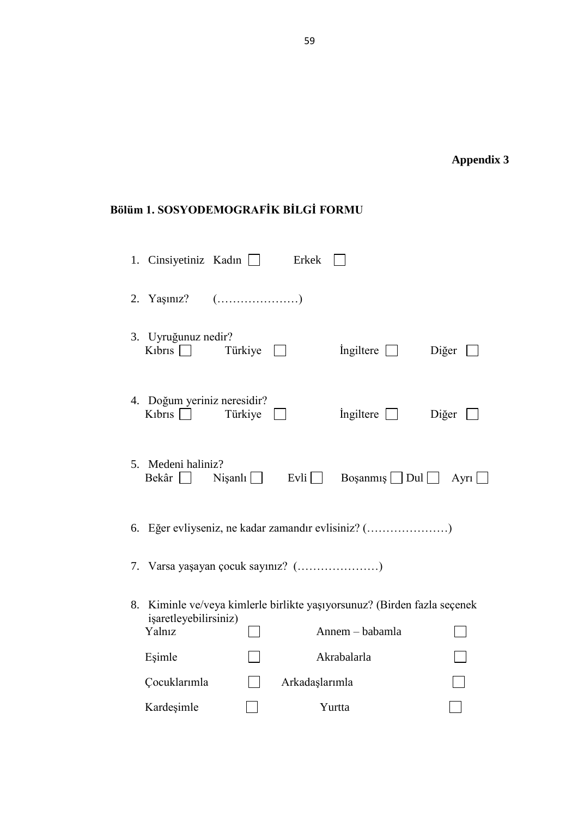# **Appendix 3**

# **Bölüm 1. SOSYODEMOGRAFİK BİLGİ FORMU**

|    | 1. Cinsiyetiniz Kadın $\Box$                                           |         | Erkek          |                                                                                          |                |
|----|------------------------------------------------------------------------|---------|----------------|------------------------------------------------------------------------------------------|----------------|
|    | 2. Yaşınız? $(\dots \dots \dots \dots \dots \dots)$                    |         |                |                                                                                          |                |
|    | 3. Uyruğunuz nedir?<br>K <sub>1</sub> bris $\Box$                      | Türkiye |                | Ingiltere $\Box$                                                                         | Diğer          |
|    | 4. Doğum yeriniz neresidir?<br>K <sub>1</sub> br <sub>1</sub> s $\Box$ | Türkiye |                | Ingiltere $\Box$                                                                         | Diğer          |
|    | 5. Medeni haliniz?<br>$\text{Bekâr}$ Nişanlı                           |         | Evli           | $\log$ anmış Dul                                                                         | Ayrı $\lfloor$ |
|    |                                                                        |         |                | 6. Eğer evliyseniz, ne kadar zamandır evlisiniz? ()                                      |                |
|    | 7. Varsa yaşayan çocuk sayınız? ()                                     |         |                |                                                                                          |                |
| 8. | işaretleyebilirsiniz)<br>Yalnız                                        |         |                | Kiminle ve/veya kimlerle birlikte yaşıyorsunuz? (Birden fazla seçenek<br>Annem - babamla |                |
|    | Esimle                                                                 |         |                | Akrabalarla                                                                              |                |
|    | Cocuklarımla                                                           |         | Arkadaşlarımla |                                                                                          |                |
|    | Kardeşimle                                                             |         |                | Yurtta                                                                                   |                |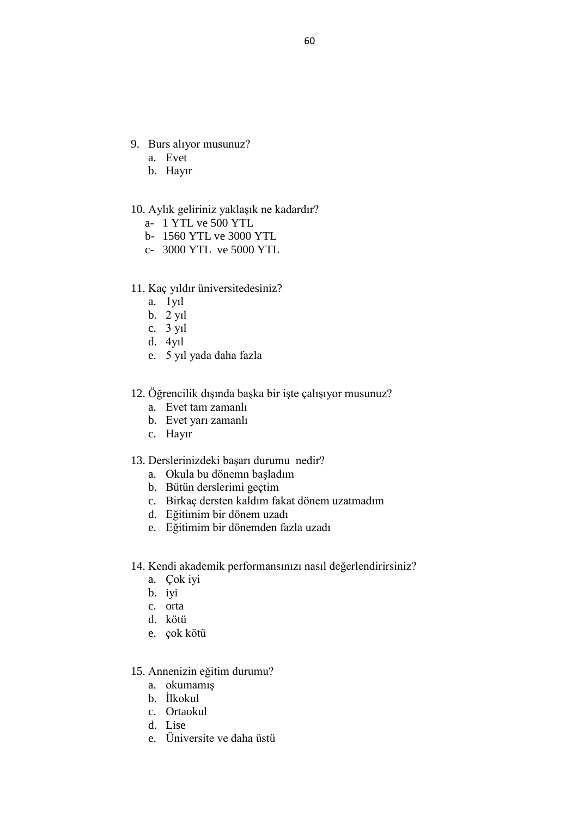- 9. Burs alıyor musunuz?
	- a. Evet
	- b. Hayır
- 10. Aylık geliriniz yaklaşık ne kadardır?
	- a- 1 YTL ve 500 YTL
	- b- 1560 YTL ve 3000 YTL
	- c- 3000 YTL ve 5000 YTL
- 11. Kaç yıldır üniversitedesiniz?
	- a. 1yıl
	- b. 2 yıl
	- c. 3 yıl
	- d. 4yıl
	- e. 5 yıl yada daha fazla

### 12. Öğrencilik dışında başka bir işte çalışıyor musunuz?

- a. Evet tam zamanlı
- b. Evet yarı zamanlı
- c. Hayır

#### 13. Derslerinizdeki başarı durumu nedir?

- a. Okula bu dönemn başladım
- b. Bütün derslerimi geçtim
- c. Birkaç dersten kaldım fakat dönem uzatmadım
- d. Eğitimim bir dönem uzadı
- e. Eğitimim bir dönemden fazla uzadı
- 14. Kendi akademik performansınızı nasıl değerlendirirsiniz?
	- a. Çok iyi
	- b. iyi
	- c. orta
	- d. kötü
	- e. çok kötü
- 15. Annenizin eğitim durumu?
	- a. okumamış
	- b. İlkokul
	- c. Ortaokul
	- d. Lise
	- e. Üniversite ve daha üstü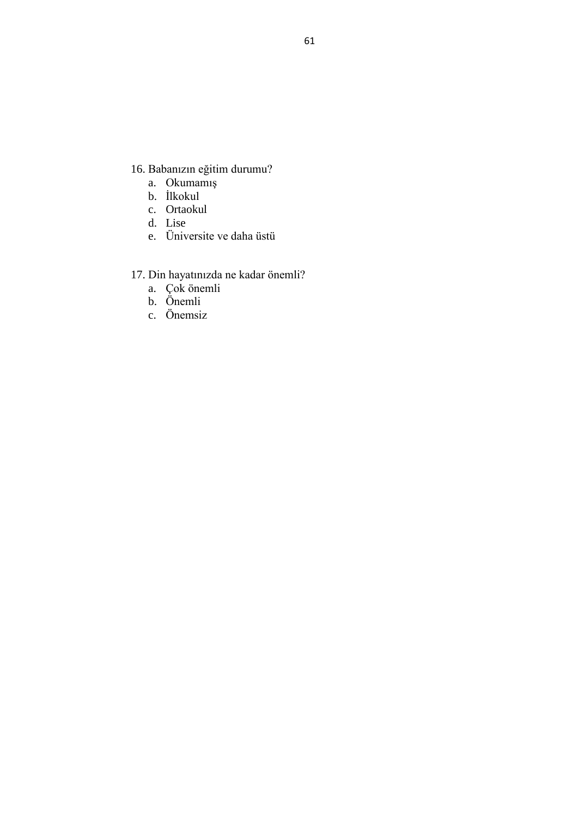- 16. Babanızın eğitim durumu?
	- a. Okumamış
	- b. İlkokul
	- c. Ortaokul
	- d. Lise
	- e. Üniversite ve daha üstü

## 17. Din hayatınızda ne kadar önemli?

- a. Çok önemli
- b. Önemli
- c. Önemsiz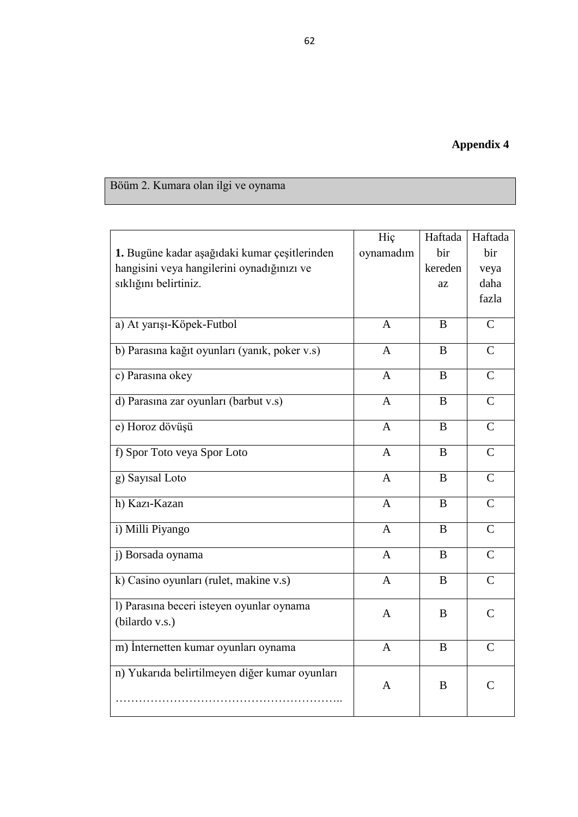# Böüm 2. Kumara olan ilgi ve oynama

|                                                | Hiç            | Haftada | Haftada        |
|------------------------------------------------|----------------|---------|----------------|
| 1. Bugüne kadar aşağıdaki kumar çeşitlerinden  | oynamadım      | bir     | bir            |
| hangisini veya hangilerini oynadığınızı ve     |                | kereden | veya           |
| sıklığını belirtiniz.                          |                | az      | daha           |
|                                                |                |         | fazla          |
|                                                |                |         |                |
| a) At yarışı-Köpek-Futbol                      | $\mathbf{A}$   | B       | $\mathsf{C}$   |
| b) Parasına kağıt oyunları (yanık, poker v.s)  | $\mathbf{A}$   | B       | $\mathsf{C}$   |
| c) Parasına okey                               | $\mathbf{A}$   | B       | $\mathbf C$    |
|                                                |                |         |                |
| d) Parasına zar oyunları (barbut v.s)          | $\mathbf{A}$   | B       | $\mathsf{C}$   |
| e) Horoz dövüşü                                | $\mathbf{A}$   | B       | $\mathsf{C}$   |
| f) Spor Toto veya Spor Loto                    | A              | B       | $\mathsf{C}$   |
|                                                |                |         |                |
| g) Sayısal Loto                                | $\mathbf{A}$   | B       | $\mathsf{C}$   |
| h) Kazı-Kazan                                  | $\mathbf{A}$   | B       | $\mathsf{C}$   |
| i) Milli Piyango                               | $\mathbf{A}$   | B       | $\overline{C}$ |
| j) Borsada oynama                              | $\overline{A}$ | B       | $\overline{C}$ |
|                                                |                |         |                |
| k) Casino oyunları (rulet, makine v.s)         | $\mathbf{A}$   | B       | $\mathsf{C}$   |
| l) Parasına beceri isteyen oyunlar oynama      | A              | B       | $\mathcal{C}$  |
| (bilardo v.s.)                                 |                |         |                |
| m) İnternetten kumar oyunları oynama           | $\mathbf{A}$   | B       | $\overline{C}$ |
|                                                |                |         |                |
| n) Yukarıda belirtilmeyen diğer kumar oyunları | A              | B       | $\overline{C}$ |
|                                                |                |         |                |
|                                                |                |         |                |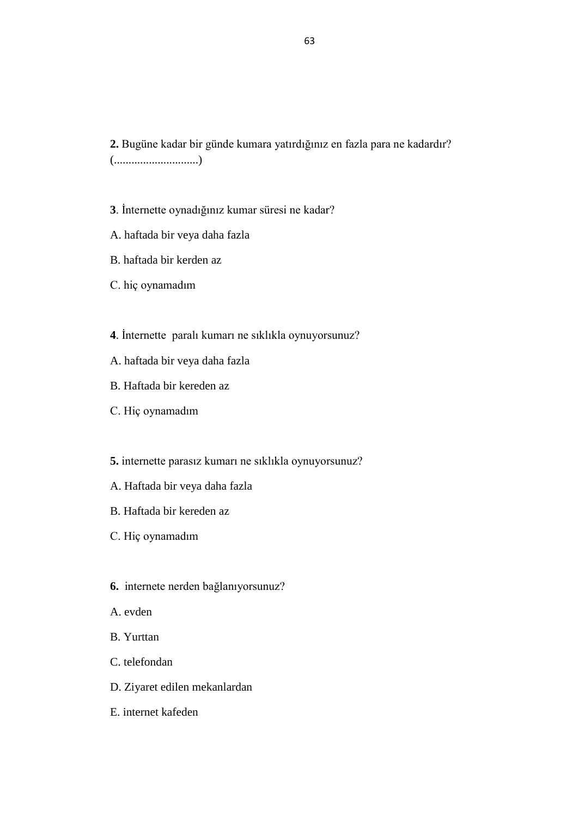**2.** Bugüne kadar bir günde kumara yatırdığınız en fazla para ne kadardır? (.............................)

**3**. İnternette oynadığınız kumar süresi ne kadar?

- A. haftada bir veya daha fazla
- B. haftada bir kerden az
- C. hiç oynamadım
- **4**. İnternette paralı kumarı ne sıklıkla oynuyorsunuz?
- A. haftada bir veya daha fazla
- B. Haftada bir kereden az
- C. Hiç oynamadım
- **5.** internette parasız kumarı ne sıklıkla oynuyorsunuz?
- A. Haftada bir veya daha fazla
- B. Haftada bir kereden az
- C. Hiç oynamadım
- **6.** internete nerden bağlanıyorsunuz?
- A. evden
- B. Yurttan
- C. telefondan
- D. Ziyaret edilen mekanlardan
- E. internet kafeden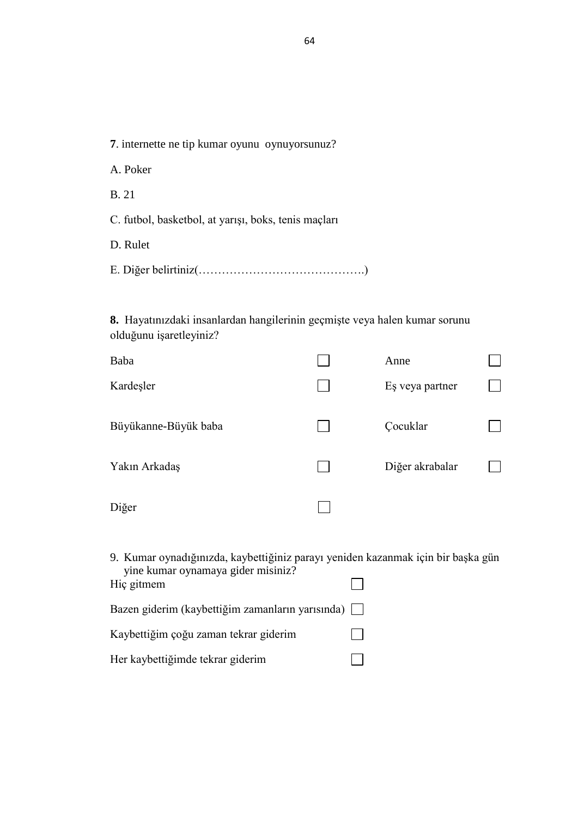**7**. internette ne tip kumar oyunu oynuyorsunuz?

A. Poker

B. 21

C. futbol, basketbol, at yarışı, boks, tenis maçları

D. Rulet

**8.** Hayatınızdaki insanlardan hangilerinin geçmişte veya halen kumar sorunu olduğunu işaretleyiniz?

| Baba                 | Anne            |  |
|----------------------|-----------------|--|
| Kardeşler            | Eş veya partner |  |
| Büyükanne-Büyük baba | Cocuklar        |  |
| Yakın Arkadaş        | Diğer akrabalar |  |
| Diğer                |                 |  |

9. Kumar oynadığınızda, kaybettiğiniz parayı yeniden kazanmak için bir başka gün yine kumar oynamaya gider misiniz?  $\Box$ Hiç gitmem

| Bazen giderim (kaybettiğim zamanların yarısında) |                |
|--------------------------------------------------|----------------|
| Kaybettiğim çoğu zaman tekrar giderim            | $\perp$        |
| Her kaybettiğimde tekrar giderim                 | $\mathbb{R}^n$ |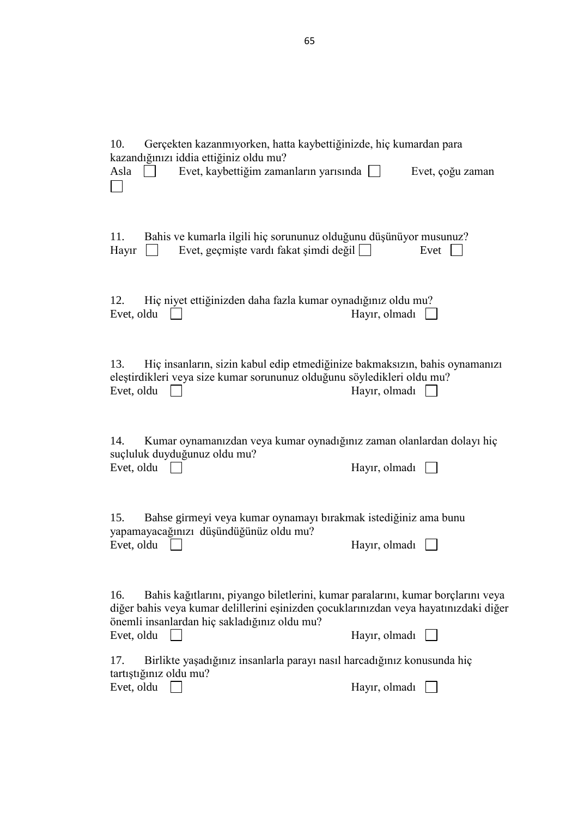| Gerçekten kazanmıyorken, hatta kaybettiğinizde, hiç kumardan para<br>10.<br>kazandığınızı iddia ettiğiniz oldu mu?<br>Evet, kaybettiğim zamanların yarısında<br>Asla<br>$\Box$                                                                | Evet, çoğu zaman      |
|-----------------------------------------------------------------------------------------------------------------------------------------------------------------------------------------------------------------------------------------------|-----------------------|
| Bahis ve kumarla ilgili hiç sorununuz olduğunu düşünüyor musunuz?<br>11.<br>Evet, geçmişte vardı fakat şimdi değil □<br>Hayır                                                                                                                 | Evet                  |
| Hiç niyet ettiğinizden daha fazla kumar oynadığınız oldu mu?<br>12.<br>Evet, oldu                                                                                                                                                             | Hayır, olmadı         |
| Hiç insanların, sizin kabul edip etmediğinize bakmaksızın, bahis oynamanızı<br>13.<br>eleştirdikleri veya size kumar sorununuz olduğunu söyledikleri oldu mu?<br>Evet, oldu                                                                   | Hayır, olmadı         |
| Kumar oynamanızdan veya kumar oynadığınız zaman olanlardan dolayı hiç<br>14.<br>suçluluk duyduğunuz oldu mu?<br>Evet, oldu                                                                                                                    | Hayır, olmadı $\Box$  |
| Bahse girmeyi veya kumar oynamayı bırakmak istediğiniz ama bunu<br>15.<br>yapamayacağınızı düşündüğünüz oldu mu?<br>Evet, oldu                                                                                                                | Hayir, olmadı $\vert$ |
| Bahis kağıtlarını, piyango biletlerini, kumar paralarını, kumar borçlarını veya<br>16.<br>diğer bahis veya kumar delillerini eşinizden çocuklarınızdan veya hayatınızdaki diğer<br>önemli insanlardan hiç sakladığınız oldu mu?<br>Evet, oldu | Hayır, olmadı         |
| Birlikte yaşadığınız insanlarla parayı nasıl harcadığınız konusunda hiç<br>17.<br>tartıştığınız oldu mu?<br>Evet, oldu                                                                                                                        | Hayır, olmadı         |

65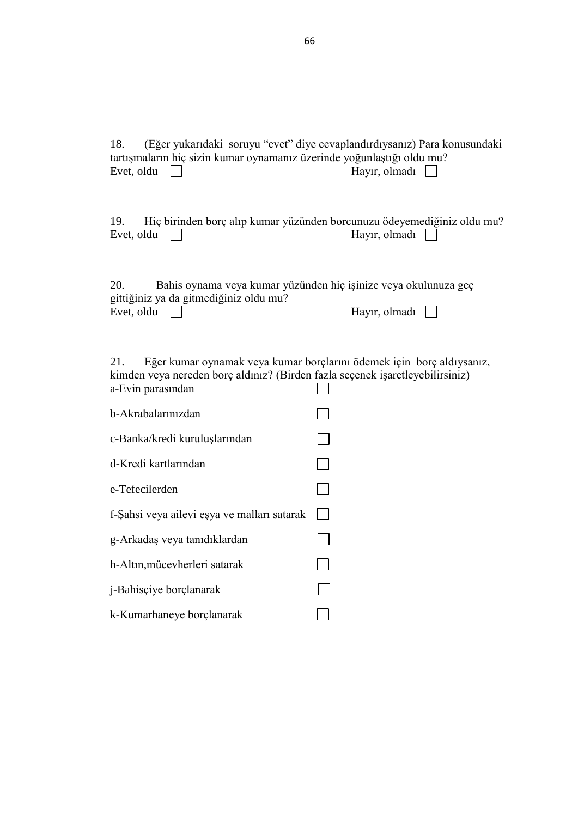| 18.<br>tartışmaların hiç sizin kumar oynamanız üzerinde yoğunlaştığı oldu mu?<br>Evet, oldu               | (Eğer yukarıdaki soruyu "evet" diye cevaplandırdıysanız) Para konusundaki<br>Hayır, olmadı |
|-----------------------------------------------------------------------------------------------------------|--------------------------------------------------------------------------------------------|
| 19.<br>Evet, oldu                                                                                         | Hiç birinden borç alıp kumar yüzünden borcunuzu ödeyemediğiniz oldu mu?<br>Hayır, olmadı   |
| 20.<br>gittiğiniz ya da gitmediğiniz oldu mu?<br>Evet, oldu                                               | Bahis oynama veya kumar yüzünden hiç işinize veya okulunuza geç<br>Hayır, olmadı $\Box$    |
| 21.<br>kimden veya nereden borç aldınız? (Birden fazla seçenek işaretleyebilirsiniz)<br>a-Evin parasından | Eğer kumar oynamak veya kumar borçlarını ödemek için borç aldıysanız,                      |
| b-Akrabalarınızdan                                                                                        |                                                                                            |
| c-Banka/kredi kuruluşlarından                                                                             |                                                                                            |
| d-Kredi kartlarından                                                                                      |                                                                                            |
| e-Tefecilerden                                                                                            |                                                                                            |
| f-Şahsi veya ailevi eşya ve malları satarak                                                               |                                                                                            |
| g-Arkadaş veya tanıdıklardan                                                                              |                                                                                            |
| h-Altın, mücevherleri satarak                                                                             |                                                                                            |
| j-Bahisçiye borçlanarak                                                                                   |                                                                                            |
| k-Kumarhaneye borçlanarak                                                                                 |                                                                                            |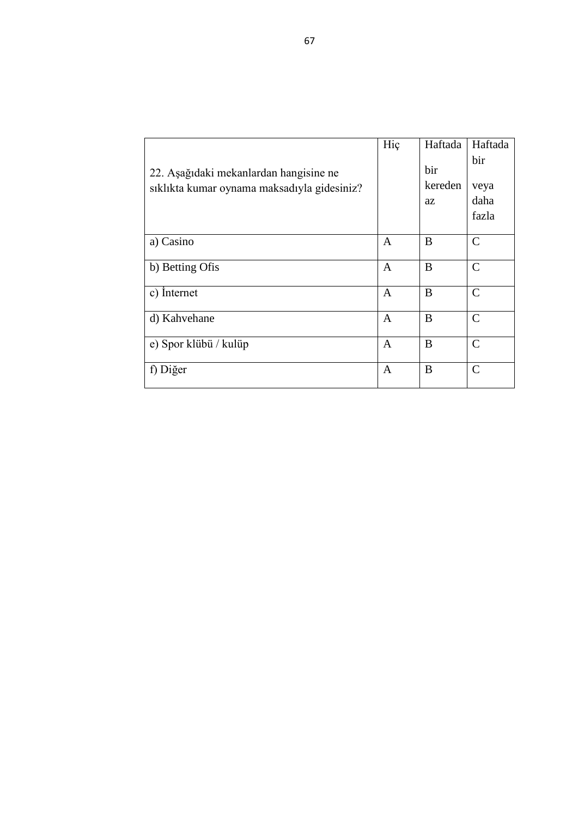| 22. Aşağıdaki mekanlardan hangisine ne<br>siklikta kumar oynama maksadiyla gidesiniz? | Hiç          | Haftada<br>bir<br>kereden | Haftada<br>bir<br>veya      |
|---------------------------------------------------------------------------------------|--------------|---------------------------|-----------------------------|
|                                                                                       |              | az                        | daha<br>fazla               |
| a) Casino                                                                             | A            | B                         | C                           |
| b) Betting Ofis                                                                       | A            | B                         | $\mathcal{C}$               |
| c) Internet                                                                           | $\mathsf{A}$ | B                         | $\mathcal{C}$               |
| d) Kahvehane                                                                          | $\mathsf{A}$ | B                         | $\mathcal{C}$               |
| e) Spor klübü / kulüp                                                                 | A            | B                         | $\mathcal{C}$               |
| f) Diğer                                                                              | A            | B                         | $\mathcal{C}_{\mathcal{C}}$ |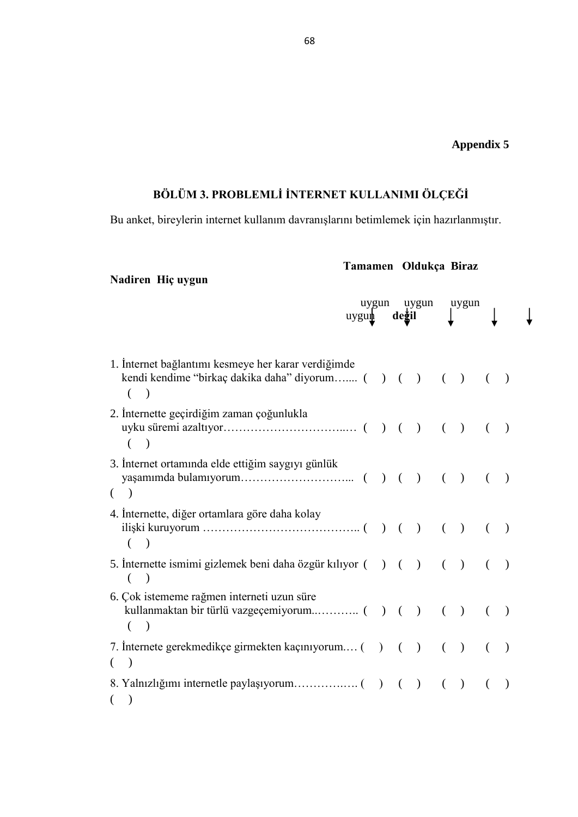### **Appendix 5**

 $\downarrow$ 

# BÖLÜM 3. PROBLEMLİ İNTERNET KULLANIMI ÖLÇEĞİ

Bu anket, bireylerin internet kullanım davranışlarını betimlemek için hazırlanmıştır.

**Nadiren Hiç uygun** 

## **Tamamen Oldukça Biraz**

|                                                                                                                                     | uygun<br>$uygu \nightharpoonup$ | değil | uygun         |          | uygun         |          |  |
|-------------------------------------------------------------------------------------------------------------------------------------|---------------------------------|-------|---------------|----------|---------------|----------|--|
| 1. Internet bağlantımı kesmeye her karar verdiğimde<br>kendi kendime "birkaç dakika daha" diyorum ( ) ( ) ( )<br>€<br>$\rightarrow$ |                                 |       |               |          |               | $\left($ |  |
| 2. Internette geçirdiğim zaman çoğunlukla<br>$\rightarrow$<br>€                                                                     |                                 |       |               |          |               |          |  |
| 3. İnternet ortamında elde ettiğim saygıyı günlük<br>€<br>$\rightarrow$                                                             |                                 |       |               |          |               |          |  |
| 4. Internette, diğer ortamlara göre daha kolay                                                                                      |                                 |       |               | $\left($ | $\rightarrow$ |          |  |
| 5. Internette ismimi gizlemek beni daha özgür kılıyor () () ()<br>$\lambda$<br>(                                                    |                                 |       |               |          |               |          |  |
| 6. Çok istememe rağmen interneti uzun süre<br>€<br>$\lambda$                                                                        |                                 |       |               |          | $($ )         |          |  |
| 7. Internete gerekmedikçe girmekten kaçınıyorum () ()<br>$\big)$<br>(                                                               |                                 |       |               | $\left($ | $\rightarrow$ | €        |  |
| €<br>$\big)$                                                                                                                        |                                 |       | $\rightarrow$ | €        | $\lambda$     |          |  |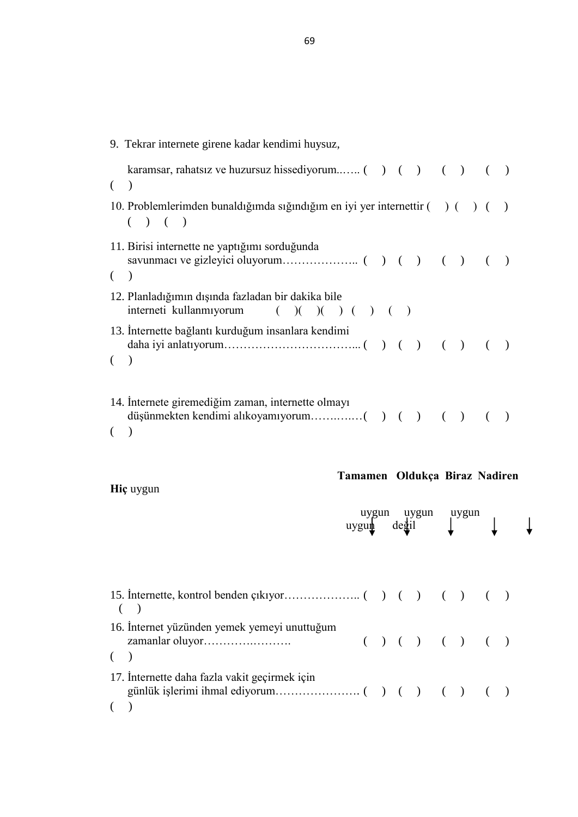| 9. Tekrar internete girene kadar kendimi huysuz,                                                            |  |  |
|-------------------------------------------------------------------------------------------------------------|--|--|
| $\lambda$                                                                                                   |  |  |
| 10. Problemlerimden bunaldığımda sığındığım en iyi yer internettir () ()<br>$\rightarrow$ ( )               |  |  |
| 11. Birisi internette ne yaptığımı sorduğunda                                                               |  |  |
| 12. Planladığımın dışında fazladan bir dakika bile<br>interneti kullanmıyorum $( ) ( ) ( ) ( ) ( ) ( ) ( )$ |  |  |
| 13. Internette bağlantı kurduğum insanlara kendimi<br>$\lambda$                                             |  |  |
| 14. Internete giremediğim zaman, internette olmayı                                                          |  |  |

**Hiç** uygun

# **Tamamen Oldukça Biraz Nadiren**

|                                               |  |  |  | uygun               |  |  |  |  |  |  |  |  |  | $\frac{1}{2}$ degil |  |  |  |  |  |  |  |  |  | uygun uygun<br>edil |  |  |  |  |
|-----------------------------------------------|--|--|--|---------------------|--|--|--|--|--|--|--|--|--|---------------------|--|--|--|--|--|--|--|--|--|---------------------|--|--|--|--|
|                                               |  |  |  |                     |  |  |  |  |  |  |  |  |  |                     |  |  |  |  |  |  |  |  |  |                     |  |  |  |  |
| 16. Internet yüzünden yemek yemeyi unuttuğum  |  |  |  | ( ) ( ) ( ) ( ) ( ) |  |  |  |  |  |  |  |  |  |                     |  |  |  |  |  |  |  |  |  |                     |  |  |  |  |
| 17. Internette daha fazla vakit geçirmek için |  |  |  |                     |  |  |  |  |  |  |  |  |  |                     |  |  |  |  |  |  |  |  |  |                     |  |  |  |  |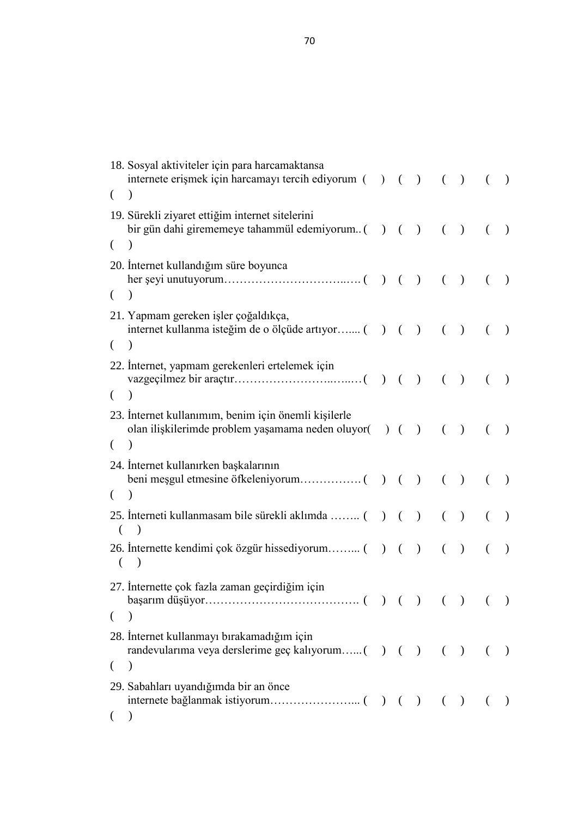|          | 18. Sosyal aktiviteler için para harcamaktansa<br>internete erişmek için harcamayı tercih ediyorum () ()      |  |               |          | $\left( \quad \right)$ | $\left($       | $\rightarrow$ |
|----------|---------------------------------------------------------------------------------------------------------------|--|---------------|----------|------------------------|----------------|---------------|
| $\left($ |                                                                                                               |  |               |          |                        |                |               |
| €        | 19. Sürekli ziyaret ettiğim internet sitelerini                                                               |  | $\bigcup$     | $\left($ | $\rightarrow$          | $\left($       | $\big)$       |
|          |                                                                                                               |  |               |          |                        |                |               |
|          | 20. Internet kullandığım süre boyunca                                                                         |  | $\rightarrow$ | $\left($ | $\rightarrow$          |                | $\rightarrow$ |
| €        |                                                                                                               |  |               |          |                        |                |               |
|          | 21. Yapmam gereken işler çoğaldıkça,<br>internet kullanma isteğim de o ölçüde artıyor () ()                   |  |               | $\left($ | $\rightarrow$          | (              |               |
| €        | $\lambda$                                                                                                     |  |               |          |                        |                |               |
|          | 22. Internet, yapmam gerekenleri ertelemek için                                                               |  |               | $\left($ | $\rightarrow$          | $\left($       | $\big)$       |
| €        |                                                                                                               |  |               |          |                        |                |               |
|          | 23. İnternet kullanımım, benim için önemli kişilerle<br>olan ilişkilerimde problem yaşamama neden oluyor() () |  |               | $\left($ | $\rightarrow$          | $\left($       | $\lambda$     |
| €        |                                                                                                               |  |               |          |                        |                |               |
|          | 24. Internet kullanırken başkalarının                                                                         |  | $\rightarrow$ | $\left($ | $\big)$                | €              | $\big)$       |
| €        |                                                                                                               |  |               |          |                        |                |               |
| €        | 25. Interneti kullanmasam bile sürekli aklımda  ()                                                            |  | $\rightarrow$ | $\left($ | $\rightarrow$          | €              | $\rightarrow$ |
| €        |                                                                                                               |  | $\big)$       | €        | $\lambda$              |                | $\big)$       |
|          | 27. Internette çok fazla zaman geçirdiğim için                                                                |  |               |          |                        |                |               |
| €        |                                                                                                               |  |               |          |                        |                |               |
|          | 28. Internet kullanmayı bırakamadığım için<br>randevularıma veya derslerime geç kalıyorum( ) ( ) ( ) ( )      |  |               |          |                        |                |               |
| €        | $\lambda$                                                                                                     |  |               |          |                        |                |               |
|          | 29. Sabahları uyandığımda bir an önce                                                                         |  |               |          |                        | $\overline{a}$ | $\big)$       |
|          |                                                                                                               |  |               |          |                        |                |               |